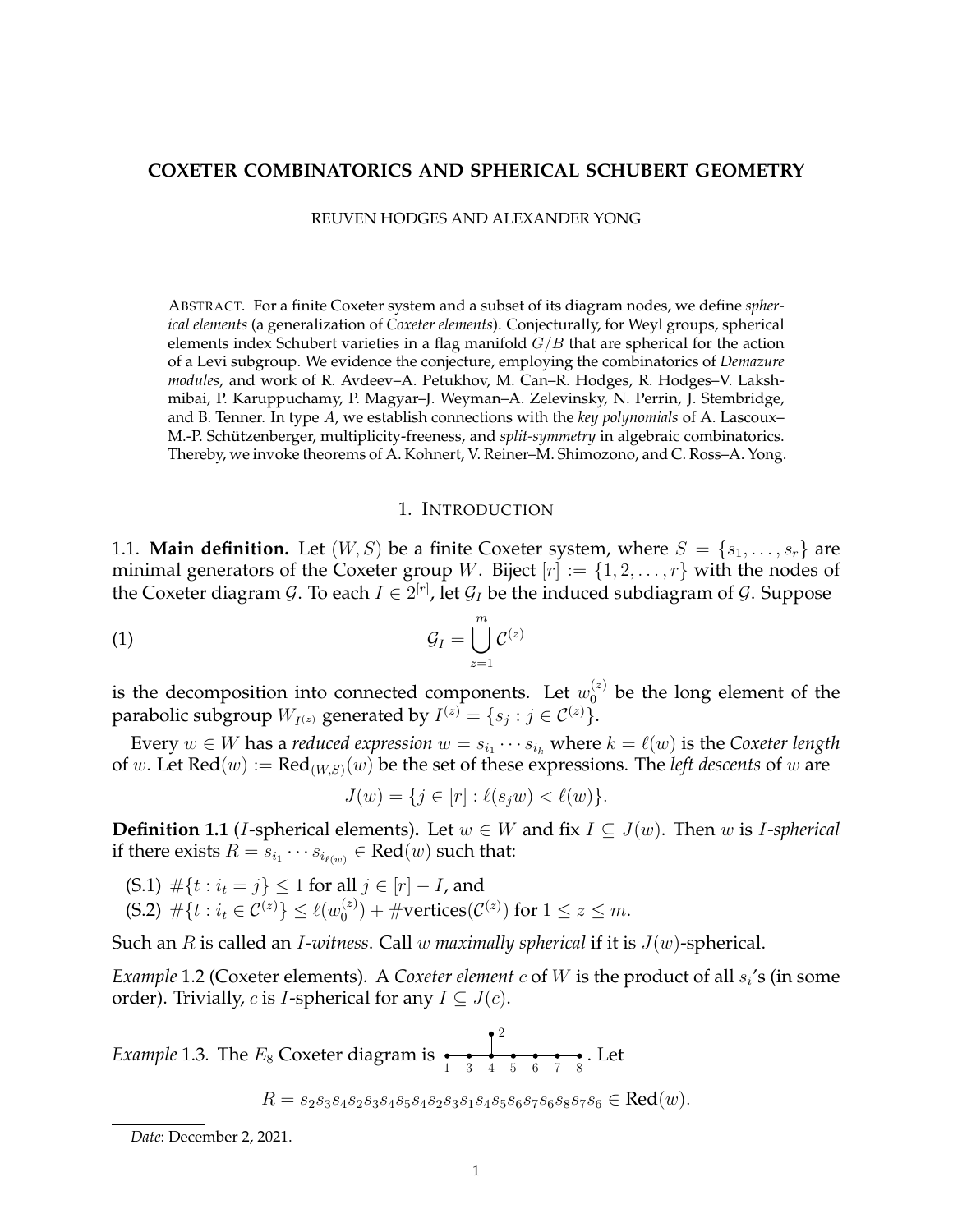## **COXETER COMBINATORICS AND SPHERICAL SCHUBERT GEOMETRY**

REUVEN HODGES AND ALEXANDER YONG

ABSTRACT. For a finite Coxeter system and a subset of its diagram nodes, we define *spherical elements* (a generalization of *Coxeter elements*). Conjecturally, for Weyl groups, spherical elements index Schubert varieties in a flag manifold  $G/B$  that are spherical for the action of a Levi subgroup. We evidence the conjecture, employing the combinatorics of *Demazure modules*, and work of R. Avdeev–A. Petukhov, M. Can–R. Hodges, R. Hodges–V. Lakshmibai, P. Karuppuchamy, P. Magyar–J. Weyman–A. Zelevinsky, N. Perrin, J. Stembridge, and B. Tenner. In type A, we establish connections with the *key polynomials* of A. Lascoux– M.-P. Schützenberger, multiplicity-freeness, and split-symmetry in algebraic combinatorics. Thereby, we invoke theorems of A. Kohnert, V. Reiner–M. Shimozono, and C. Ross–A. Yong.

#### <span id="page-0-1"></span>1. INTRODUCTION

1.1. **Main definition.** Let  $(W, S)$  be a finite Coxeter system, where  $S = \{s_1, \ldots, s_r\}$  are minimal generators of the Coxeter group W. Biject  $[r] := \{1, 2, \ldots, r\}$  with the nodes of the Coxeter diagram  $\mathcal{G}.$  To each  $I\in 2^{[r]}$ , let  $\mathcal{G}_I$  be the induced subdiagram of  $\mathcal{G}.$  Suppose

$$
G_I = \bigcup_{z=1}^m C^{(z)}
$$

is the decomposition into connected components. Let  $w_0^{(z)}$  be the long element of the parabolic subgroup  $W_{I^{(z)}}$  generated by  $I^{(z)} = \{s_j : j \in \mathcal{C}^{(z)}\}.$ 

Every  $w \in W$  has a *reduced expression*  $w = s_{i_1} \cdots s_{i_k}$  where  $k = \ell(w)$  is the *Coxeter length* of w. Let  $\text{Red}(w) := \text{Red}_{(W,S)}(w)$  be the set of these expressions. The *left descents* of w are

$$
J(w) = \{ j \in [r] : \ell(s_j w) < \ell(w) \}.
$$

<span id="page-0-0"></span>**Definition 1.1** (*I*-spherical elements). Let  $w \in W$  and fix  $I \subseteq J(w)$ . Then w is *I-spherical* if there exists  $R = s_{i_1} \cdots s_{i_{\ell(w)}} \in \text{Red}(w)$  such that:

(S.1)  $\#\{t : i_t = j\} \leq 1$  for all  $j \in [r] - I$ , and (S.2)  $\#\{t : i_t \in C^{(z)}\} \le \ell(w_0^{(z)})$  $\mathcal{O}_0^{(z)}$  + #vertices( $\mathcal{C}^{(z)}$ ) for  $1 \leq z \leq m$ .

Such an R is called an I*-witness*. Call w *maximally spherical* if it is J(w)-spherical.

*Example* 1.2 (Coxeter elements). A *Coxeter element*  $c$  of  $W$  is the product of all  $s_i$ 's (in some order). Trivially, c is *I*-spherical for any  $I \subseteq J(c)$ .

*Example* 1.3. The  $E_8$  Coxeter diagram is  $\frac{1}{1}$ 2  $\frac{1}{3}$   $\frac{1}{4}$   $\frac{1}{5}$   $\frac{1}{6}$   $\frac{1}{7}$   $\frac{1}{8}$ . Let

$$
R = s_2 s_3 s_4 s_2 s_3 s_4 s_5 s_4 s_2 s_3 s_1 s_4 s_5 s_6 s_7 s_6 s_8 s_7 s_6 \in \text{Red}(w).
$$

*Date*: December 2, 2021.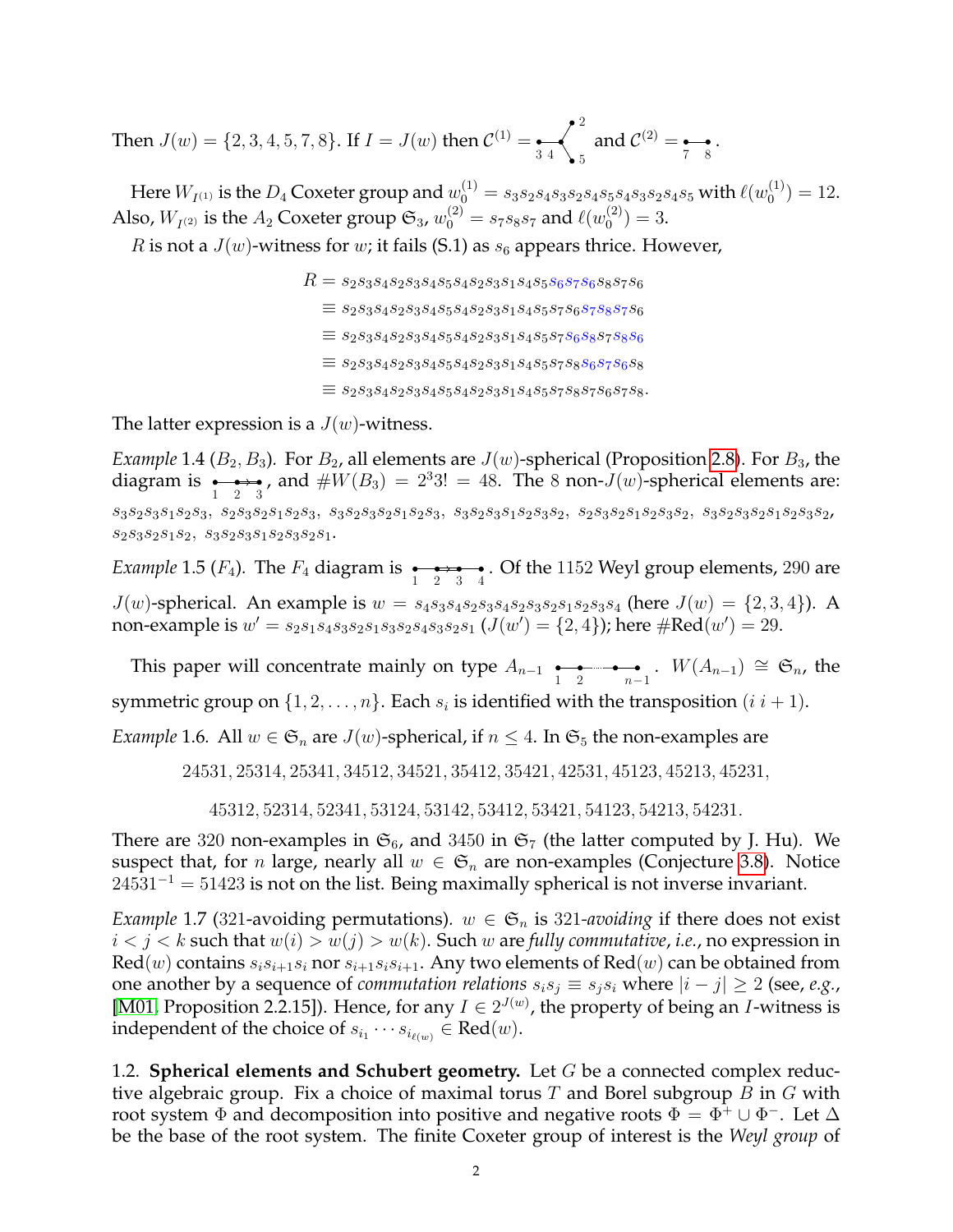Then  $J(w) = \{2, 3, 4, 5, 7, 8\}$ . If  $I = J(w)$  then  $C^{(1)} = \frac{1}{3 \cdot 4}$ 2 5 and  $\mathcal{C}^{(2)} = \underset{7}{\bullet} \underset{8}{\bullet}$ .

Here  $W_{I^{(1)}}$  is the  $D_4$  Coxeter group and  $w_0^{(1)}=s_3s_2s_4s_3s_2s_4s_5s_4s_3s_2s_4s_5$  with  $\ell(w_0^{(1)}$  $\binom{1}{0} = 12.$ Also,  $W_{I^{(2)}}$  is the  $A_2$  Coxeter group  $\mathfrak{S}_3$ ,  $w_0^{(2)}=s_7s_8s_7$  and  $\ell(w_0^{(2)})$  $\binom{2}{0} = 3.$ 

R is not a  $J(w)$ -witness for w; it fails (S.1) as  $s_6$  appears thrice. However,

 $R = s_2s_3s_4s_2s_3s_4s_5s_4s_2s_3s_1s_4s_5s_6s_7s_6s_8s_7s_6$  $\equiv s_2s_3s_4s_2s_3s_4s_5s_4s_2s_3s_1s_4s_5s_7s_6s_7s_8s_7s_6$  $\equiv s_2s_3s_4s_2s_3s_4s_5s_4s_2s_3s_1s_4s_5s_7s_6s_8s_7s_8s_6$  $\equiv s_2s_3s_4s_2s_3s_4s_5s_4s_2s_3s_1s_4s_5s_7s_8s_6s_7s_6s_8$  $\equiv s_2s_3s_4s_2s_3s_4s_5s_4s_2s_3s_1s_4s_5s_7s_8s_7s_6s_7s_8.$ 

The latter expression is a  $J(w)$ -witness.

*Example* 1.4 ( $B_2, B_3$ ). For  $B_2$ , all elements are  $J(w)$ -spherical (Proposition [2.8\)](#page-7-0). For  $B_3$ , the diagram is  $\longleftrightarrow$ , and  $\#W(B_3) = 2^3 3! = 48$ . The 8 non- $J(w)$ -spherical elements are:  $s_3s_2s_3s_1s_2s_3,\ s_2s_3s_2s_1s_2s_3,\ s_3s_2s_3s_2s_1s_2s_3,\ s_3s_2s_3s_1s_2s_3s_2,\ s_2s_3s_2s_1s_2s_3s_2,\ s_3s_2s_3s_2s_1s_2s_3s_2,$  $s_2s_3s_2s_1s_2$ ,  $s_3s_2s_3s_1s_2s_3s_2s_1$ .

*Example* 1.5 ( $F_4$ ). The  $F_4$  diagram is  $\underset{1}{\longleftrightarrow}$   $\underset{2}{\longleftrightarrow}$  . Of the 1152 Weyl group elements, 290 are  $J(w)$ -spherical. An example is  $w = s_4s_3s_4s_2s_3s_4s_2s_3s_2s_1s_2s_3s_4$  (here  $J(w) = \{2, 3, 4\}$ ). A non-example is  $w' = s_2 s_1 s_4 s_3 s_2 s_1 s_3 s_2 s_4 s_3 s_2 s_1 (J(w') = \{2, 4\})$ ; here  $\#\text{Red}(w') = 29$ .

This paper will concentrate mainly on type  $A_{n-1}$   $\underset{1}{\bullet}$   $\underset{2}{\bullet}$   $\underset{n-1}{\bullet}$ .  $W(A_{n-1}) \cong \mathfrak{S}_n$ , the symmetric group on  $\{1, 2, \ldots, n\}$ . Each  $s_i$  is identified with the transposition  $(i \; i+1)$ .

<span id="page-1-0"></span>*Example* 1.6. All  $w \in \mathfrak{S}_n$  are  $J(w)$ -spherical, if  $n \leq 4$ . In  $\mathfrak{S}_5$  the non-examples are

24531, 25314, 25341, 34512, 34521, 35412, 35421, 42531, 45123, 45213, 45231,

45312, 52314, 52341, 53124, 53142, 53412, 53421, 54123, 54213, 54231.

There are 320 non-examples in  $\mathfrak{S}_6$ , and 3450 in  $\mathfrak{S}_7$  (the latter computed by J. Hu). We suspect that, for *n* large, nearly all  $w \in \mathfrak{S}_n$  are non-examples (Conjecture [3.8\)](#page-13-0). Notice  $24531^{-1} = 51423$  is not on the list. Being maximally spherical is not inverse invariant.

*Example* 1.7 (321-avoiding permutations).  $w \in \mathfrak{S}_n$  is 321-avoiding if there does not exist  $i < j < k$  such that  $w(i) > w(j) > w(k)$ . Such w are *fully commutative*, *i.e.*, no expression in  $\text{Red}(w)$  contains  $s_i s_{i+1} s_i$  nor  $s_{i+1} s_i s_{i+1}$ . Any two elements of  $\text{Red}(w)$  can be obtained from one another by a sequence of *commutation relations*  $s_i s_j \equiv s_j s_i$  where  $|i - j| \geq 2$  (see, *e.g.*, [\[M01,](#page-25-0) Proposition 2.2.15]). Hence, for any  $I \in 2^{J(w)}$ , the property of being an *I*-witness is independent of the choice of  $s_{i_1} \cdots s_{i_{\ell(w)}} \in \text{Red}(w)$ .

1.2. **Spherical elements and Schubert geometry.** Let G be a connected complex reductive algebraic group. Fix a choice of maximal torus  $T$  and Borel subgroup  $B$  in  $G$  with root system  $\Phi$  and decomposition into positive and negative roots  $\Phi = \Phi^+ \cup \Phi^-$ . Let  $\Delta$ be the base of the root system. The finite Coxeter group of interest is the *Weyl group* of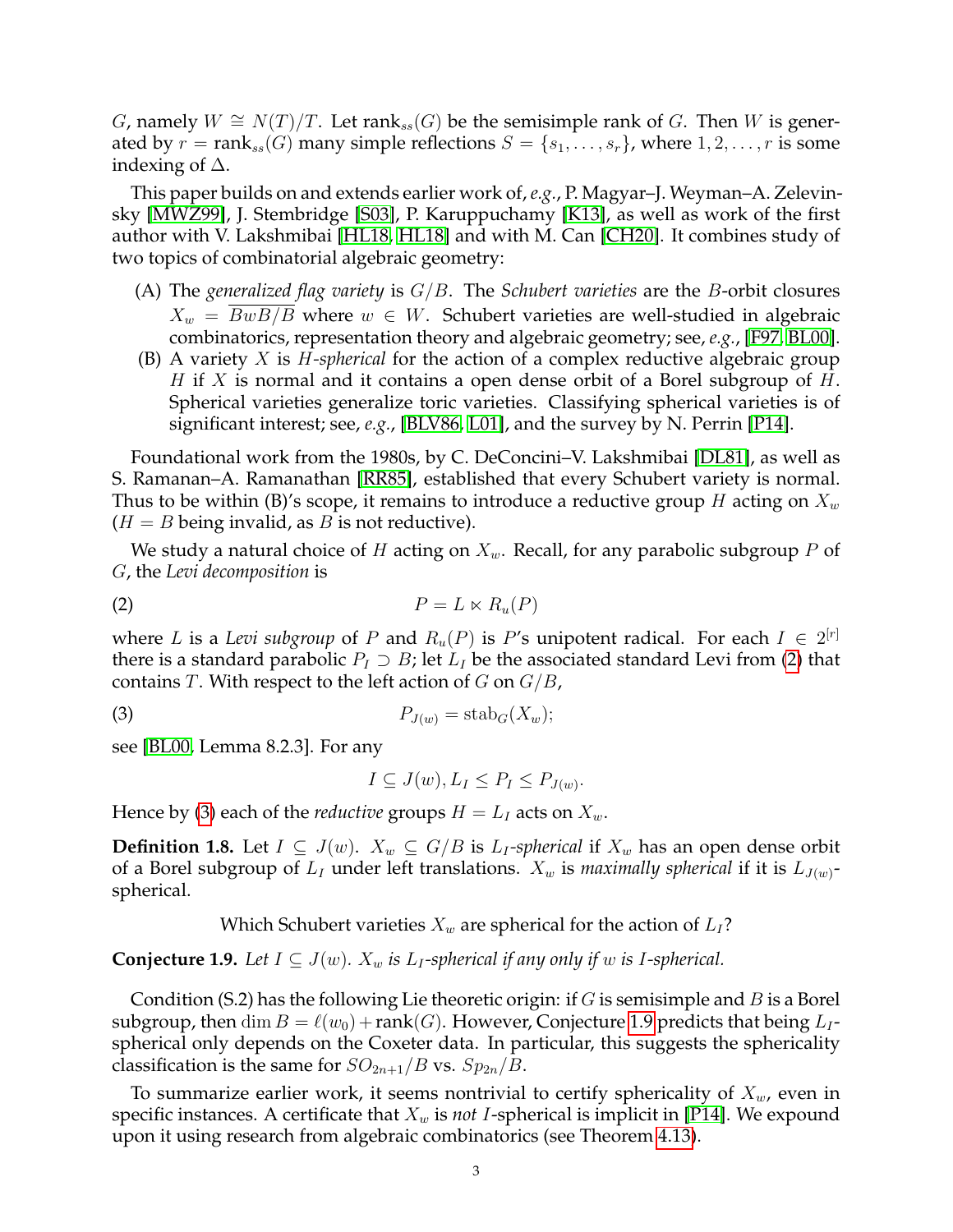G, namely  $W \cong N(T)/T$ . Let rank<sub>ss</sub>(G) be the semisimple rank of G. Then W is generated by  $r = \text{rank}_{ss}(G)$  many simple reflections  $S = \{s_1, \ldots, s_r\}$ , where  $1, 2, \ldots, r$  is some indexing of ∆.

This paper builds on and extends earlier work of, *e.g.*, P. Magyar–J. Weyman–A. Zelevinsky [\[MWZ99\]](#page-25-1), J. Stembridge [\[S03\]](#page-26-0), P. Karuppuchamy [\[K13\]](#page-25-2), as well as work of the first author with V. Lakshmibai [\[HL18,](#page-25-3) [HL18\]](#page-25-4) and with M. Can [\[CH20\]](#page-24-0). It combines study of two topics of combinatorial algebraic geometry:

- (A) The *generalized flag variety* is G/B. The *Schubert varieties* are the B-orbit closures  $X_w = BwB/B$  where  $w \in W$ . Schubert varieties are well-studied in algebraic combinatorics, representation theory and algebraic geometry; see, *e.g.*, [\[F97,](#page-25-5) [BL00\]](#page-24-1).
- (B) A variety X is H*-spherical* for the action of a complex reductive algebraic group H if X is normal and it contains a open dense orbit of a Borel subgroup of H. Spherical varieties generalize toric varieties. Classifying spherical varieties is of significant interest; see, *e.g.*, [\[BLV86,](#page-24-2) [L01\]](#page-25-6), and the survey by N. Perrin [\[P14\]](#page-25-7).

Foundational work from the 1980s, by C. DeConcini–V. Lakshmibai [\[DL81\]](#page-24-3), as well as S. Ramanan–A. Ramanathan [\[RR85\]](#page-25-8), established that every Schubert variety is normal. Thus to be within (B)'s scope, it remains to introduce a reductive group H acting on  $X_w$  $(H = B \text{ being invalid}, \text{as } B \text{ is not reductive}).$ 

We study a natural choice of H acting on  $X_w$ . Recall, for any parabolic subgroup P of G, the *Levi decomposition* is

$$
(2) \t\t P = L \ltimes R_u(P)
$$

where L is a Levi subgroup of P and  $R_u(P)$  is P's unipotent radical. For each  $I \in 2^{[r]}$ there is a standard parabolic  $P_I \supset B$ ; let  $L_I$  be the associated standard Levi from [\(2\)](#page-2-0) that contains T. With respect to the left action of  $G$  on  $G/B$ ,

$$
(3) \t\t\t P_{J(w)} = \operatorname{stab}_G(X_w);
$$

see [\[BL00,](#page-24-1) Lemma 8.2.3]. For any

<span id="page-2-1"></span><span id="page-2-0"></span>
$$
I \subseteq J(w), L_I \le P_I \le P_{J(w)}.
$$

Hence by [\(3\)](#page-2-1) each of the *reductive* groups  $H = L_I$  acts on  $X_w$ .

<span id="page-2-3"></span>**Definition 1.8.** Let  $I \subseteq J(w)$ .  $X_w \subseteq G/B$  is  $L_I$ -spherical if  $X_w$  has an open dense orbit of a Borel subgroup of  $L_I$  under left translations.  $X_w$  is *maximally spherical* if it is  $L_{J(w)}$ spherical.

Which Schubert varieties  $X_w$  are spherical for the action of  $L_1$ ?

<span id="page-2-2"></span>**Conjecture 1.9.** *Let*  $I \subseteq J(w)$ *.*  $X_w$  *is*  $L_I$ -spherical *if any only if w is I*-spherical.

Condition (S.2) has the following Lie theoretic origin: if  $G$  is semisimple and  $B$  is a Borel subgroup, then dim  $B = \ell(w_0) + \text{rank}(G)$ . However, Conjecture [1.9](#page-2-2) predicts that being  $L_I$ spherical only depends on the Coxeter data. In particular, this suggests the sphericality classification is the same for  $SO_{2n+1}/B$  vs.  $Sp_{2n}/B$ .

To summarize earlier work, it seems nontrivial to certify sphericality of  $X_w$ , even in specific instances. A certificate that  $X_w$  is *not I*-spherical is implicit in [\[P14\]](#page-25-7). We expound upon it using research from algebraic combinatorics (see Theorem [4.13\)](#page-17-0).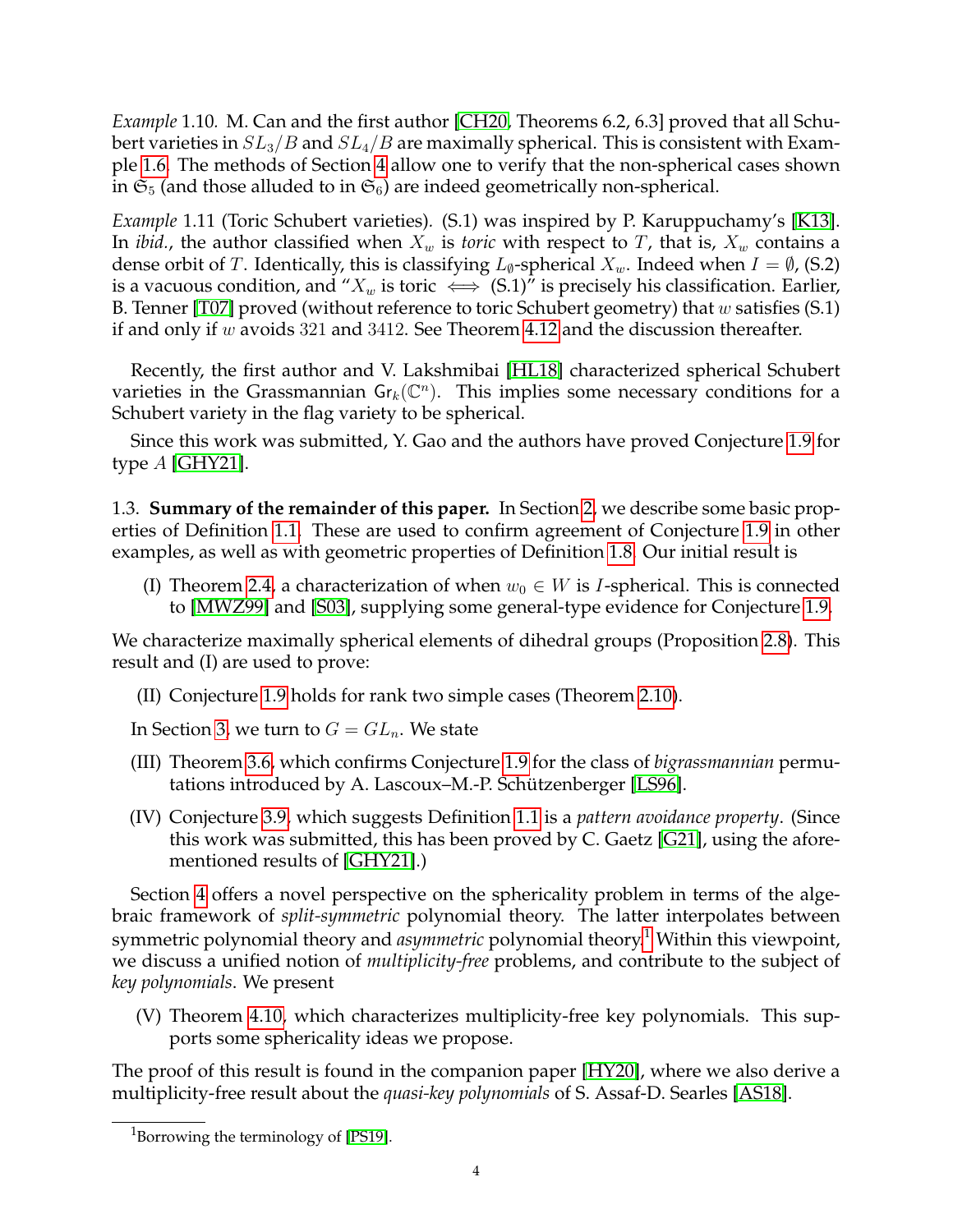<span id="page-3-2"></span>*Example* 1.10*.* M. Can and the first author [\[CH20,](#page-24-0) Theorems 6.2, 6.3] proved that all Schubert varieties in  $SL_3/B$  and  $SL_4/B$  are maximally spherical. This is consistent with Example [1.6.](#page-1-0) The methods of Section [4](#page-14-0) allow one to verify that the non-spherical cases shown in  $\mathfrak{S}_5$  (and those alluded to in  $\mathfrak{S}_6$ ) are indeed geometrically non-spherical.

<span id="page-3-1"></span>*Example* 1.11 (Toric Schubert varieties)*.* (S.1) was inspired by P. Karuppuchamy's [\[K13\]](#page-25-2). In *ibid.*, the author classified when  $X_w$  is *toric* with respect to T, that is,  $X_w$  contains a dense orbit of T. Identically, this is classifying  $L_{\emptyset}$ -spherical  $X_w$ . Indeed when  $I = \emptyset$ , (S.2) is a vacuous condition, and " $X_w$  is toric  $\iff$  (S.1)" is precisely his classification. Earlier, B. Tenner [\[T07\]](#page-26-1) proved (without reference to toric Schubert geometry) that w satisfies  $(S.1)$ if and only if w avoids 321 and 3412. See Theorem [4.12](#page-17-1) and the discussion thereafter.

Recently, the first author and V. Lakshmibai [\[HL18\]](#page-25-4) characterized spherical Schubert varieties in the Grassmannian  $\mathsf{Gr}_k(\mathbb{C}^n)$ . This implies some necessary conditions for a Schubert variety in the flag variety to be spherical.

Since this work was submitted, Y. Gao and the authors have proved Conjecture [1.9](#page-2-2) for type  $A$  [\[GHY21\]](#page-25-9).

1.3. **Summary of the remainder of this paper.** In Section [2,](#page-4-0) we describe some basic properties of Definition [1.1.](#page-0-0) These are used to confirm agreement of Conjecture [1.9](#page-2-2) in other examples, as well as with geometric properties of Definition [1.8.](#page-2-3) Our initial result is

(I) Theorem [2.4,](#page-5-0) a characterization of when  $w_0 \in W$  is *I*-spherical. This is connected to [\[MWZ99\]](#page-25-1) and [\[S03\]](#page-26-0), supplying some general-type evidence for Conjecture [1.9.](#page-2-2)

We characterize maximally spherical elements of dihedral groups (Proposition [2.8\)](#page-7-0). This result and (I) are used to prove:

(II) Conjecture [1.9](#page-2-2) holds for rank two simple cases (Theorem [2.10\)](#page-7-1).

In Section [3,](#page-11-0) we turn to  $G = GL_n$ . We state

- (III) Theorem [3.6,](#page-13-1) which confirms Conjecture [1.9](#page-2-2) for the class of *bigrassmannian* permu-tations introduced by A. Lascoux–M.-P. Schützenberger [\[LS96\]](#page-25-10).
- (IV) Conjecture [3.9,](#page-13-2) which suggests Definition [1.1](#page-0-0) is a *pattern avoidance property*. (Since this work was submitted, this has been proved by C. Gaetz [\[G21\]](#page-25-11), using the aforementioned results of [\[GHY21\]](#page-25-9).)

Section [4](#page-14-0) offers a novel perspective on the sphericality problem in terms of the algebraic framework of *split-symmetric* polynomial theory. The latter interpolates between symmetric polynomial theory and *asymmetric* polynomial theory.<sup>[1](#page-3-0)</sup> Within this viewpoint, we discuss a unified notion of *multiplicity-free* problems, and contribute to the subject of *key polynomials*. We present

(V) Theorem [4.10,](#page-16-0) which characterizes multiplicity-free key polynomials. This supports some sphericality ideas we propose.

The proof of this result is found in the companion paper [\[HY20\]](#page-25-12), where we also derive a multiplicity-free result about the *quasi-key polynomials* of S. Assaf-D. Searles [\[AS18\]](#page-24-4).

<span id="page-3-0"></span><sup>&</sup>lt;sup>1</sup>Borrowing the terminology of [\[PS19\]](#page-25-13).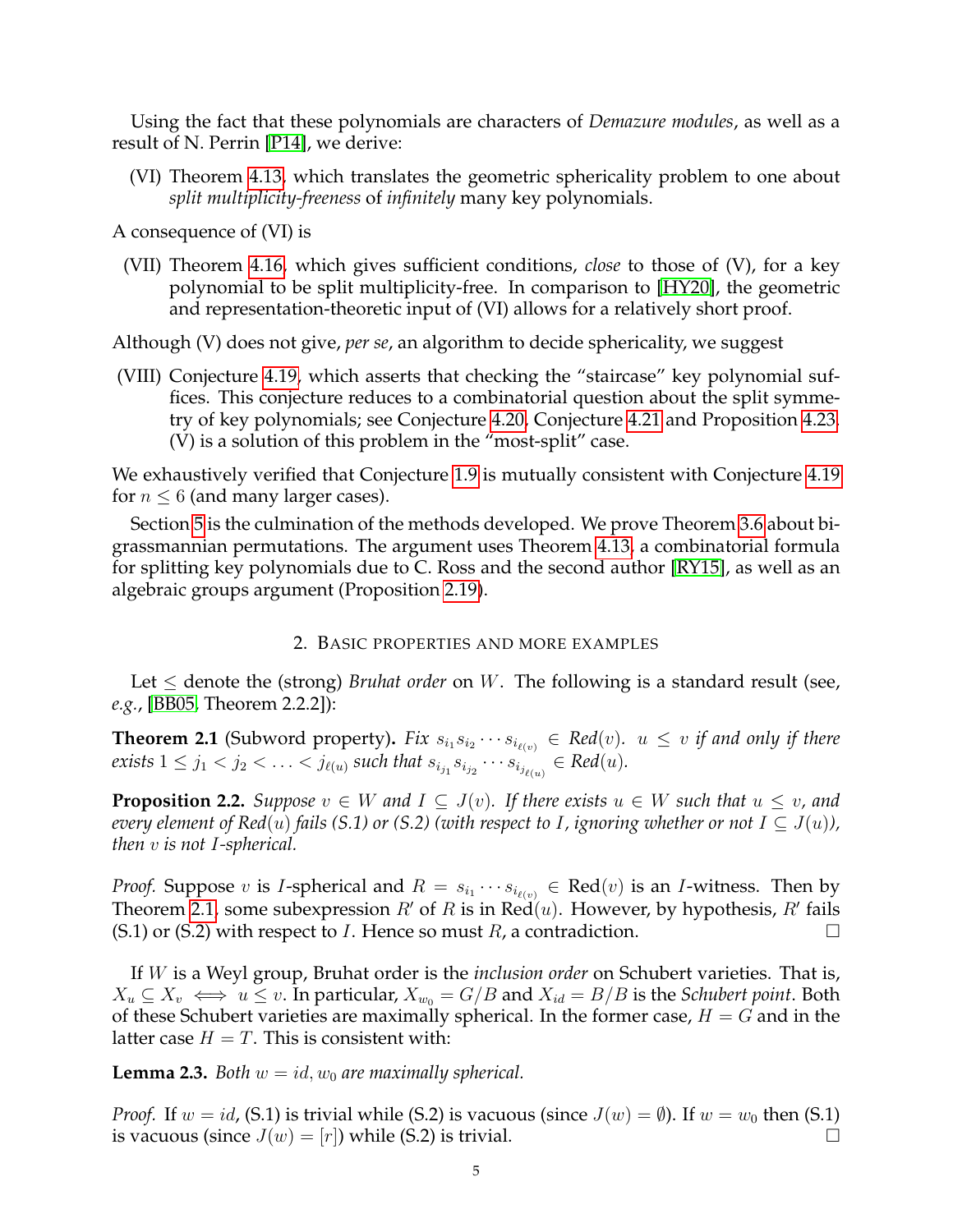Using the fact that these polynomials are characters of *Demazure modules*, as well as a result of N. Perrin [\[P14\]](#page-25-7), we derive:

(VI) Theorem [4.13,](#page-17-0) which translates the geometric sphericality problem to one about *split multiplicity-freeness* of *infinitely* many key polynomials.

A consequence of (VI) is

(VII) Theorem [4.16,](#page-18-0) which gives sufficient conditions, *close* to those of (V), for a key polynomial to be split multiplicity-free. In comparison to [\[HY20\]](#page-25-12), the geometric and representation-theoretic input of (VI) allows for a relatively short proof.

Although (V) does not give, *per se*, an algorithm to decide sphericality, we suggest

(VIII) Conjecture [4.19,](#page-20-0) which asserts that checking the "staircase" key polynomial suffices. This conjecture reduces to a combinatorial question about the split symmetry of key polynomials; see Conjecture [4.20,](#page-20-1) Conjecture [4.21](#page-20-2) and Proposition [4.23.](#page-20-3) (V) is a solution of this problem in the "most-split" case.

We exhaustively verified that Conjecture [1.9](#page-2-2) is mutually consistent with Conjecture [4.19](#page-20-0) for  $n \leq 6$  (and many larger cases).

Section [5](#page-21-0) is the culmination of the methods developed. We prove Theorem [3.6](#page-13-1) about bigrassmannian permutations. The argument uses Theorem [4.13,](#page-17-0) a combinatorial formula for splitting key polynomials due to C. Ross and the second author [\[RY15\]](#page-25-14), as well as an algebraic groups argument (Proposition [2.19\)](#page-11-1).

## 2. BASIC PROPERTIES AND MORE EXAMPLES

<span id="page-4-0"></span>Let  $\leq$  denote the (strong) *Bruhat order* on W. The following is a standard result (see, *e.g.*, [\[BB05,](#page-24-5) Theorem 2.2.2]):

<span id="page-4-1"></span>**Theorem 2.1** (Subword property). Fix  $s_{i_1}s_{i_2}\cdots s_{i_{\ell(v)}} \in Red(v)$ .  $u \leq v$  if and only if there  $\textit{exists} \ 1 \leq j_1 < j_2 < \ldots < j_{\ell(u)} \textit{ such that } s_{i_{j_1}} s_{i_{j_2}} \cdots s_{i_{j_{\ell(u)}}} \in \textit{Red}(u).$ 

<span id="page-4-3"></span>**Proposition 2.2.** *Suppose*  $v \in W$  *and*  $I \subseteq J(v)$ *. If there exists*  $u \in W$  *such that*  $u \le v$ *, and every element of Red*(u) *fails* (S.1) or (S.2) (with respect to I, ignoring whether or not  $I \subseteq J(u)$ ), *then* v *is not* I*-spherical.*

*Proof.* Suppose v is *I*-spherical and  $R = s_{i_1} \cdots s_{i_{\ell(v)}} \in \text{Red}(v)$  is an *I*-witness. Then by Theorem [2.1,](#page-4-1) some subexpression  $R'$  of R is in Red(u). However, by hypothesis,  $R'$  fails (S.1) or (S.2) with respect to *I*. Hence so must *R*, a contradiction.  $\square$ 

If W is a Weyl group, Bruhat order is the *inclusion order* on Schubert varieties. That is,  $X_u \subseteq X_v \iff u \leq v$ . In particular,  $X_{w_0} = G/B$  and  $X_{id} = B/B$  is the *Schubert point*. Both of these Schubert varieties are maximally spherical. In the former case,  $H = G$  and in the latter case  $H = T$ . This is consistent with:

<span id="page-4-2"></span>**Lemma 2.3.** *Both*  $w = id$ ,  $w_0$  *are maximally spherical.* 

*Proof.* If  $w = id$ , (S.1) is trivial while (S.2) is vacuous (since  $J(w) = \emptyset$ ). If  $w = w_0$  then (S.1) is vacuous (since  $J(w) = [r]$ ) while (S.2) is trivial.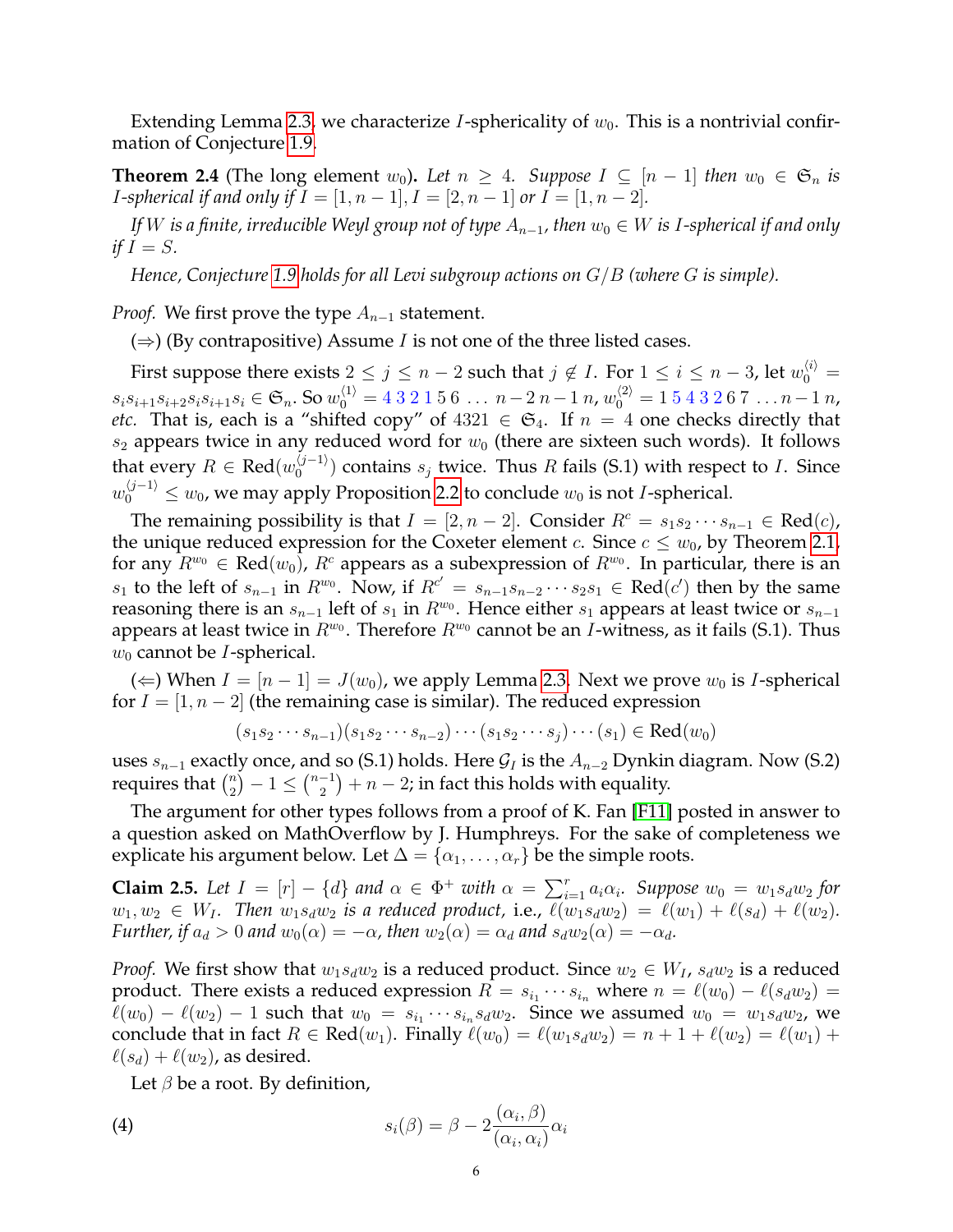Extending Lemma [2.3,](#page-4-2) we characterize *I*-sphericality of  $w_0$ . This is a nontrivial confirmation of Conjecture [1.9.](#page-2-2)

<span id="page-5-0"></span>**Theorem 2.4** (The long element  $w_0$ ). Let  $n \geq 4$ . Suppose  $I \subseteq [n-1]$  then  $w_0 \in \mathfrak{S}_n$  is *I*-spherical if and only if  $I = [1, n - 1], I = [2, n - 1]$  or  $I = [1, n - 2].$ 

*If* W *is a finite, irreducible Weyl group not of type*  $A_{n-1}$ , then  $w_0 \in W$  *is I-spherical if and only if*  $I = S$ *.* 

*Hence, Conjecture [1.9](#page-2-2) holds for all Levi subgroup actions on* G/B *(where* G *is simple).*

*Proof.* We first prove the type  $A_{n-1}$  statement.

( $\Rightarrow$ ) (By contrapositive) Assume *I* is not one of the three listed cases.

First suppose there exists  $2 \leq j \leq n-2$  such that  $j \notin I$ . For  $1 \leq i \leq n-3$ , let  $w_0^{ \langle i \rangle } =$  $s_i s_{i+1} s_{i+2} s_i s_{i+1} s_i \in \mathfrak{S}_n$ . So  $w_0^{\langle 1 \rangle} = 432156... n-2n-1 n$ ,  $w_0^{\langle 2 \rangle} = 1543267... n-1 n$ , *etc.* That is, each is a "shifted copy" of  $4321 \in \mathfrak{S}_4$ . If  $n = 4$  one checks directly that  $s_2$  appears twice in any reduced word for  $w_0$  (there are sixteen such words). It follows that every  $R \in \text{Red}(w_0^{\langle j-1 \rangle})$  $\binom{(J-1)}{0}$  contains  $s_j$  twice. Thus R fails (S.1) with respect to I. Since  $w_0^{\langle j-1\rangle}\leq w_0$ , we may apply Proposition [2.2](#page-4-3) to conclude  $w_0$  is not *I*-spherical.

The remaining possibility is that  $I = [2, n - 2]$ . Consider  $R^c = s_1 s_2 \cdots s_{n-1} \in \text{Red}(c)$ , the unique reduced expression for the Coxeter element c. Since  $c \leq w_0$ , by Theorem [2.1,](#page-4-1) for any  $\overline{R^{w_0}}\in\text{Red}(w_0)$ ,  $R^c$  appears as a subexpression of  $R^{w_0}.$  In particular, there is an  $s_1$  to the left of  $s_{n-1}$  in  $R^{w_0}$ . Now, if  $R^{c'} = s_{n-1}s_{n-2}\cdots s_2s_1$  ∈ Red(c') then by the same reasoning there is an  $s_{n-1}$  left of  $s_1$  in  $R^{w_0}$ . Hence either  $s_1$  appears at least twice or  $s_{n-1}$ appears at least twice in  $R^{w_0}$ . Therefore  $R^{w_0}$  cannot be an *I*-witness, as it fails (S.1). Thus  $w_0$  cannot be *I*-spherical.

(←) When  $I = [n-1] = J(w_0)$ , we apply Lemma [2.3.](#page-4-2) Next we prove  $w_0$  is I-spherical for  $I = [1, n - 2]$  (the remaining case is similar). The reduced expression

$$
(s_1 s_2 \cdots s_{n-1})(s_1 s_2 \cdots s_{n-2}) \cdots (s_1 s_2 \cdots s_j) \cdots (s_1) \in \text{Red}(w_0)
$$

uses  $s_{n-1}$  exactly once, and so (S.1) holds. Here  $\mathcal{G}_I$  is the  $A_{n-2}$  Dynkin diagram. Now (S.2) requires that  $\binom{n}{2}$  $\binom{n}{2} - 1 \leq \binom{n-1}{2}$  $\binom{-1}{2} + n - 2$ ; in fact this holds with equality.

The argument for other types follows from a proof of K. Fan [\[F11\]](#page-25-15) posted in answer to a question asked on MathOverflow by J. Humphreys. For the sake of completeness we explicate his argument below. Let  $\Delta = {\alpha_1, \ldots, \alpha_r}$  be the simple roots.

<span id="page-5-2"></span>**Claim 2.5.** Let  $I = [r] - \{d\}$  and  $\alpha \in \Phi^+$  with  $\alpha = \sum_{i=1}^r a_i \alpha_i$ . Suppose  $w_0 = w_1 s_d w_2$  for  $w_1, w_2 \in W_I$ . Then  $w_1 s_d w_2$  *is a reduced product, i.e.,*  $\ell(w_1 s_d w_2) = \ell(w_1) + \ell(s_d) + \ell(w_2)$ *. Further, if*  $a_d > 0$  *and*  $w_0(\alpha) = -\alpha$ , then  $w_2(\alpha) = \alpha_d$  *and*  $s_d w_2(\alpha) = -\alpha_d$ .

*Proof.* We first show that  $w_1 s_d w_2$  is a reduced product. Since  $w_2 \in W_I$ ,  $s_d w_2$  is a reduced product. There exists a reduced expression  $R = s_{i_1} \cdots s_{i_n}$  where  $n = \ell(w_0) - \ell(s_dw_2) =$  $\ell(w_0) - \ell(w_2) - 1$  such that  $w_0 = s_{i_1} \cdots s_{i_n} s_d w_2$ . Since we assumed  $w_0 = w_1 s_d w_2$ , we conclude that in fact  $R \in \text{Red}(w_1)$ . Finally  $\ell(w_0) = \ell(w_1s_dw_2) = n + 1 + \ell(w_2) = \ell(w_1) + \ell(w_1)$  $\ell(s_d) + \ell(w_2)$ , as desired.

<span id="page-5-1"></span>Let  $\beta$  be a root. By definition,

(4) 
$$
s_i(\beta) = \beta - 2 \frac{(\alpha_i, \beta)}{(\alpha_i, \alpha_i)} \alpha_i
$$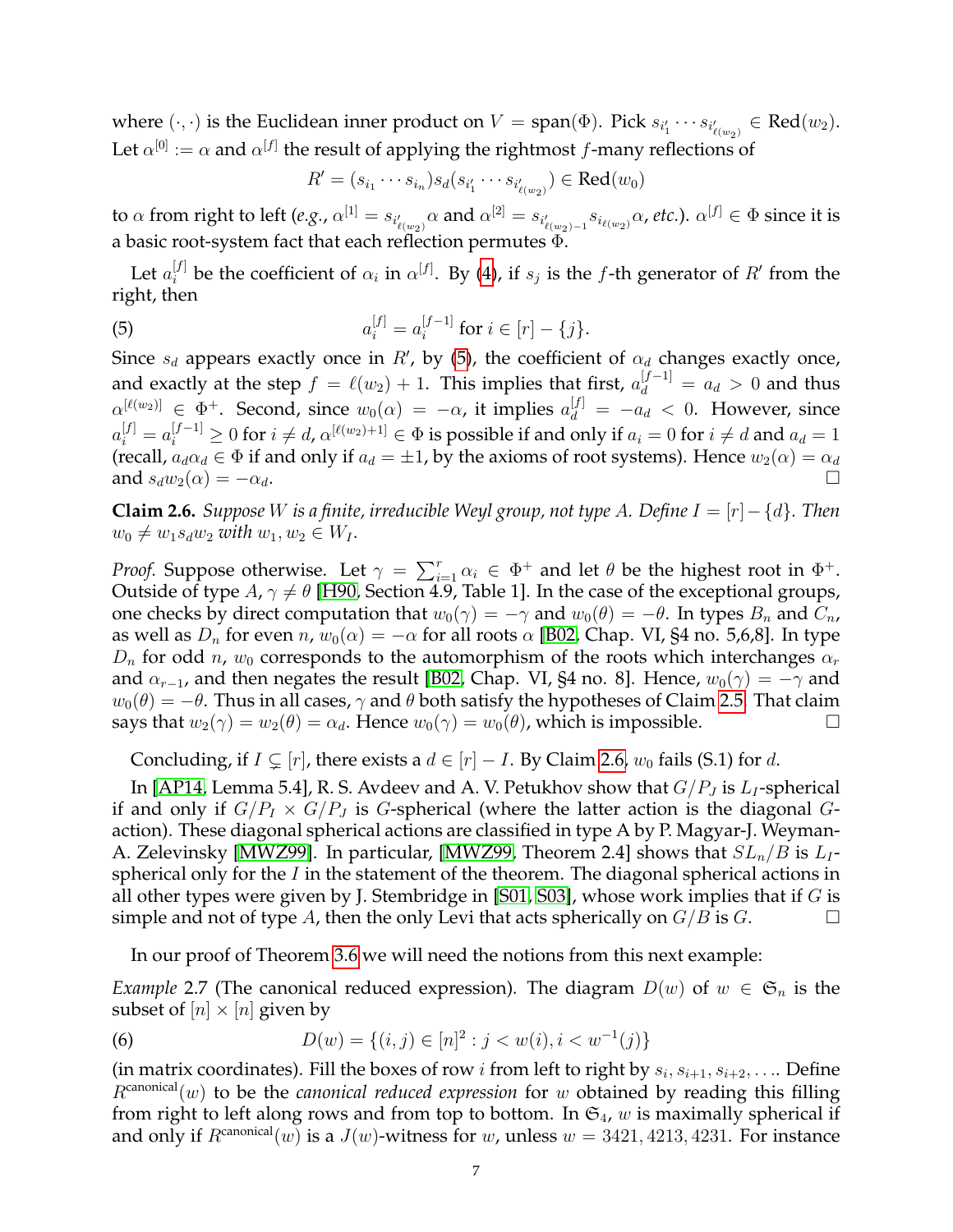where  $(\cdot,\cdot)$  is the Euclidean inner product on  $V={\rm span}(\Phi).$  Pick  $s_{i_1'}\cdots s_{i_{\ell(w_2)}}\in {\rm Red}(w_2).$ Let  $\alpha^{[0]} := \alpha$  and  $\alpha^{[f]}$  the result of applying the rightmost f-many reflections of

<span id="page-6-0"></span>
$$
R' = (s_{i_1} \cdots s_{i_n}) s_d(s_{i'_1} \cdots s_{i'_{\ell(w_2)}}) \in \text{Red}(w_0)
$$

to  $\alpha$  from right to left (e.g.,  $\alpha^{[1]}=s_{i'_{\ell(w_2)}}\alpha$  and  $\alpha^{[2]}=s_{i'_{\ell(w_2)-1}}s_{i_{\ell(w_2)}}\alpha$ , etc.).  $\alpha^{[f]}\in \Phi$  since it is a basic root-system fact that each reflection permutes Φ.

Let  $a_i^{[f]}$  be the coefficient of  $\alpha_i$  in  $\alpha^{[f]}$ . By [\(4\)](#page-5-1), if  $s_j$  is the f-th generator of  $R'$  from the right, then

(5) 
$$
a_i^{[f]} = a_i^{[f-1]} \text{ for } i \in [r] - \{j\}.
$$

Since  $s_d$  appears exactly once in  $R'$ , by [\(5\)](#page-6-0), the coefficient of  $\alpha_d$  changes exactly once, and exactly at the step  $f = \ell(w_2) + 1$ . This implies that first,  $a_d^{[f-1]} = a_d > 0$  and thus  $\alpha^{[\ell(w_2)]}_l \in \Phi^+$ . Second, since  $w_0(\alpha) = -\alpha$ , it implies  $a_d^{[f]} = -a_d < 0$ . However, since  $a_i^{[f]}=a_i^{[f-1]}\geq 0$  for  $i\neq d$ ,  $\alpha^{[\ell(w_2)+1]}\in \Phi$  is possible if and only if  $a_i=0$  for  $i\neq d$  and  $a_d=1$ (recall,  $a_d \alpha_d \in \Phi$  if and only if  $a_d = \pm 1$ , by the axioms of root systems). Hence  $w_2(\alpha) = \alpha_d$ and  $s_d w_2(\alpha) = -\alpha_d$ .

<span id="page-6-1"></span>**Claim 2.6.** *Suppose* W *is a finite, irreducible Weyl group, not type A. Define*  $I = [r] - \{d\}$ *. Then*  $w_0 \neq w_1 s_d w_2$  *with*  $w_1, w_2 \in W_I$ *.* 

*Proof.* Suppose otherwise. Let  $\gamma = \sum_{i=1}^{r} \alpha_i \in \Phi^+$  and let  $\theta$  be the highest root in  $\Phi^+$ . Outside of type  $A, \gamma \neq \theta$  [\[H90,](#page-25-16) Section 4.9, Table 1]. In the case of the exceptional groups, one checks by direct computation that  $w_0(\gamma) = -\gamma$  and  $w_0(\theta) = -\theta$ . In types  $B_n$  and  $C_n$ , as well as  $D_n$  for even  $n$ ,  $w_0(\alpha) = -\alpha$  for all roots  $\alpha$  [\[B02,](#page-24-6) Chap. VI, §4 no. 5,6,8]. In type  $D_n$  for odd *n*,  $w_0$  corresponds to the automorphism of the roots which interchanges  $\alpha_r$ and  $\alpha_{r-1}$ , and then negates the result [\[B02,](#page-24-6) Chap. VI, §4 no. 8]. Hence,  $w_0(\gamma) = -\gamma$  and  $w_0(\theta) = -\theta$ . Thus in all cases,  $\gamma$  and  $\theta$  both satisfy the hypotheses of Claim [2.5.](#page-5-2) That claim says that  $w_2(\gamma) = w_2(\theta) = \alpha_d$ . Hence  $w_0(\gamma) = w_0(\theta)$ , which is impossible.

Concluding, if  $I \subsetneq [r]$ , there exists a  $d \in [r] - I$ . By Claim [2.6,](#page-6-1)  $w_0$  fails (S.1) for d.

In [\[AP14,](#page-24-7) Lemma 5.4], R. S. Avdeev and A. V. Petukhov show that  $G/P_J$  is  $L_I$ -spherical if and only if  $G/P_I \times G/P_J$  is G-spherical (where the latter action is the diagonal Gaction). These diagonal spherical actions are classified in type A by P. Magyar-J. Weyman-A. Zelevinsky [\[MWZ99\]](#page-25-1). In particular, [\[MWZ99,](#page-25-1) Theorem 2.4] shows that  $SL_n/B$  is  $L_1$ spherical only for the  $I$  in the statement of the theorem. The diagonal spherical actions in all other types were given by J. Stembridge in [\[S01,](#page-26-2) [S03\]](#page-26-0), whose work implies that if  $G$  is simple and not of type A, then the only Levi that acts spherically on  $G/B$  is  $G$ .

<span id="page-6-2"></span>In our proof of Theorem [3.6](#page-13-1) we will need the notions from this next example:

<span id="page-6-3"></span>*Example* 2.7 (The canonical reduced expression). The diagram  $D(w)$  of  $w \in \mathfrak{S}_n$  is the subset of  $[n] \times [n]$  given by

(6) 
$$
D(w) = \{(i, j) \in [n]^2 : j < w(i), i < w^{-1}(j)\}
$$

(in matrix coordinates). Fill the boxes of row *i* from left to right by  $s_i, s_{i+1}, s_{i+2}, \ldots$  Define  $R^{\text{canonical}}(w)$  to be the *canonical reduced expression* for w obtained by reading this filling from right to left along rows and from top to bottom. In  $\mathfrak{S}_4$ , w is maximally spherical if and only if  $R^{\text{canonical}}(w)$  is a  $J(w)$ -witness for w, unless  $w = 3421, 4213, 4231$ . For instance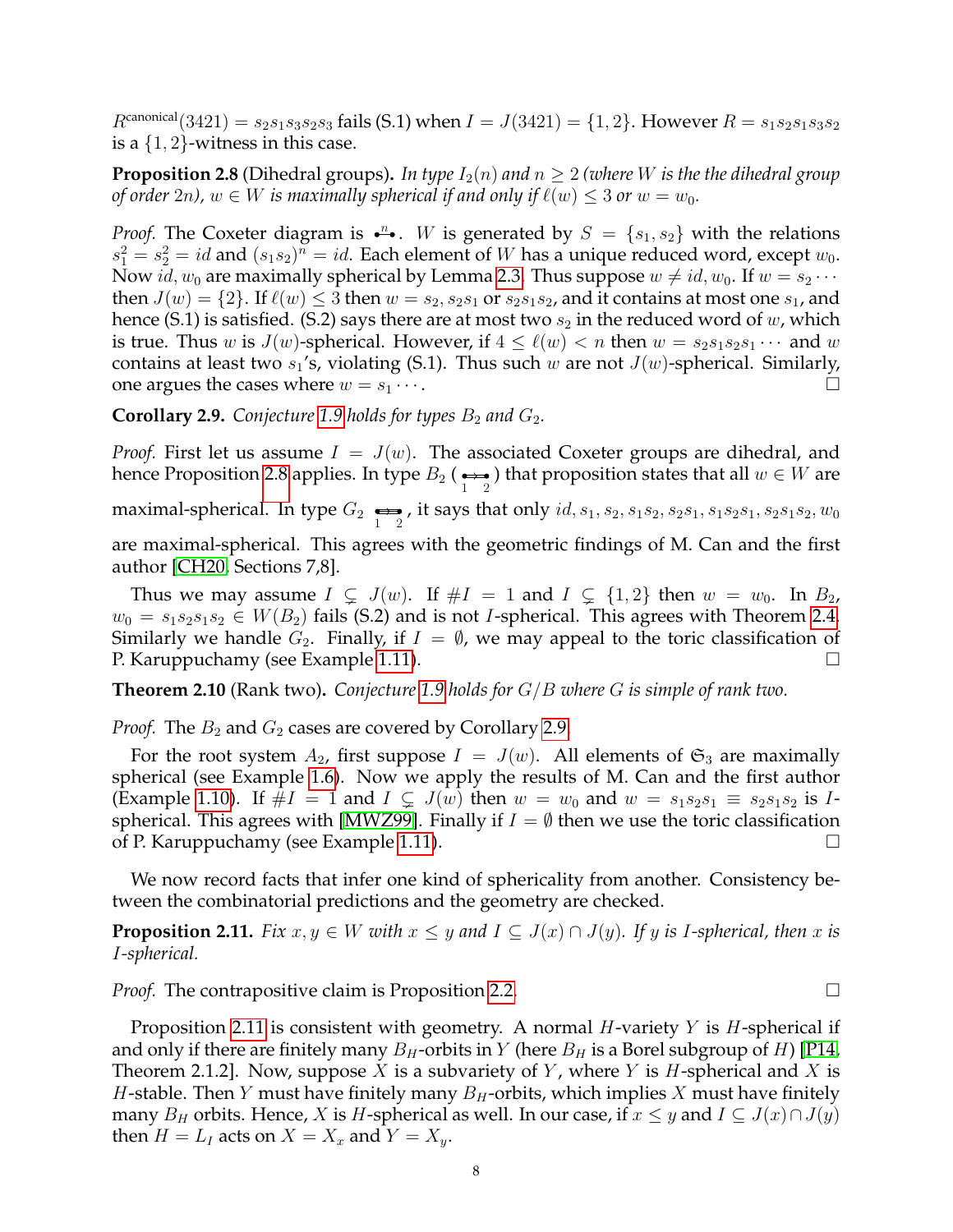$R^{\text{canonical}}(3421) = s_2s_1s_3s_2s_3$  fails (S.1) when  $I = J(3421) = \{1, 2\}$ . However  $R = s_1s_2s_1s_3s_2$ is a  $\{1, 2\}$ -witness in this case.

<span id="page-7-0"></span>**Proposition 2.8** (Dihedral groups). In type  $I_2(n)$  and  $n > 2$  (where W is the the dihedral group *of order* 2*n*),  $w \in W$  *is maximally spherical if and only if*  $\ell(w) \leq 3$  *or*  $w = w_0$ .

*Proof.* The Coxeter diagram is  $\cdot^n$ . W is generated by  $S = \{s_1, s_2\}$  with the relations  $s_1^2 = s_2^2 = id$  and  $(s_1 s_2)^n = id$ . Each element of W has a unique reduced word, except  $w_0$ . Now id,  $w_0$  are maximally spherical by Lemma [2.3.](#page-4-2) Thus suppose  $w \neq id$ ,  $w_0$ . If  $w = s_2 \cdots$ then  $J(w) = \{2\}$ . If  $\ell(w) \leq 3$  then  $w = s_2, s_2s_1$  or  $s_2s_1s_2$ , and it contains at most one  $s_1$ , and hence (S.1) is satisfied. (S.2) says there are at most two  $s_2$  in the reduced word of w, which is true. Thus w is  $J(w)$ -spherical. However, if  $4 \leq \ell(w) < n$  then  $w = s_2s_1s_2s_1 \cdots$  and w contains at least two  $s_1$ 's, violating (S.1). Thus such w are not  $J(w)$ -spherical. Similarly, one argues the cases where  $w = s_1 \cdots$ .

<span id="page-7-2"></span>**Corollary 2.9.** Conjecture [1.9](#page-2-2) holds for types  $B_2$  and  $G_2$ .

*Proof.* First let us assume  $I = J(w)$ . The associated Coxeter groups are dihedral, and hence Proposition [2.8](#page-7-0) applies. In type  $B_2$  ( $\underset{1}{\longleftrightarrow}$  ) that proposition states that all  $w\in W$  are maximal-spherical. In type  $G_2 \underset{1}{\Longleftrightarrow}$  , it says that only  $id, s_1, s_2, s_1s_2, s_2s_1, s_1s_2s_1, s_2s_1s_2, w_0$ are maximal-spherical. This agrees with the geometric findings of M. Can and the first author [\[CH20,](#page-24-0) Sections 7,8].

Thus we may assume  $I \subsetneq J(w)$ . If  $\#I = 1$  and  $I \subsetneq \{1,2\}$  then  $w = w_0$ . In  $B_2$ ,  $w_0 = s_1 s_2 s_1 s_2 \in W(B_2)$  fails (S.2) and is not *I*-spherical. This agrees with Theorem [2.4.](#page-5-0) Similarly we handle  $G_2$ . Finally, if  $I = \emptyset$ , we may appeal to the toric classification of P. Karuppuchamy (see Example [1.11\)](#page-3-1).

<span id="page-7-1"></span>**Theorem 2.10** (Rank two)**.** *Conjecture [1.9](#page-2-2) holds for* G/B *where* G *is simple of rank two.*

*Proof.* The  $B_2$  and  $G_2$  cases are covered by Corollary [2.9.](#page-7-2)

For the root system  $A_2$ , first suppose  $I = J(w)$ . All elements of  $\mathfrak{S}_3$  are maximally spherical (see Example [1.6\)](#page-1-0). Now we apply the results of M. Can and the first author (Example [1.10\)](#page-3-2). If  $\#I = 1$  and  $I \subsetneq J(w)$  then  $w = w_0$  and  $w = s_1 s_2 s_1 \equiv s_2 s_1 s_2$  is I-spherical. This agrees with [\[MWZ99\]](#page-25-1). Finally if  $I = \emptyset$  then we use the toric classification of P. Karuppuchamy (see Example [1.11\)](#page-3-1).

We now record facts that infer one kind of sphericality from another. Consistency between the combinatorial predictions and the geometry are checked.

<span id="page-7-3"></span>**Proposition 2.11.** *Fix*  $x, y \in W$  *with*  $x \leq y$  *and*  $I \subseteq J(x) \cap J(y)$ *. If*  $y$  *is I-spherical, then*  $x$  *is* I*-spherical.*

*Proof.* The contrapositive claim is Proposition [2.2.](#page-4-3) □

Proposition [2.11](#page-7-3) is consistent with geometry. A normal *H*-variety Y is *H*-spherical if and only if there are finitely many  $B_H$ -orbits in Y (here  $B_H$  is a Borel subgroup of H) [\[P14,](#page-25-7) Theorem 2.1.2]. Now, suppose X is a subvariety of Y, where Y is H-spherical and X is *H*-stable. Then *Y* must have finitely many  $B_H$ -orbits, which implies *X* must have finitely many  $B_H$  orbits. Hence, X is H-spherical as well. In our case, if  $x \leq y$  and  $I \subseteq J(x) \cap J(y)$ then  $H = L_I$  acts on  $X = X_x$  and  $Y = X_y$ .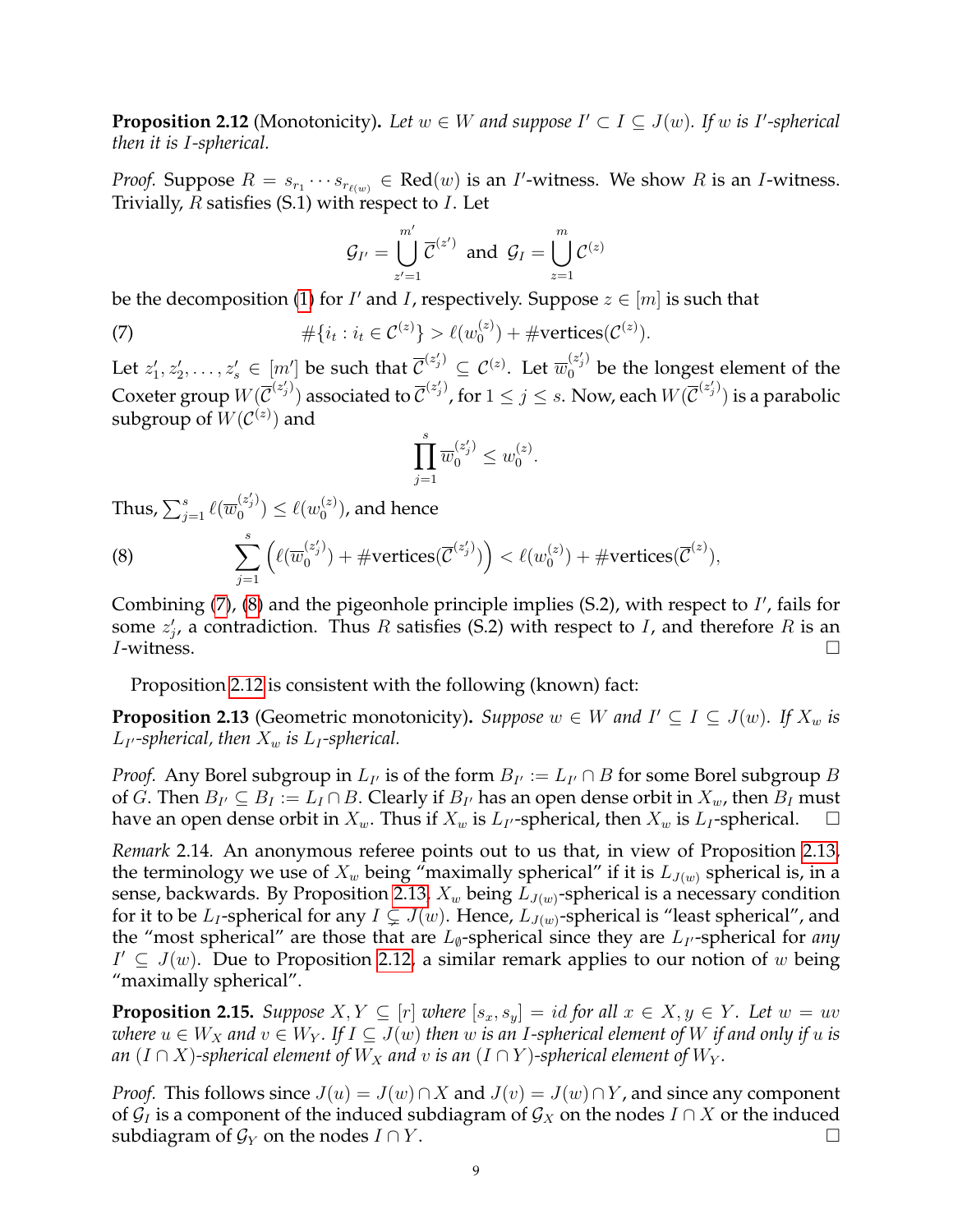<span id="page-8-2"></span>**Proposition 2.12** (Monotonicity). Let  $w \in W$  and suppose  $I' \subset I \subseteq J(w)$ . If w is I'-spherical *then it is* I*-spherical.*

*Proof.* Suppose  $R = s_{r_1} \cdots s_{r_{\ell(w)}} \in \text{Red}(w)$  is an *I*'-witness. We show R is an *I*-witness. Trivially,  $R$  satisfies (S.1) with respect to  $I$ . Let

<span id="page-8-0"></span>
$$
\mathcal{G}_{I'} = \bigcup_{z'=1}^{m'} \overline{\mathcal{C}}^{(z')} \text{ and } \mathcal{G}_{I} = \bigcup_{z=1}^{m} \mathcal{C}^{(z)}
$$

be the decomposition [\(1\)](#page-0-1) for  $I'$  and  $I$ , respectively. Suppose  $z \in [m]$  is such that

(7) 
$$
\#\{i_t : i_t \in C^{(z)}\} > \ell(w_0^{(z)}) + \#\text{vertices}(C^{(z)}).
$$

Let  $z'_1,z'_2,\ldots,z'_s\in[m']$  be such that  $\overline{\mathcal{C}}^{(z'_j)}\subseteq\mathcal{C}^{(z)}.$  Let  $\overline{w}_0^{(z'_j)}$  be the longest element of the Coxeter group  $W(\overline{\mathcal{C}}^{(z'_j)})$  associated to  $\overline{\mathcal{C}}^{(z'_j)}$ , for  $1\leq j\leq s.$  Now, each  $W(\overline{\mathcal{C}}^{(z'_j)})$  is a parabolic subgroup of  $W({\cal C}^{(z)})$  and

$$
\prod_{j=1}^{s} \overline{w}_0^{(z'_j)} \leq w_0^{(z)}
$$

.

Thus,  $\sum_{j=1}^s \ell(\overline{w}_0^{(z'_j)})$  $\binom{(z'_j)}{0} \leq \ell(w_0^{(z)})$  $\binom{z}{0}$ , and hence

<span id="page-8-1"></span>(8) 
$$
\sum_{j=1}^s \left( \ell(\overline{w}_0^{(z'_j)}) + \# \text{vertices}(\overline{C}^{(z'_j)}) \right) < \ell(w_0^{(z)}) + \# \text{vertices}(\overline{C}^{(z)}),
$$

Combining  $(7)$ ,  $(8)$  and the pigeonhole principle implies  $(S.2)$ , with respect to  $I'$ , fails for some  $z_j'$ , a contradiction. Thus R satisfies (S.2) with respect to I, and therefore R is an  $I$ -witness.

Proposition [2.12](#page-8-2) is consistent with the following (known) fact:

<span id="page-8-3"></span>**Proposition 2.13** (Geometric monotonicity). *Suppose*  $w \in W$  and  $I' \subseteq I \subseteq J(w)$ . If  $X_w$  is  $L_{I}$ -spherical, then  $X_w$  is  $L_I$ -spherical.

*Proof.* Any Borel subgroup in  $L_{I'}$  is of the form  $B_{I'} := L_{I'} \cap B$  for some Borel subgroup  $B$ of G. Then  $B_{I'} \subseteq B_I := L_I \cap B$ . Clearly if  $B_{I'}$  has an open dense orbit in  $X_w$ , then  $B_I$  must have an open dense orbit in  $X_w$ . Thus if  $X_w$  is  $L_{I}$ -spherical, then  $X_w$  is  $L_{I}$ -spherical.  $\Box$ 

*Remark* 2.14*.* An anonymous referee points out to us that, in view of Proposition [2.13,](#page-8-3) the terminology we use of  $X_w$  being "maximally spherical" if it is  $L_{J(w)}$  spherical is, in a sense, backwards. By Proposition [2.13,](#page-8-3)  $X_w$  being  $L_{J(w)}$ -spherical is a necessary condition for it to be  $L_I$ -spherical for any  $I \subsetneq J(w)$ . Hence,  $L_{J(w)}$ -spherical is "least spherical", and the "most spherical" are those that are  $L_{\emptyset}$ -spherical since they are  $L_{I'}$ -spherical for *any*  $I' ⊆ J(w)$ . Due to Proposition [2.12,](#page-8-2) a similar remark applies to our notion of w being "maximally spherical".

<span id="page-8-4"></span>**Proposition 2.15.** *Suppose*  $X, Y \subseteq [r]$  *where*  $[s_x, s_y] = id$  *for all*  $x \in X, y \in Y$ *. Let*  $w = uv$ *where*  $u \in W_X$  *and*  $v \in W_Y$ . If  $I \subseteq J(w)$  then w is an I-spherical element of W if and only if u is *an*  $(I \cap X)$ -spherical element of  $W_X$  and v is an  $(I \cap Y)$ -spherical element of  $W_Y$ .

*Proof.* This follows since  $J(u) = J(w) \cap X$  and  $J(v) = J(w) \cap Y$ , and since any component of  $\mathcal{G}_I$  is a component of the induced subdiagram of  $\mathcal{G}_X$  on the nodes  $I \cap X$  or the induced subdiagram of  $\mathcal{G}_Y$  on the nodes  $I \cap Y$ .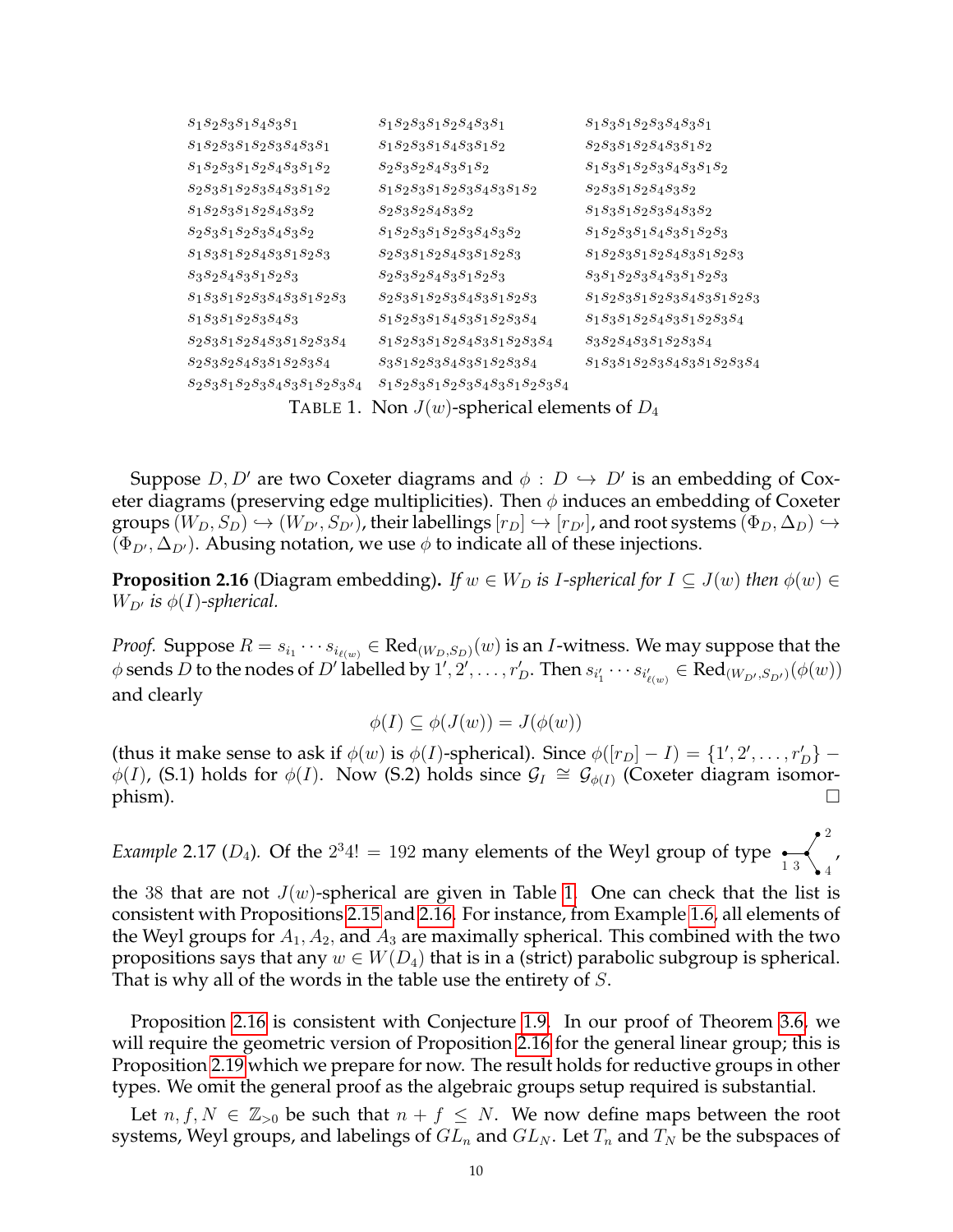| $S_1S_2S_3S_1S_4S_3S_1$                          | $S_1S_2S_3S_1S_2S_4S_3S_1$             | $S_1S_3S_1S_2S_3S_4S_3S_1$          |
|--------------------------------------------------|----------------------------------------|-------------------------------------|
| $S_1S_2S_3S_1S_2S_3S_4S_3S_1$                    | $S_1S_2S_3S_1S_4S_3S_1S_2$             | $S_2S_3S_1S_2S_4S_3S_1S_2$          |
| $S_1S_2S_3S_1S_2S_4S_3S_1S_2$                    | $s_2s_3s_2s_4s_3s_1s_2$                | $s_1s_3s_1s_2s_3s_4s_3s_1s_2$       |
| $S_2S_3S_1S_2S_3S_4S_3S_1S_2$                    | $S_1S_2S_3S_1S_2S_3S_4S_3S_1S_2$       | $S_2S_3S_1S_2S_4S_3S_2$             |
| $s_1s_2s_3s_1s_2s_4s_3s_2$                       | $s_2s_3s_2s_4s_3s_2$                   | $S_1S_3S_1S_2S_3S_4S_3S_2$          |
| $S_2S_3S_1S_2S_3S_4S_3S_2$                       | $s_1s_2s_3s_1s_2s_3s_4s_3s_2$          | $S_1S_2S_3S_1S_4S_3S_1S_2S_3$       |
| $S_1S_3S_1S_2S_4S_3S_1S_2S_3$                    | $s_2s_3s_1s_2s_4s_3s_1s_2s_3$          | $s_1s_2s_3s_1s_2s_4s_3s_1s_2s_3$    |
| $S_3S_2S_4S_3S_1S_2S_3$                          | $s_2s_3s_2s_4s_3s_1s_2s_3$             | $S_3S_1S_2S_3S_4S_3S_1S_2S_3$       |
| $S_1S_3S_1S_2S_3S_4S_3S_1S_2S_3$                 | $S_2S_3S_1S_2S_3S_4S_3S_1S_2S_3$       | $S_1S_2S_3S_1S_2S_3S_4S_3S_1S_2S_3$ |
| $S_1S_3S_1S_2S_3S_4S_3$                          | $S_1S_2S_3S_1S_4S_3S_1S_2S_3S_4$       | $S_1S_3S_1S_2S_4S_3S_1S_2S_3S_4$    |
| $S_2S_3S_1S_2S_4S_3S_1S_2S_3S_4$                 | $s_1s_2s_3s_1s_2s_4s_3s_1s_2s_3s_4$    | $s_3s_2s_4s_3s_1s_2s_3s_4$          |
| $S_2S_3S_2S_4S_3S_1S_2S_3S_4$                    | $s_3s_1s_2s_3s_4s_3s_1s_2s_3s_4$       | $s_1s_3s_1s_2s_3s_4s_3s_1s_2s_3s_4$ |
| $S_2S_3S_1S_2S_3S_4S_3S_1S_2S_3S_4$              | $s_1s_2s_3s_1s_2s_3s_4s_3s_1s_2s_3s_4$ |                                     |
| TABLE 1. Non $J(w)$ -spherical elements of $D_4$ |                                        |                                     |

<span id="page-9-0"></span>Suppose  $D, D'$  are two Coxeter diagrams and  $\phi : D \hookrightarrow D'$  is an embedding of Coxeter diagrams (preserving edge multiplicities). Then  $\phi$  induces an embedding of Coxeter groups  $(W_D, S_D) \hookrightarrow (W_{D'}, S_{D'})$ , their labellings  $[r_D] \hookrightarrow [r_{D'}]$ , and root systems  $(\Phi_D, \Delta_D) \hookrightarrow$  $(\Phi_{D'}, \Delta_{D'})$ . Abusing notation, we use  $\phi$  to indicate all of these injections.

<span id="page-9-1"></span>**Proposition 2.16** (Diagram embedding). If  $w \in W_D$  is *I-spherical for*  $I \subseteq J(w)$  *then*  $\phi(w) \in$  $W_{D'}$  *is*  $\phi(I)$ -spherical.

*Proof.* Suppose  $R = s_{i_1} \cdots s_{i_{\ell(w)}} \in \text{Red}_{(W_D, S_D)}(w)$  is an *I*-witness. We may suppose that the  $\phi$  sends  $D$  to the nodes of  $D'$  labelled by  $1', 2', \ldots, r_D'$ . Then  $s_{i_1'}\cdots s_{i_{\ell(w)}}\in \text{Red}_{(W_{D'},S_{D'})}(\phi(w))$ and clearly

$$
\phi(I) \subseteq \phi(J(w)) = J(\phi(w))
$$

(thus it make sense to ask if  $\phi(w)$  is  $\phi(I)$ -spherical). Since  $\phi([r_D] - I) = \{1', 2', \ldots, r_D'\}$  $\phi(I)$ , (S.1) holds for  $\phi(I)$ . Now (S.2) holds since  $\mathcal{G}_I \cong \mathcal{G}_{\phi(I)}$  (Coxeter diagram isomor- $\mathsf{phism}$ ).

*Example* 2.17 ( $D_4$ ). Of the  $2^34! = 192$  many elements of the Weyl group of type  $\frac{1}{13}$ 2 4 ,

the 38 that are not  $J(w)$ -spherical are given in Table [1.](#page-9-0) One can check that the list is consistent with Propositions [2.15](#page-8-4) and [2.16.](#page-9-1) For instance, from Example [1.6,](#page-1-0) all elements of the Weyl groups for  $A_1, A_2$ , and  $A_3$  are maximally spherical. This combined with the two propositions says that any  $w \in W(D_4)$  that is in a (strict) parabolic subgroup is spherical. That is why all of the words in the table use the entirety of S.

Proposition [2.16](#page-9-1) is consistent with Conjecture [1.9.](#page-2-2) In our proof of Theorem [3.6,](#page-13-1) we will require the geometric version of Proposition [2.16](#page-9-1) for the general linear group; this is Proposition [2.19](#page-11-1) which we prepare for now. The result holds for reductive groups in other types. We omit the general proof as the algebraic groups setup required is substantial.

Let  $n, f, N \in \mathbb{Z}_{>0}$  be such that  $n + f \leq N$ . We now define maps between the root systems, Weyl groups, and labelings of  $GL_n$  and  $GL_N$ . Let  $T_n$  and  $T_N$  be the subspaces of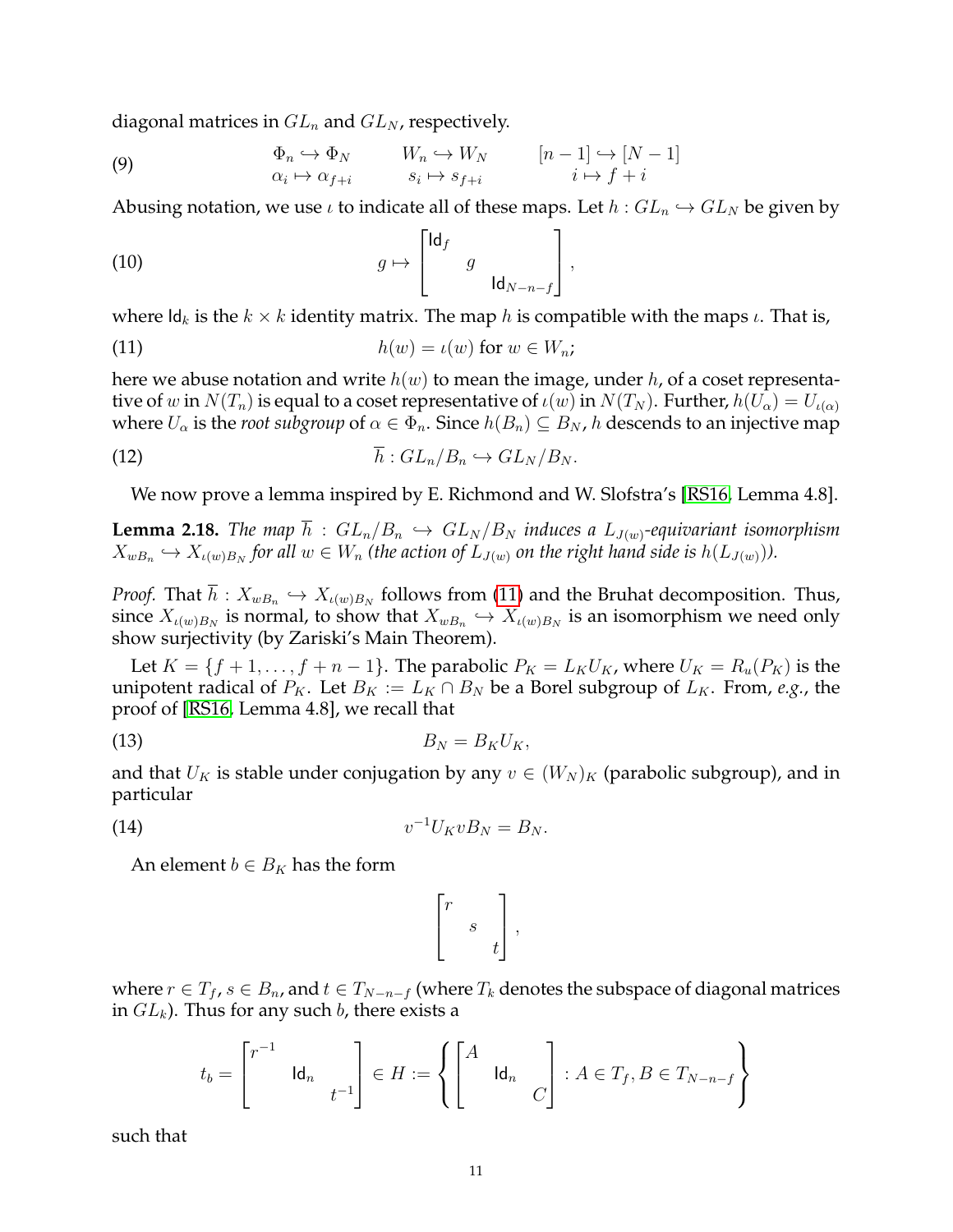diagonal matrices in  $GL_n$  and  $GL_N$ , respectively.

(9) 
$$
\Phi_n \hookrightarrow \Phi_N \qquad W_n \hookrightarrow W_N \qquad [n-1] \hookrightarrow [N-1] \n\alpha_i \mapsto \alpha_{f+i} \qquad s_i \mapsto s_{f+i} \qquad i \mapsto f+i
$$

Abusing notation, we use  $\iota$  to indicate all of these maps. Let  $h: GL_n \hookrightarrow GL_N$  be given by

(10) 
$$
g \mapsto \begin{bmatrix} \mathrm{Id}_f & & \\ & g & \\ & & \mathrm{Id}_{N-n-f} \end{bmatrix},
$$

where  $\mathsf{Id}_k$  is the  $k \times k$  identity matrix. The map h is compatible with the maps  $\iota$ . That is,

<span id="page-10-0"></span>(11) 
$$
h(w) = \iota(w) \text{ for } w \in W_n;
$$

here we abuse notation and write  $h(w)$  to mean the image, under h, of a coset representative of w in  $N(T_n)$  is equal to a coset representative of  $\iota(w)$  in  $N(T_N)$ . Further,  $h(U_\alpha) = U_{\iota(\alpha)}$ where  $U_\alpha$  is the *root subgroup* of  $\alpha \in \Phi_n$ . Since  $h(B_n) \subseteq B_N$ , h descends to an injective map

(12) 
$$
\overline{h}: GL_n/B_n \hookrightarrow GL_N/B_N.
$$

<span id="page-10-3"></span>We now prove a lemma inspired by E. Richmond and W. Slofstra's [\[RS16,](#page-25-17) Lemma 4.8].

<span id="page-10-4"></span>**Lemma 2.18.** *The map*  $\overline{h}$  :  $GL_n/B_n$   $\hookrightarrow$   $GL_N/B_N$  *induces a*  $L_{J(w)}$ *-equivariant isomorphism*  $X_{wB_n}\hookrightarrow X_{\iota(w)B_N}$  for all  $w\in W_n$  (the action of  $L_{J(w)}$  on the right hand side is  $h(L_{J(w)})).$ 

*Proof.* That  $h: X_{wB_n} \hookrightarrow X_{\iota(w)B_N}$  follows from [\(11\)](#page-10-0) and the Bruhat decomposition. Thus, since  $X_{\iota(w)B_N}$  is normal, to show that  $X_{wB_n} \hookrightarrow X_{\iota(w)B_N}$  is an isomorphism we need only show surjectivity (by Zariski's Main Theorem).

Let  $K = \{f+1, \ldots, f+n-1\}$ . The parabolic  $P_K = L_K U_K$ , where  $U_K = R_u(P_K)$  is the unipotent radical of  $P_K$ . Let  $B_K := L_K \cap B_N$  be a Borel subgroup of  $L_K$ . From, *e.g.*, the proof of [\[RS16,](#page-25-17) Lemma 4.8], we recall that

$$
(13) \t\t\t B_N = B_K U_K,
$$

and that  $U_K$  is stable under conjugation by any  $v \in (W_N)_K$  (parabolic subgroup), and in particular

$$
(14) \t\t\t v^{-1}U_K v B_N = B_N.
$$

An element  $b \in B_K$  has the form

<span id="page-10-2"></span><span id="page-10-1"></span>
$$
\begin{bmatrix} r & & \\ & s & \\ & & t \end{bmatrix},
$$

where  $r \in T_f$ ,  $s \in B_n$ , and  $t \in T_{N-n-f}$  (where  $T_k$  denotes the subspace of diagonal matrices in  $GL_k$ ). Thus for any such b, there exists a

$$
t_b = \begin{bmatrix} r^{-1} & & \\ & \operatorname{Id}_n & \\ & & t^{-1} \end{bmatrix} \in H := \left\{ \begin{bmatrix} A & & \\ & \operatorname{Id}_n & \\ & & C \end{bmatrix} : A \in T_f, B \in T_{N-n-f} \right\}
$$

such that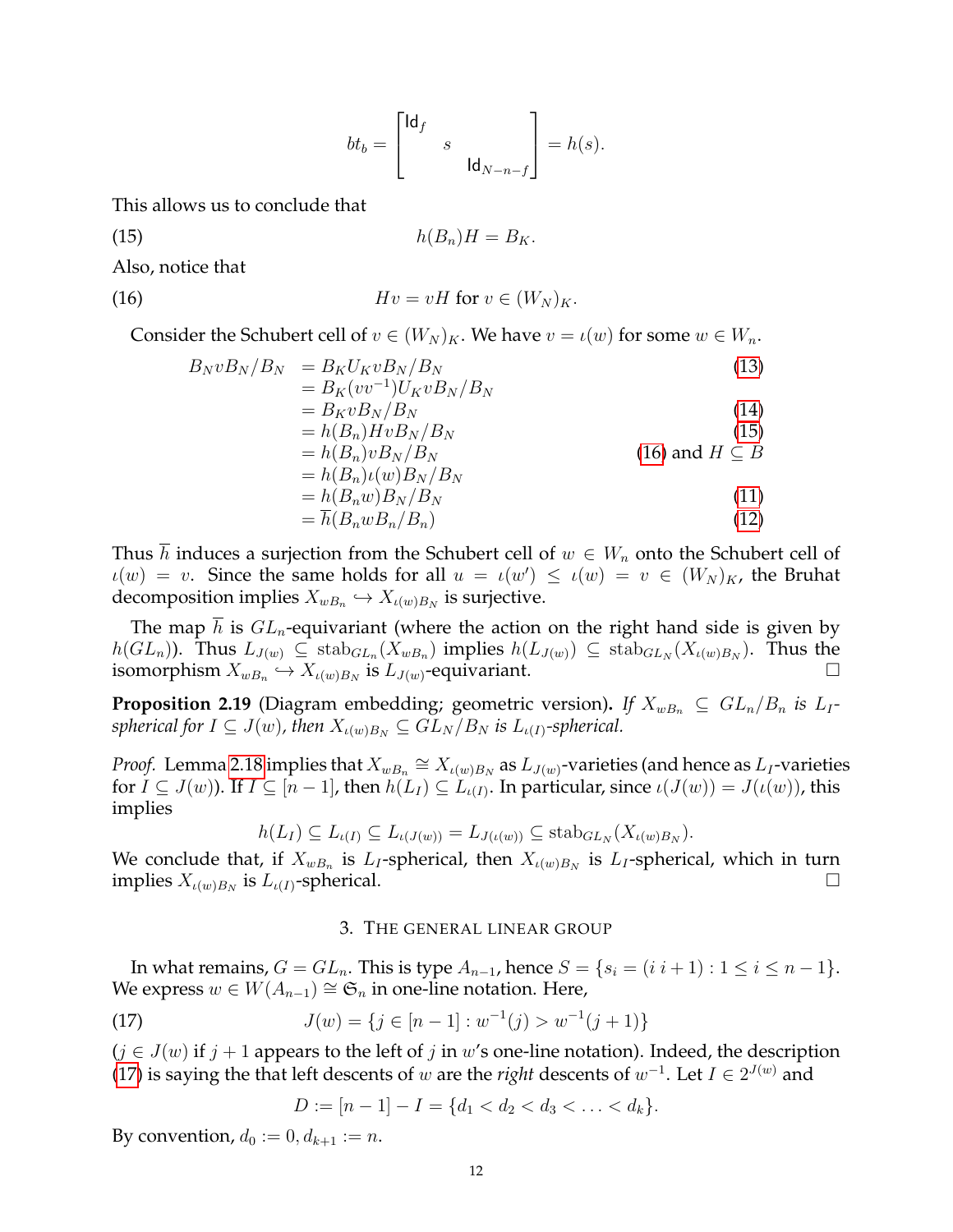<span id="page-11-3"></span><span id="page-11-2"></span>
$$
bt_b = \begin{bmatrix} \mathsf{Id}_f & & \\ & s & \\ & & \mathsf{Id}_{N-n-f} \end{bmatrix} = h(s).
$$

This allows us to conclude that

$$
(15) \t\t\t h(B_n)H=B_K.
$$

Also, notice that

(16) 
$$
Hv = vH \text{ for } v \in (W_N)_K.
$$

Consider the Schubert cell of  $v \in (W_N)_K$ . We have  $v = \iota(w)$  for some  $w \in W_n$ .

$$
B_N v B_N / B_N = B_K U_K v B_N / B_N
$$
  
\n
$$
= B_K (v v^{-1}) U_K v B_N / B_N
$$
  
\n
$$
= B_K v B_N / B_N
$$
  
\n
$$
= h(B_n) H v B_N / B_N
$$
  
\n
$$
= h(B_n) v B_N / B_N
$$
  
\n
$$
= h(B_n) u(w) B_N / B_N
$$
  
\n
$$
= h(B_n w) B_N / B_N
$$
  
\n
$$
= h(B_n w B_n / B_n)
$$
  
\n(11)  
\n(12)

Thus h induces a surjection from the Schubert cell of  $w \in W_n$  onto the Schubert cell of  $u(w) = v$ . Since the same holds for all  $u = u(w') \le u(w) = v \in (W_N)_{K}$ , the Bruhat decomposition implies  $X_{wB_n} \hookrightarrow X_{\iota(w)B_N}$  is surjective.

The map h is  $GL_n$ -equivariant (where the action on the right hand side is given by  $h(GL_n)$ ). Thus  $L_{J(w)} \subseteq \text{stab}_{GL_n}(X_{wB_n})$  implies  $h(L_{J(w)}) \subseteq \text{stab}_{GL_N}(X_{\iota(w)B_N})$ . Thus the isomorphism  $X_{wB_n} \hookrightarrow X_{\iota(w)B_N}$  is  $L_{J(w)}$ -equivariant.

<span id="page-11-1"></span>**Proposition 2.19** (Diagram embedding; geometric version). *If*  $X_{wB_n} \subseteq GL_n/B_n$  *is*  $L_I$ *spherical for*  $I \subseteq J(w)$ *, then*  $X_{\iota(w)B_N} \subseteq GL_N/B_N$  *is*  $L_{\iota(I)}$ *-spherical.* 

*Proof.* Lemma [2.18](#page-10-4) implies that  $X_{wB_n} \cong X_{\iota(w)B_N}$  as  $L_{J(w)}$ -varieties (and hence as  $L_I$ -varieties for  $I \subseteq J(w)$ ). If  $I \subseteq [n-1]$ , then  $h(L_I) \subseteq L_{\iota(I)}$ . In particular, since  $\iota(J(w)) = J(\iota(w))$ , this implies

$$
h(L_I) \subseteq L_{\iota(I)} \subseteq L_{\iota(J(w))} = L_{J(\iota(w))} \subseteq \mathrm{stab}_{GL_N}(X_{\iota(w)B_N}).
$$

We conclude that, if  $X_{wB_n}$  is  $L_I$ -spherical, then  $X_{\iota(w)B_N}$  is  $L_I$ -spherical, which in turn implies  $X_{\iota(w)B_N}$  is  $L_{\iota(I)}$ -spherical.

### <span id="page-11-4"></span>3. THE GENERAL LINEAR GROUP

<span id="page-11-0"></span>In what remains,  $G = GL_n$ . This is type  $A_{n-1}$ , hence  $S = \{s_i = (i \ i+1) : 1 \le i \le n-1\}$ . We express  $w ∈ W(A_{n-1}) \cong \mathfrak{S}_n$  in one-line notation. Here,

(17) 
$$
J(w) = \{ j \in [n-1] : w^{-1}(j) > w^{-1}(j+1) \}
$$

 $(j \in J(w)$  if  $j + 1$  appears to the left of j in w's one-line notation). Indeed, the description [\(17\)](#page-11-4) is saying the that left descents of w are the *right* descents of  $w^{-1}$ . Let  $I \in 2^{J(w)}$  and

$$
D := [n-1] - I = \{d_1 < d_2 < d_3 < \ldots < d_k\}.
$$

By convention,  $d_0 := 0, d_{k+1} := n$ .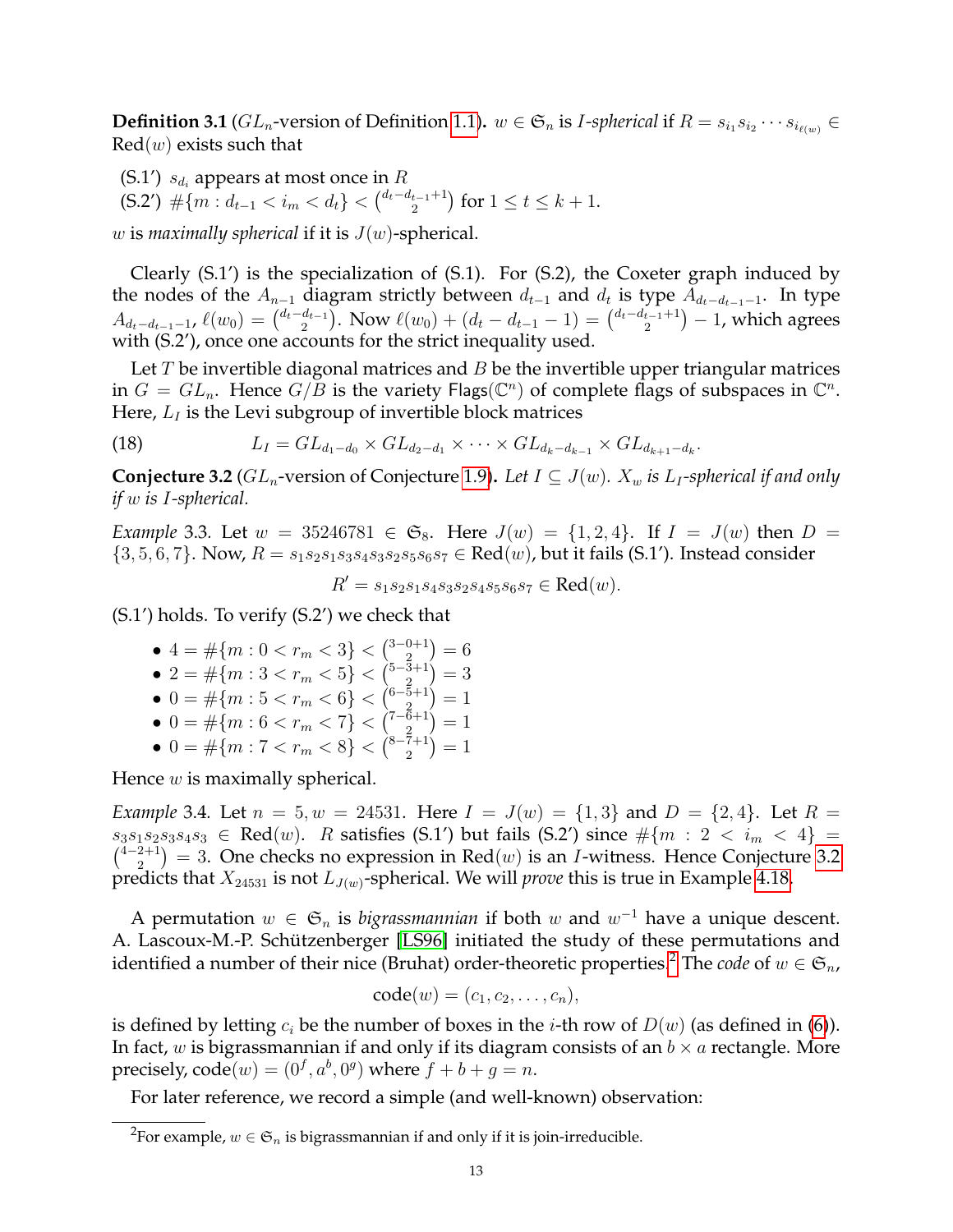$\bf{Definition 3.1}$  ( $GL_n$ -version of Definition [1.1\)](#page-0-0).  $w\in \mathfrak{S}_n$  is *I-spherical* if  $R=s_{i_1}s_{i_2}\cdots s_{i_{\ell(w)}}\in E$  $Red(w)$  exists such that

(S.1')  $s_{d_i}$  appears at most once in  $R$ 

 $(5.2')$   $\#\{m : d_{t-1} < i_m < d_t\} < {d_t - d_{t-1} + 1 \choose 2}$  $\binom{t-1}{2}$  for  $1 \le t \le k+1$ .

w is *maximally spherical* if it is  $J(w)$ -spherical.

Clearly (S.1') is the specialization of (S.1). For (S.2), the Coxeter graph induced by the nodes of the  $A_{n-1}$  diagram strictly between  $d_{t-1}$  and  $d_t$  is type  $A_{d_t-d_{t-1}-1}$ . In type  $A_{d_t-d_{t-1}-1}$ ,  $\ell(w_0) = \binom{d_t-d_{t-1}}{2}$  $\binom{d_{t-1}}{2}$ . Now  $\ell(w_0) + (d_t - d_{t-1} - 1) = \binom{d_t - d_{t-1} + 1}{2}$  $\binom{t-1}{2} - 1$ , which agrees with (S.2'), once one accounts for the strict inequality used.

Let  $T$  be invertible diagonal matrices and  $B$  be the invertible upper triangular matrices in  $G = GL_n$ . Hence  $G/B$  is the variety Flags( $\mathbb{C}^n$ ) of complete flags of subspaces in  $\mathbb{C}^n$ . Here,  $L_I$  is the Levi subgroup of invertible block matrices

(18) 
$$
L_I = GL_{d_1-d_0} \times GL_{d_2-d_1} \times \cdots \times GL_{d_k-d_{k-1}} \times GL_{d_{k+1}-d_k}.
$$

<span id="page-12-0"></span>**Conjecture 3.2** ( $GL_n$ -version of Conjecture [1.9\)](#page-2-2). Let  $I \subseteq J(w)$ .  $X_w$  is  $L_I$ -spherical if and only *if* w *is* I*-spherical.*

*Example* 3.3*.* Let  $w = 35246781 \in \mathfrak{S}_8$ . Here  $J(w) = \{1, 2, 4\}$ . If  $I = J(w)$  then  $D =$  $\{3, 5, 6, 7\}$ . Now,  $R = s_1 s_2 s_1 s_3 s_4 s_3 s_2 s_5 s_6 s_7 \in \text{Red}(w)$ , but it fails (S.1'). Instead consider

 $R' = s_1 s_2 s_1 s_4 s_3 s_2 s_4 s_5 s_6 s_7 \in \text{Red}(w).$ 

(S.1') holds. To verify (S.2') we check that

- $4 = \#\{m: 0 < r_m < 3\} < \binom{3-0+1}{2}$  $\binom{0+1}{2} = 6$
- 2 =  $\#\{m: 3 < r_m < 5\}$  <  $\binom{5-3+1}{2}$  $\binom{3+1}{2} = 3$
- 0 =  $\#\{m: 5 < r_m < 6\} < {\binom{6-5+1}{2}}$  $\binom{5+1}{2} = 1$
- 0 =  $\#\{m: 6 < r_m < 7\} < {\binom{7-\overline{6}+1}{2}}$  $\binom{6+1}{2} = 1$
- 0 =  $\#\{m: 7 < r_m < 8\} < {\binom{8-7+1}{2}}$  $\binom{7+1}{2} = 1$

Hence  $w$  is maximally spherical.

<span id="page-12-2"></span>*Example* 3.4*.* Let  $n = 5, w = 24531$ . Here  $I = J(w) = \{1, 3\}$  and  $D = \{2, 4\}$ . Let  $R =$  $s_3s_1s_2s_3s_4s_3 \in \text{Red}(w)$ . R satisfies (S.1') but fails (S.2') since  $\#\{m : 2 < i_m < 4\}$  $\binom{4-2+1}{2}$  $\binom{2+1}{2}$  = 3. One checks no expression in Red $(w)$  is an *I*-witness. Hence Conjecture [3.2](#page-12-0) predicts that  $X_{24531}$  is not  $L_{J(w)}$ -spherical. We will *prove* this is true in Example [4.18.](#page-19-0)

A permutation  $w \in \mathfrak{S}_n$  is *bigrassmannian* if both w and  $w^{-1}$  have a unique descent. A. Lascoux-M.-P. Schützenberger [\[LS96\]](#page-25-10) initiated the study of these permutations and identified a number of their nice (Bruhat) order-theoretic properties.<sup>[2](#page-12-1)</sup> The *code* of  $w \in \mathfrak{S}_n$ ,

$$
code(w) = (c_1, c_2, \ldots, c_n),
$$

is defined by letting  $c_i$  be the number of boxes in the *i*-th row of  $D(w)$  (as defined in [\(6\)](#page-6-2)). In fact, w is bigrassmannian if and only if its diagram consists of an  $b \times a$  rectangle. More precisely,  $\text{code}(w) = (0^f, a^b, 0^g)$  where  $f + b + g = n$ .

For later reference, we record a simple (and well-known) observation:

<span id="page-12-1"></span> $^{2}$ For example,  $w\in \mathfrak{S}_{n}$  is bigrassmannian if and only if it is join-irreducible.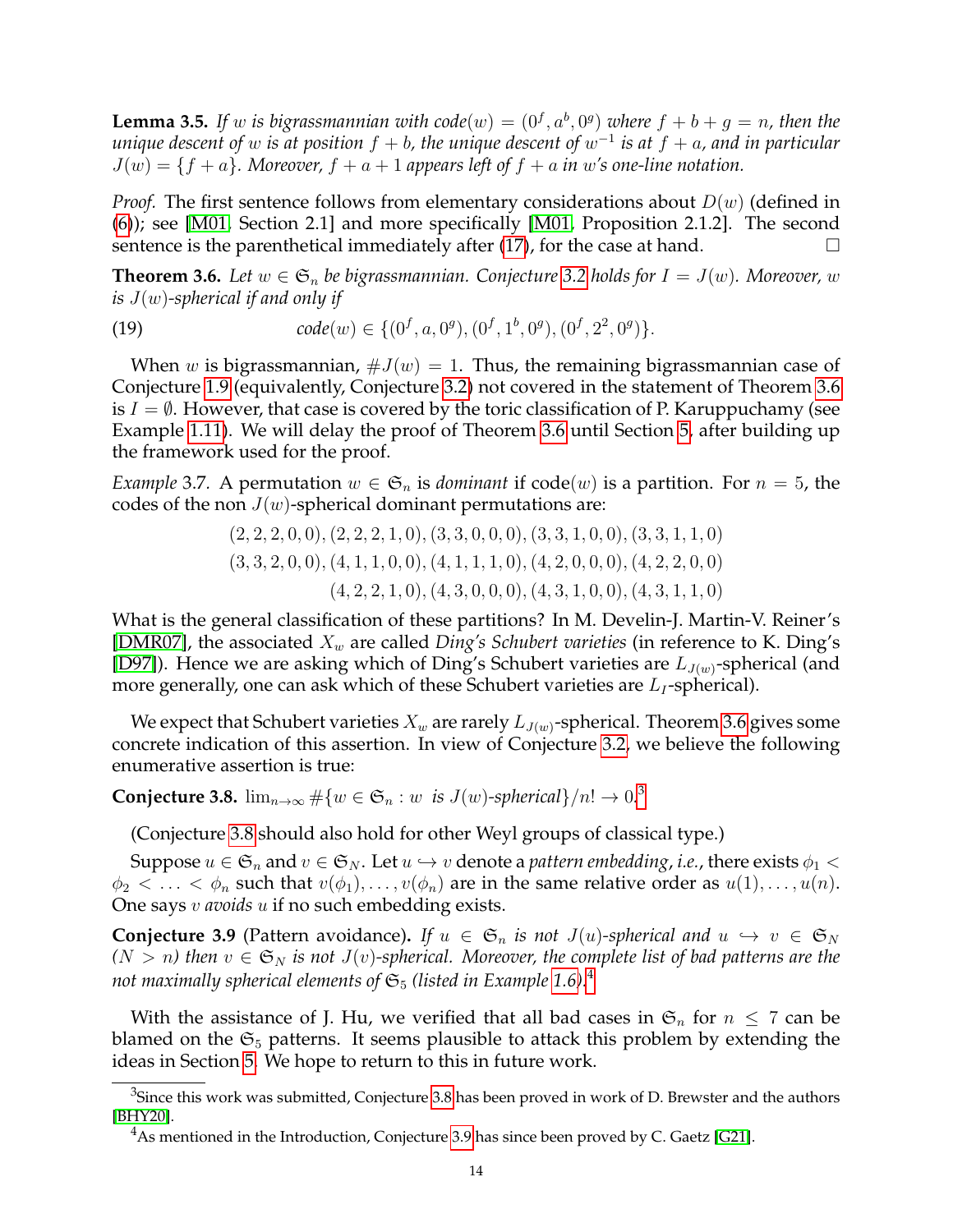<span id="page-13-6"></span>**Lemma 3.5.** If w is bigrassmannian with  $code(w) = (0^f, a^b, 0^g)$  where  $f + b + g = n$ , then the  $u$ nique descent of  $w$  is at position  $f + b$ , the unique descent of  $w^{-1}$  is at  $f + a$ , and in particular  $J(w) = \{f + a\}$ . Moreover,  $f + a + 1$  appears left of  $f + a$  in w's one-line notation.

*Proof.* The first sentence follows from elementary considerations about  $D(w)$  (defined in [\(6\)](#page-6-2)); see [\[M01,](#page-25-0) Section 2.1] and more specifically [\[M01,](#page-25-0) Proposition 2.1.2]. The second sentence is the parenthetical immediately after [\(17\)](#page-11-4), for the case at hand.

<span id="page-13-1"></span>**Theorem 3.6.** Let  $w \in \mathfrak{S}_n$  be bigrassmannian. Conjecture [3.2](#page-12-0) holds for  $I = J(w)$ . Moreover, w *is* J(w)*-spherical if and only if*

<span id="page-13-5"></span>(19)  $code(w) \in \{(0^f, a, 0^g), (0^f, 1^b, 0^g), (0^f, 2^2, 0^g)\}.$ 

When w is bigrassmannian,  $\#J(w) = 1$ . Thus, the remaining bigrassmannian case of Conjecture [1.9](#page-2-2) (equivalently, Conjecture [3.2\)](#page-12-0) not covered in the statement of Theorem [3.6](#page-13-1) is  $I = \emptyset$ . However, that case is covered by the toric classification of P. Karuppuchamy (see Example [1.11\)](#page-3-1). We will delay the proof of Theorem [3.6](#page-13-1) until Section [5,](#page-21-0) after building up the framework used for the proof.

*Example* 3.7. A permutation  $w \in \mathfrak{S}_n$  is *dominant* if  $code(w)$  is a partition. For  $n = 5$ , the codes of the non  $J(w)$ -spherical dominant permutations are:

$$
(2, 2, 2, 0, 0), (2, 2, 2, 1, 0), (3, 3, 0, 0, 0), (3, 3, 1, 0, 0), (3, 3, 1, 1, 0)(3, 3, 2, 0, 0), (4, 1, 1, 0, 0), (4, 1, 1, 1, 0), (4, 2, 0, 0, 0), (4, 2, 2, 0, 0)(4, 2, 2, 1, 0), (4, 3, 0, 0, 0), (4, 3, 1, 0, 0), (4, 3, 1, 1, 0)
$$

What is the general classification of these partitions? In M. Develin-J. Martin-V. Reiner's [\[DMR07\]](#page-25-18), the associated  $X_w$  are called *Ding's Schubert varieties* (in reference to K. Ding's [\[D97\]](#page-25-19)). Hence we are asking which of Ding's Schubert varieties are  $L_{J(w)}$ -spherical (and more generally, one can ask which of these Schubert varieties are  $L_I$ -spherical).

We expect that Schubert varieties  $X_w$  are rarely  $L_{J(w)}$ -spherical. Theorem [3.6](#page-13-1) gives some concrete indication of this assertion. In view of Conjecture [3.2,](#page-12-0) we believe the following enumerative assertion is true:

<span id="page-13-0"></span>**Conjecture [3](#page-13-3).8.**  $\lim_{n\to\infty} \#\{w \in \mathfrak{S}_n : w \text{ is } J(w) \text{-spherical}\}/n! \to 0.$ <sup>3</sup>

(Conjecture [3.8](#page-13-0) should also hold for other Weyl groups of classical type.)

Suppose  $u \in \mathfrak{S}_n$  and  $v \in \mathfrak{S}_N$ . Let  $u \hookrightarrow v$  denote a *pattern embedding*, *i.e.*, there exists  $\phi_1$  <  $\phi_2 < \ldots < \phi_n$  such that  $v(\phi_1), \ldots, v(\phi_n)$  are in the same relative order as  $u(1), \ldots, u(n)$ . One says v *avoids* u if no such embedding exists.

<span id="page-13-2"></span>**Conjecture 3.9** (Pattern avoidance). If  $u \in \mathfrak{S}_n$  is not  $J(u)$ -spherical and  $u \hookrightarrow v \in \mathfrak{S}_N$  $(N > n)$  then  $v \in \mathfrak{S}_N$  *is not*  $J(v)$ -spherical. Moreover, the complete list of bad patterns are the *not maximally spherical elements of*  $\mathfrak{S}_5$  *(listed in Example* [1.6\)](#page-1-0).<sup>[4](#page-13-4)</sup>

With the assistance of J. Hu, we verified that all bad cases in  $\mathfrak{S}_n$  for  $n \leq 7$  can be blamed on the  $\mathfrak{S}_5$  patterns. It seems plausible to attack this problem by extending the ideas in Section [5.](#page-21-0) We hope to return to this in future work.

<span id="page-13-3"></span> ${}^{3}$ Since this work was submitted, Conjecture [3.8](#page-13-0) has been proved in work of D. Brewster and the authors [\[BHY20\]](#page-24-8).

<span id="page-13-4"></span><sup>&</sup>lt;sup>4</sup>As mentioned in the Introduction, Conjecture [3.9](#page-13-2) has since been proved by C. Gaetz [\[G21\]](#page-25-11).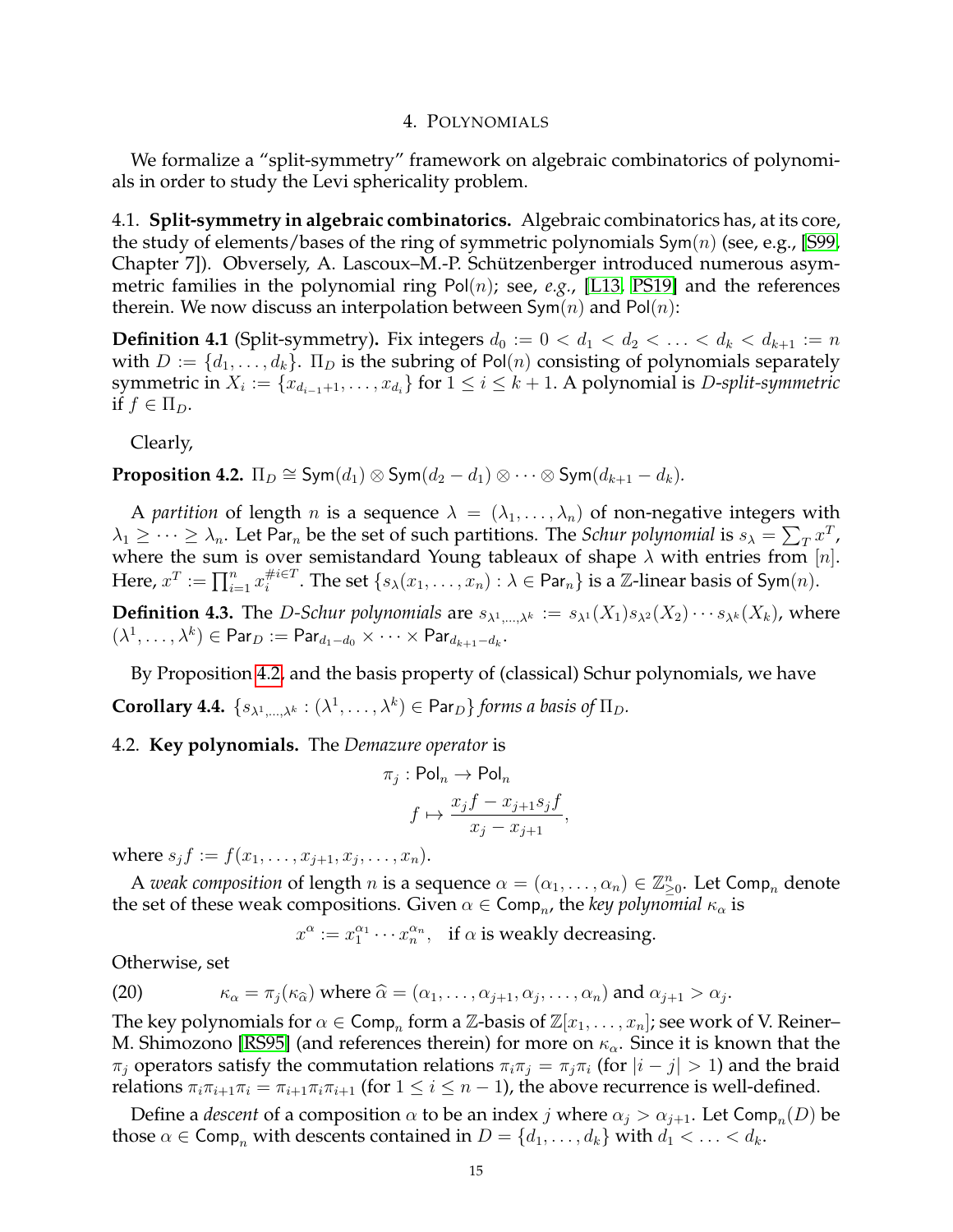#### 4. POLYNOMIALS

<span id="page-14-0"></span>We formalize a "split-symmetry" framework on algebraic combinatorics of polynomials in order to study the Levi sphericality problem.

4.1. **Split-symmetry in algebraic combinatorics.** Algebraic combinatorics has, at its core, the study of elements/bases of the ring of symmetric polynomials  $Sym(n)$  (see, e.g., [\[S99,](#page-25-20) Chapter 7]). Obversely, A. Lascoux–M.-P. Schützenberger introduced numerous asymmetric families in the polynomial ring Pol(n); see, *e.g.*, [\[L13,](#page-25-21) [PS19\]](#page-25-13) and the references therein. We now discuss an interpolation between  $\mathsf{Sym}(n)$  and  $\mathsf{Pol}(n)$ :

**Definition 4.1** (Split-symmetry). Fix integers  $d_0 := 0 < d_1 < d_2 < \ldots < d_k < d_{k+1} := n$ with  $D := \{d_1, \ldots, d_k\}$ .  $\Pi_D$  is the subring of Pol(n) consisting of polynomials separately symmetric in  $X_i := \{x_{d_{i-1}+1}, \ldots, x_{d_i}\}$  for  $1 \leq i \leq k+1$ . A polynomial is *D-split-symmetric* if  $f \in \Pi_D$ .

Clearly,

<span id="page-14-1"></span>**Proposition 4.2.**  $\Pi_D \cong \mathsf{Sym}(d_1) \otimes \mathsf{Sym}(d_2 - d_1) \otimes \cdots \otimes \mathsf{Sym}(d_{k+1} - d_k)$ .

A *partition* of length *n* is a sequence  $\lambda = (\lambda_1, \dots, \lambda_n)$  of non-negative integers with  $\lambda_1\geq\cdots\geq\lambda_n.$  Let Par<sub>n</sub> be the set of such partitions. The Schur polynomial is  $s_\lambda=\sum_T x^T$  , where the sum is over semistandard Young tableaux of shape  $\lambda$  with entries from [n]. Here,  $x^T := \prod_{i=1}^n x_i^{\#i \in T}$  $_{i}^{\#i\in T}.$  The set  $\{s_{\lambda}(x_1,\ldots,x_n): \lambda\in {\sf Par}_n\}$  is a  $\mathbb Z\text{-linear basis of }{\sf Sym}(n).$ 

**Definition 4.3.** The *D-Schur polynomials* are  $s_{\lambda^1,\dots,\lambda^k} := s_{\lambda^1}(X_1)s_{\lambda^2}(X_2)\cdots s_{\lambda^k}(X_k)$ , where  $(\lambda^1, \ldots, \lambda^k) \in {\sf Par}_D := {\sf Par}_{d_1-d_0} \times \cdots \times {\sf Par}_{d_{k+1}-d_k}.$ 

<span id="page-14-2"></span>By Proposition [4.2,](#page-14-1) and the basis property of (classical) Schur polynomials, we have **Corollary 4.4.**  $\{s_{\lambda^1,\dots,\lambda^k} : (\lambda^1,\dots,\lambda^k) \in \text{Par}_D\}$  *forms a basis of*  $\Pi_D$ *.* 

## <span id="page-14-3"></span>4.2. **Key polynomials.** The *Demazure operator* is

$$
\pi_j : \text{Pol}_n \to \text{Pol}_n
$$

$$
f \mapsto \frac{x_j f - x_{j+1} s_j f}{x_j - x_{j+1}},
$$

where  $s_j f := f(x_1, \ldots, x_{j+1}, x_j, \ldots, x_n)$ .

A *weak composition* of length *n* is a sequence  $\alpha = (\alpha_1, \dots, \alpha_n) \in \mathbb{Z}_{\geq 0}^n$ . Let Comp<sub>*n*</sub> denote the set of these weak compositions. Given  $\alpha \in \mathsf{Comp}_n$ , the *key polynomial*  $\kappa_\alpha$  is

 $x^{\alpha} := x_1^{\alpha_1} \cdots x_n^{\alpha_n}$ , if  $\alpha$  is weakly decreasing.

Otherwise, set

(20) 
$$
\kappa_{\alpha} = \pi_j(\kappa_{\widehat{\alpha}}) \text{ where } \widehat{\alpha} = (\alpha_1, \dots, \alpha_{j+1}, \alpha_j, \dots, \alpha_n) \text{ and } \alpha_{j+1} > \alpha_j.
$$

The key polynomials for  $\alpha \in \mathsf{Comp}_n$  form a  $\mathbb{Z}\text{-basis}$  of  $\mathbb{Z}[x_1,\ldots,x_n]$ ; see work of V. Reiner– M. Shimozono [\[RS95\]](#page-25-22) (and references therein) for more on  $\kappa_{\alpha}$ . Since it is known that the  $\pi_j$  operators satisfy the commutation relations  $\pi_i \pi_j = \pi_j \pi_i$  (for  $|i - j| > 1$ ) and the braid relations  $\pi_i \pi_{i+1} \pi_i = \pi_{i+1} \pi_i \pi_{i+1}$  (for  $1 \leq i \leq n-1$ ), the above recurrence is well-defined.

Define a *descent* of a composition  $\alpha$  to be an index  $j$  where  $\alpha_j > \alpha_{j+1}$ . Let Comp<sub>n</sub> $(D)$  be those  $\alpha \in \text{Comp}_n$  with descents contained in  $D = \{d_1, \ldots, d_k\}$  with  $d_1 < \ldots < d_k$ .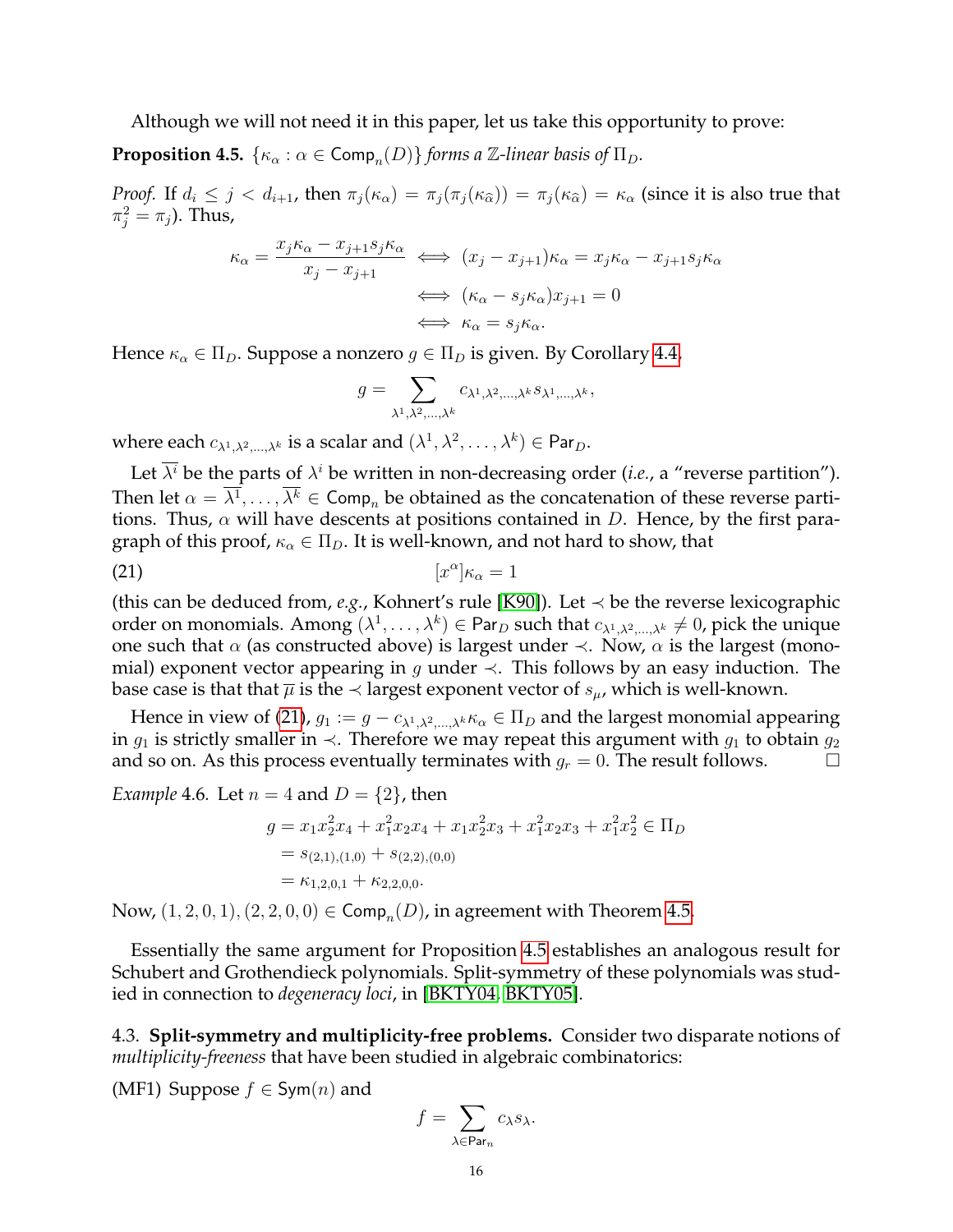Although we will not need it in this paper, let us take this opportunity to prove:

<span id="page-15-1"></span>**Proposition 4.5.**  $\{\kappa_\alpha : \alpha \in \textsf{Comp}_n(D)\}\$  *forms a*  $\mathbb{Z}\text{-linear basis of } \Pi_D$ *.* 

*Proof.* If  $d_i \leq j < d_{i+1}$ , then  $\pi_j(\kappa_\alpha) = \pi_j(\pi_j(\kappa_{\widehat{\alpha}})) = \pi_j(\kappa_{\widehat{\alpha}}) = \kappa_\alpha$  (since it is also true that  $\pi_j^2 = \pi_j$ ). Thus,

$$
\kappa_{\alpha} = \frac{x_j \kappa_{\alpha} - x_{j+1} s_j \kappa_{\alpha}}{x_j - x_{j+1}} \iff (x_j - x_{j+1}) \kappa_{\alpha} = x_j \kappa_{\alpha} - x_{j+1} s_j \kappa_{\alpha}
$$

$$
\iff (\kappa_{\alpha} - s_j \kappa_{\alpha}) x_{j+1} = 0
$$

$$
\iff \kappa_{\alpha} = s_j \kappa_{\alpha}.
$$

Hence  $\kappa_{\alpha} \in \Pi_D$ . Suppose a nonzero  $g \in \Pi_D$  is given. By Corollary [4.4,](#page-14-2)

<span id="page-15-0"></span>
$$
g = \sum_{\lambda^1, \lambda^2, \dots, \lambda^k} c_{\lambda^1, \lambda^2, \dots, \lambda^k} s_{\lambda^1, \dots, \lambda^k},
$$

where each  $c_{\lambda^1,\lambda^2,...,\lambda^k}$  is a scalar and  $(\lambda^1,\lambda^2,\ldots,\lambda^k)\in {\sf Par}_D.$ 

Let  $\overline{\lambda^i}$  be the parts of  $\lambda^i$  be written in non-decreasing order (*i.e.*, a "reverse partition"). Then let  $\alpha = \lambda^1, \ldots, \lambda^k \in \textsf{Comp}_n$  be obtained as the concatenation of these reverse partitions. Thus,  $\alpha$  will have descents at positions contained in D. Hence, by the first paragraph of this proof,  $\kappa_{\alpha} \in \Pi_D$ . It is well-known, and not hard to show, that

$$
[x^{\alpha}] \kappa_{\alpha} = 1
$$

(this can be deduced from, *e.g.*, Kohnert's rule [\[K90\]](#page-25-23)). Let  $\prec$  be the reverse lexicographic order on monomials. Among  $(\lambda^1,\dots,\lambda^k)\in$  Par $_D$  such that  $c_{\lambda^1,\lambda^2,\dots,\lambda^k}\neq 0$ , pick the unique one such that  $\alpha$  (as constructed above) is largest under  $\prec$ . Now,  $\alpha$  is the largest (monomial) exponent vector appearing in g under  $\prec$ . This follows by an easy induction. The base case is that that  $\overline{\mu}$  is the  $\prec$  largest exponent vector of  $s_{\mu}$ , which is well-known.

Hence in view of [\(21\)](#page-15-0),  $g_1 := g - c_{\lambda^1, \lambda^2, \dots, \lambda^k} \kappa_\alpha \in \Pi_D$  and the largest monomial appearing in  $g_1$  is strictly smaller in  $\prec$ . Therefore we may repeat this argument with  $g_1$  to obtain  $g_2$ and so on. As this process eventually terminates with  $g_r = 0$ . The result follows.

Example 4.6. Let 
$$
n = 4
$$
 and  $D = \{2\}$ , then  
\n
$$
g = x_1 x_2^2 x_4 + x_1^2 x_2 x_4 + x_1 x_2^2 x_3 + x_1^2 x_2 x_3 + x_1^2 x_2^2 \in \Pi_D
$$
\n
$$
= s_{(2,1),(1,0)} + s_{(2,2),(0,0)}
$$
\n
$$
= \kappa_{1,2,0,1} + \kappa_{2,2,0,0}.
$$

Now,  $(1, 2, 0, 1), (2, 2, 0, 0) \in \textsf{Comp}_n(D)$ , in agreement with Theorem [4.5.](#page-15-1)

Essentially the same argument for Proposition [4.5](#page-15-1) establishes an analogous result for Schubert and Grothendieck polynomials. Split-symmetry of these polynomials was studied in connection to *degeneracy loci*, in [\[BKTY04,](#page-24-9) [BKTY05\]](#page-24-10).

4.3. **Split-symmetry and multiplicity-free problems.** Consider two disparate notions of *multiplicity-freeness* that have been studied in algebraic combinatorics:

(MF1) Suppose  $f \in Sym(n)$  and

$$
f = \sum_{\lambda \in \text{Par}_n} c_{\lambda} s_{\lambda}.
$$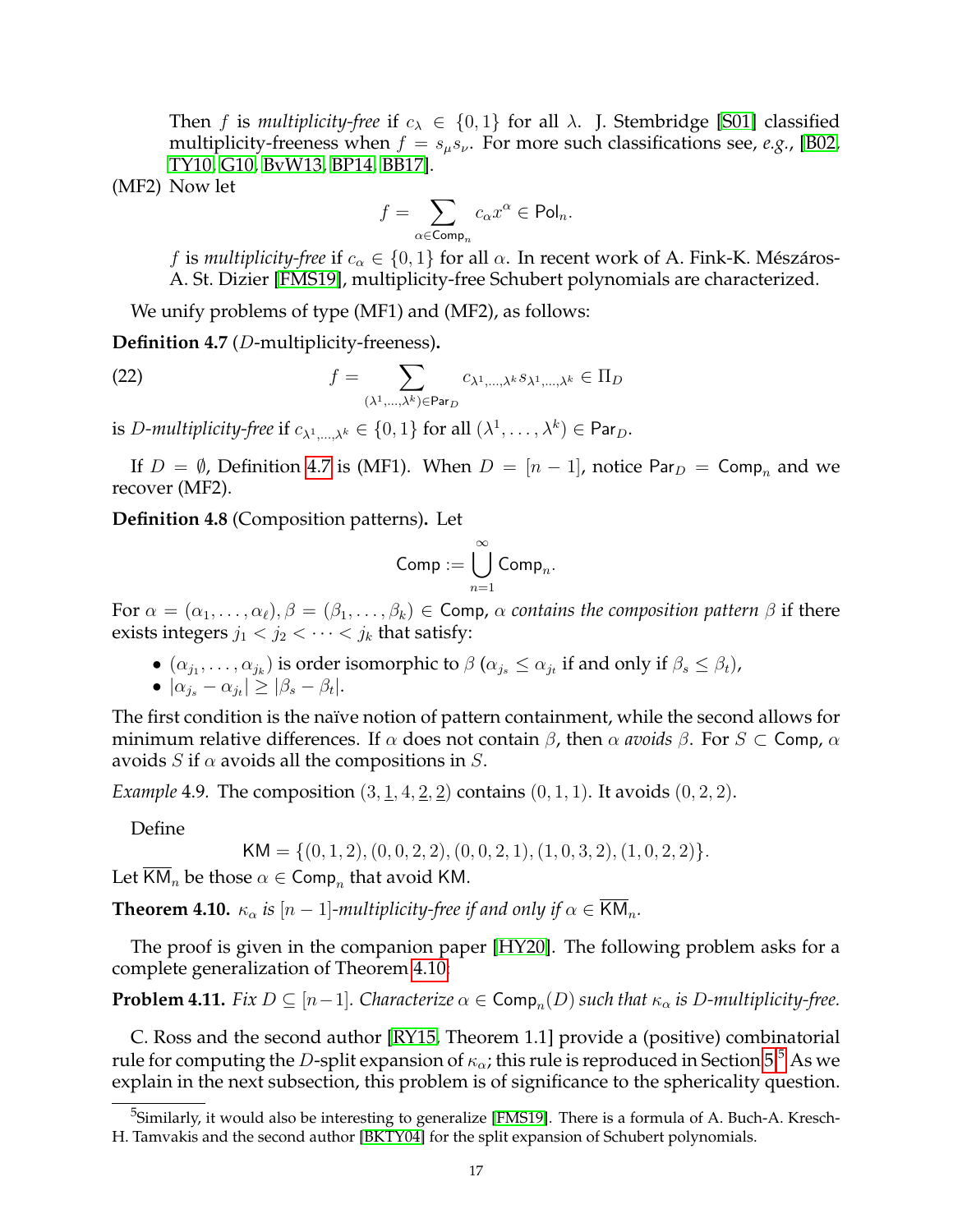Then f is *multiplicity-free* if  $c_{\lambda} \in \{0, 1\}$  for all  $\lambda$ . J. Stembridge [\[S01\]](#page-26-2) classified multiplicity-freeness when  $f = s_{\mu} s_{\nu}$ . For more such classifications see, *e.g.*, [\[B02,](#page-24-11) [TY10,](#page-26-3) [G10,](#page-25-24) [BvW13,](#page-24-12) [BP14,](#page-24-13) [BB17\]](#page-24-14).

(MF2) Now let

<span id="page-16-4"></span>
$$
f=\sum_{\alpha\in \operatorname{Comp}_n}c_{\alpha}x^{\alpha}\in \operatorname{Pol}_n.
$$

f is *multiplicity-free* if  $c_{\alpha} \in \{0, 1\}$  for all  $\alpha$ . In recent work of A. Fink-K. Mészáros-A. St. Dizier [\[FMS19\]](#page-25-25), multiplicity-free Schubert polynomials are characterized.

We unify problems of type (MF1) and (MF2), as follows:

<span id="page-16-1"></span>**Definition 4.7** (D-multiplicity-freeness)**.**

(22) 
$$
f = \sum_{(\lambda^1,\ldots,\lambda^k)\in \text{Par}_D} c_{\lambda^1,\ldots,\lambda^k} s_{\lambda^1,\ldots,\lambda^k} \in \Pi_D
$$

is *D-multiplicity-free* if  $c_{\lambda^1,\dots,\lambda^k} \in \{0,1\}$  for all  $(\lambda^1,\dots,\lambda^k) \in \mathsf{Par}_D$ .

If  $D = \emptyset$ , Definition [4.7](#page-16-1) is (MF1). When  $D = [n-1]$ , notice Par $_D = \text{Comp}_n$  and we recover (MF2).

**Definition 4.8** (Composition patterns)**.** Let

$$
\mathsf{Comp} := \bigcup_{n=1}^{\infty} \mathsf{Comp}_n.
$$

For  $\alpha = (\alpha_1, \ldots, \alpha_\ell), \beta = (\beta_1, \ldots, \beta_k) \in \text{Comp}, \alpha$  *contains the composition pattern*  $\beta$  if there exists integers  $j_1 < j_2 < \cdots < j_k$  that satisfy:

- $\bullet$   $(\alpha_{j_1}, \ldots, \alpha_{j_k})$  is order isomorphic to  $\beta$   $(\alpha_{j_s} \leq \alpha_{j_t}$  if and only if  $\beta_s \leq \beta_t)$ ,
- $\bullet \, |\alpha_{j_s} \alpha_{j_t}| \geq |\beta_s \beta_t|.$

The first condition is the naïve notion of pattern containment, while the second allows for minimum relative differences. If  $\alpha$  does not contain  $\beta$ , then  $\alpha$  *avoids*  $\beta$ . For  $S \subset$  Comp,  $\alpha$ avoids S if  $\alpha$  avoids all the compositions in S.

*Example* 4.9. The composition  $(3, 1, 4, 2, 2)$  contains  $(0, 1, 1)$ . It avoids  $(0, 2, 2)$ .

Define

$$
KM = \{(0, 1, 2), (0, 0, 2, 2), (0, 0, 2, 1), (1, 0, 3, 2), (1, 0, 2, 2)\}.
$$

Let KM<sub>n</sub> be those  $\alpha \in \textsf{Comp}_n$  that avoid KM.

<span id="page-16-0"></span>**Theorem 4.10.**  $\kappa_{\alpha}$  *is*  $[n-1]$ *-multiplicity-free if and only if*  $\alpha \in \overline{KM}_n$ *.* 

The proof is given in the companion paper [\[HY20\]](#page-25-12). The following problem asks for a complete generalization of Theorem [4.10:](#page-16-0)

<span id="page-16-3"></span>**Problem 4.11.** *Fix*  $D \subseteq [n-1]$ *. Characterize*  $\alpha \in \text{Comp}_n(D)$  *such that*  $\kappa_\alpha$  *is*  $D$ *-multiplicity-free.* 

C. Ross and the second author [\[RY15,](#page-25-14) Theorem 1.1] provide a (positive) combinatorial rule for computing the D-split expansion of  $\kappa_{\alpha}$ ; this rule is reproduced in Section [5.](#page-21-0)<sup>[5](#page-16-2)</sup> As we explain in the next subsection, this problem is of significance to the sphericality question.

<span id="page-16-2"></span><sup>&</sup>lt;sup>5</sup>Similarly, it would also be interesting to generalize [\[FMS19\]](#page-25-25). There is a formula of A. Buch-A. Kresch-H. Tamvakis and the second author [\[BKTY04\]](#page-24-9) for the split expansion of Schubert polynomials.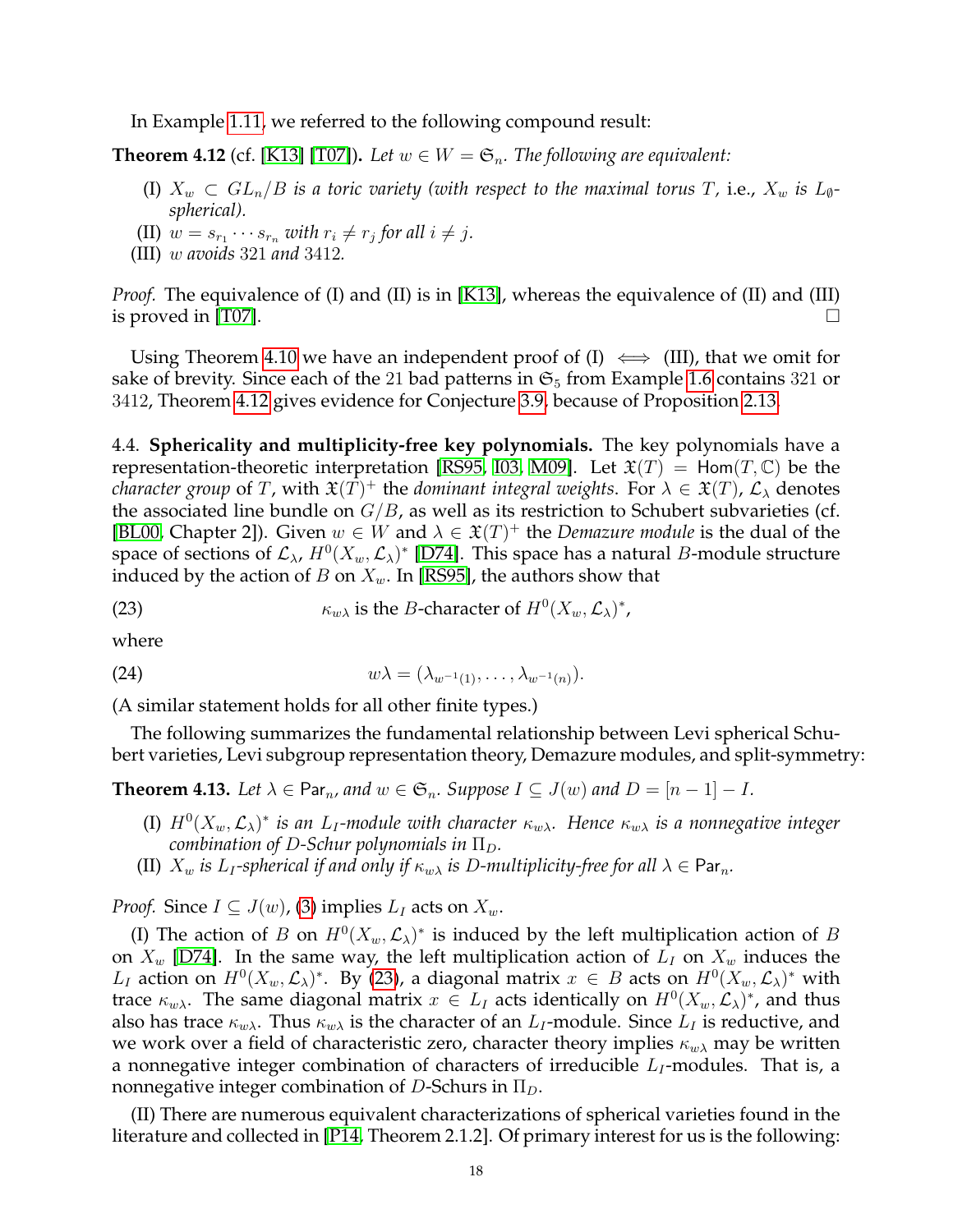In Example [1.11,](#page-3-1) we referred to the following compound result:

<span id="page-17-1"></span>**Theorem 4.12** (cf. [\[K13\]](#page-25-2) [\[T07\]](#page-26-1)). Let  $w \in W = \mathfrak{S}_n$ . The following are equivalent:

- (I)  $X_w \subset GL_n/B$  *is a toric variety (with respect to the maximal torus T, i.e.,*  $X_w$  *is*  $L_{\varnothing}$ *spherical).*
- (II)  $w = s_{r_1} \cdots s_{r_n}$  with  $r_i \neq r_j$  for all  $i \neq j$ .
- (III) w *avoids* 321 *and* 3412*.*

*Proof.* The equivalence of (I) and (II) is in [\[K13\]](#page-25-2), whereas the equivalence of (II) and (III) is proved in [\[T07\]](#page-26-1).  $\Box$ 

Using Theorem [4.10](#page-16-0) we have an independent proof of (I)  $\iff$  (III), that we omit for sake of brevity. Since each of the 21 bad patterns in  $\mathfrak{S}_5$  from Example [1.6](#page-1-0) contains 321 or 3412, Theorem [4.12](#page-17-1) gives evidence for Conjecture [3.9,](#page-13-2) because of Proposition [2.13.](#page-8-3)

4.4. **Sphericality and multiplicity-free key polynomials.** The key polynomials have a representation-theoretic interpretation [\[RS95,](#page-25-22) [I03,](#page-25-26) [M09\]](#page-25-27). Let  $\mathfrak{X}(T) = \text{Hom}(T, \mathbb{C})$  be the *character group* of T, with  $\mathfrak{X}(T)^+$  the *dominant integral weights*. For  $\lambda \in \mathfrak{X}(T)$ ,  $\mathcal{L}_{\lambda}$  denotes the associated line bundle on  $G/B$ , as well as its restriction to Schubert subvarieties (cf. [\[BL00,](#page-24-1) Chapter 2]). Given  $w \in W$  and  $\lambda \in \mathfrak{X}(T)^+$  the *Demazure module* is the dual of the space of sections of  $\mathcal{L}_{\lambda}$ ,  $H^0(X_w, \mathcal{L}_{\lambda})^*$  [\[D74\]](#page-25-28). This space has a natural  $B$ -module structure induced by the action of B on  $X_w$ . In [\[RS95\]](#page-25-22), the authors show that

<span id="page-17-2"></span>(23) 
$$
\kappa_{w\lambda} \text{ is the } B \text{-character of } H^0(X_w, \mathcal{L}_\lambda)^*,
$$

where

<span id="page-17-3"></span>
$$
(24) \t\t\t w\lambda = (\lambda_{w^{-1}(1)}, \ldots, \lambda_{w^{-1}(n)}).
$$

(A similar statement holds for all other finite types.)

The following summarizes the fundamental relationship between Levi spherical Schubert varieties, Levi subgroup representation theory, Demazure modules, and split-symmetry:

<span id="page-17-0"></span>**Theorem 4.13.** *Let*  $\lambda \in \text{Par}_n$ , and  $w \in \mathfrak{S}_n$ . Suppose  $I \subseteq J(w)$  and  $D = [n-1]-I$ .

- (I)  $H^0(X_w, \mathcal{L}_\lambda)^*$  is an  $L_I$ -module with character  $\kappa_{w\lambda}$ . Hence  $\kappa_{w\lambda}$  is a nonnegative integer *combination of D-Schur polynomials in*  $\Pi_D$ .
- (II)  $X_w$  *is*  $L_I$ -spherical *if and only if*  $\kappa_{w\lambda}$  *is D*-multiplicity-free for all  $\lambda \in \text{Par}_n$ .

*Proof.* Since  $I \subseteq J(w)$ , [\(3\)](#page-2-1) implies  $L_I$  acts on  $X_w$ .

(I) The action of B on  $H^0(X_w, \mathcal{L}_\lambda)^*$  is induced by the left multiplication action of B on  $X_w$  [\[D74\]](#page-25-28). In the same way, the left multiplication action of  $L_I$  on  $X_w$  induces the  $L_I$  action on  $H^0(X_w, \mathcal{L}_\lambda)^*$ . By [\(23\)](#page-17-2), a diagonal matrix  $x \in B$  acts on  $H^0(X_w, \mathcal{L}_\lambda)^*$  with trace  $\kappa_{w\lambda}$ . The same diagonal matrix  $x \in L_I$  acts identically on  $H^0(X_w, \mathcal{L}_\lambda)^*$ , and thus also has trace  $\kappa_{w\lambda}$ . Thus  $\kappa_{w\lambda}$  is the character of an  $L_I$ -module. Since  $L_I$  is reductive, and we work over a field of characteristic zero, character theory implies  $\kappa_{w\lambda}$  may be written a nonnegative integer combination of characters of irreducible  $L_I$ -modules. That is, a nonnegative integer combination of D-Schurs in  $\Pi_D$ .

(II) There are numerous equivalent characterizations of spherical varieties found in the literature and collected in [\[P14,](#page-25-7) Theorem 2.1.2]. Of primary interest for us is the following: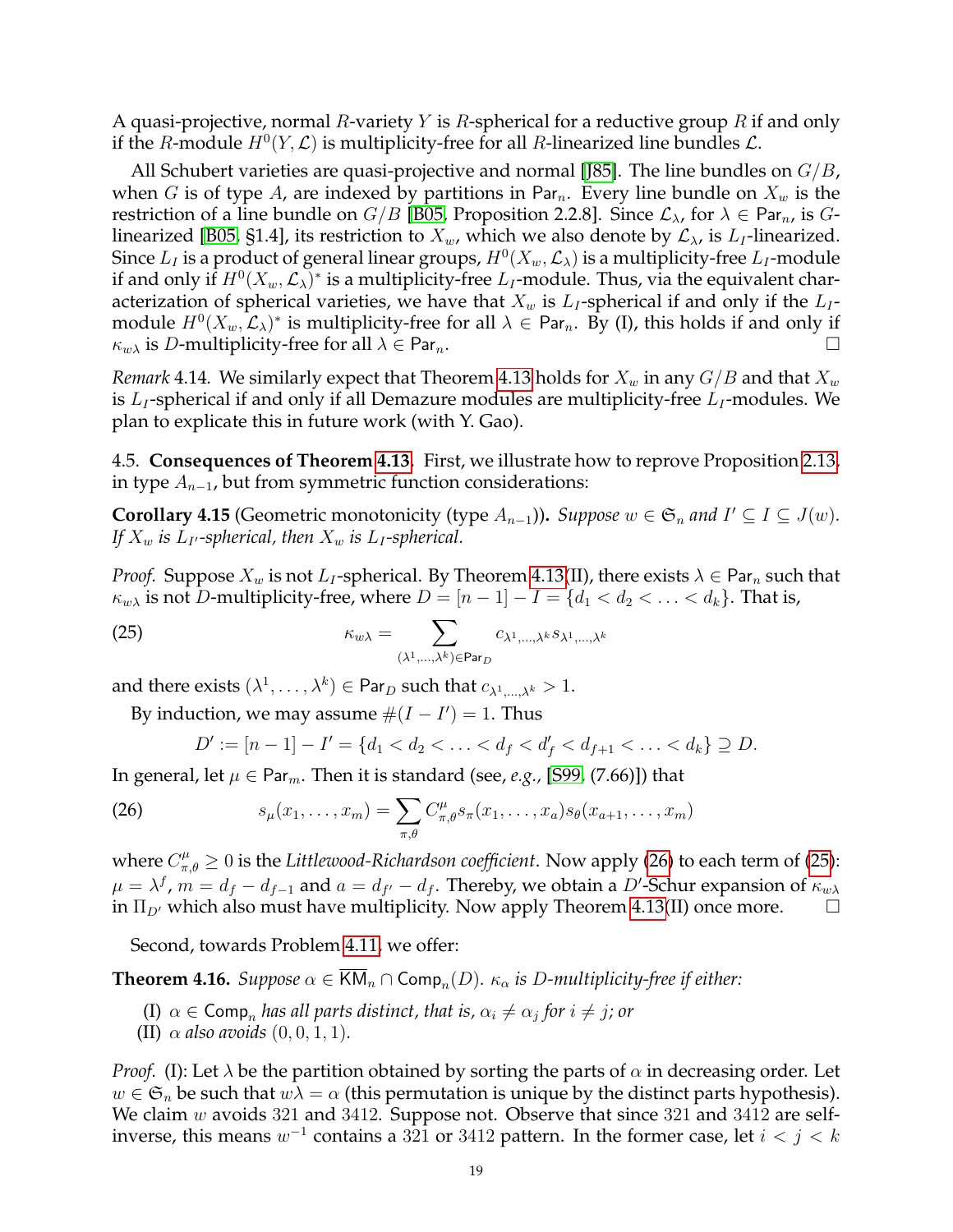A quasi-projective, normal R-variety Y is R-spherical for a reductive group R if and only if the R-module  $H^0(Y, \mathcal{L})$  is multiplicity-free for all R-linearized line bundles  $\mathcal{L}$ .

All Schubert varieties are quasi-projective and normal [\[J85\]](#page-25-29). The line bundles on  $G/B$ , when G is of type A, are indexed by partitions in Par<sub>n</sub>. Every line bundle on  $X_w$  is the restriction of a line bundle on  $G/B$  [\[B05,](#page-24-15) Proposition 2.2.8]. Since  $\mathcal{L}_{\lambda}$ , for  $\lambda \in \text{Par}_{n}$ , is  $G$ -linearized [\[B05,](#page-24-15) §1.4], its restriction to  $X_w$ , which we also denote by  $\mathcal{L}_{\lambda}$ , is  $L_I$ -linearized. Since  $L_I$  is a product of general linear groups,  $H^0(X_w, \mathcal{L}_\lambda)$  is a multiplicity-free  $L_I$ -module if and only if  $H^0(X_w, \mathcal{L}_\lambda)^*$  is a multiplicity-free  $L_I$ -module. Thus, via the equivalent characterization of spherical varieties, we have that  $X_w$  is  $L_I$ -spherical if and only if the  $L_I$ module  $H^0(X_w,\mathcal{L}_\lambda)^*$  is multiplicity-free for all  $\lambda\in$  Par $_n$ . By (I), this holds if and only if  $\kappa_{w\lambda}$  is D-multiplicity-free for all  $\lambda \in \text{Par}_n$ .

*Remark* 4.14. We similarly expect that Theorem [4.13](#page-17-0) holds for  $X_w$  in any  $G/B$  and that  $X_w$ is  $L_I$ -spherical if and only if all Demazure modules are multiplicity-free  $L_I$ -modules. We plan to explicate this in future work (with Y. Gao).

4.5. **Consequences of Theorem [4.13.](#page-17-0)** First, we illustrate how to reprove Proposition [2.13,](#page-8-3) in type  $A_{n-1}$ , but from symmetric function considerations:

<span id="page-18-3"></span>**Corollary 4.15** (Geometric monotonicity (type  $A_{n-1}$ )). Suppose  $w \in \mathfrak{S}_n$  and  $I' \subseteq I \subseteq J(w)$ . *If*  $X_w$  *is*  $L_I$ *-spherical, then*  $X_w$  *is*  $L_I$ *-spherical.* 

*Proof.* Suppose  $X_w$  is not  $L_I$ -spherical. By Theorem [4.13\(](#page-17-0)II), there exists  $\lambda \in \text{Par}_n$  such that  $\kappa_{w\lambda}$  is not D-multiplicity-free, where  $D = [n-1] - I = \{d_1 < d_2 < \ldots < d_k\}$ . That is,

(25) 
$$
\kappa_{w\lambda} = \sum_{(\lambda^1,\dots,\lambda^k)\in \text{Par}_D} c_{\lambda^1,\dots,\lambda^k} s_{\lambda^1,\dots,\lambda^k}
$$

and there exists  $(\lambda^1,\ldots,\lambda^k)\in {\sf Par}_D$  such that  $c_{\lambda^1,\ldots,\lambda^k}>1.$ 

By induction, we may assume  $\#(I - I') = 1$ . Thus

<span id="page-18-2"></span><span id="page-18-1"></span>
$$
D' := [n-1] - I' = \{d_1 < d_2 < \ldots < d_f < d_{f'} < d_{f+1} < \ldots < d_k\} \supseteq D.
$$

In general, let  $\mu \in \text{Par}_m$ . Then it is standard (see, *e.g.*, [\[S99,](#page-25-20) (7.66)]) that

(26) 
$$
s_{\mu}(x_1,...,x_m) = \sum_{\pi,\theta} C_{\pi,\theta}^{\mu} s_{\pi}(x_1,...,x_a) s_{\theta}(x_{a+1},...,x_m)
$$

where  $C_{\pi,\theta}^{\mu}\geq 0$  is the *Littlewood-Richardson coefficient*. Now apply [\(26\)](#page-18-1) to each term of [\(25\)](#page-18-2):  $\mu = \lambda^f$ ,  $m = d_f - d_{f-1}$  and  $a = d_{f'} - d_f$ . Thereby, we obtain a D'-Schur expansion of  $\kappa_{w\lambda}$ in  $\Pi_{D'}$  which also must have multiplicity. Now apply Theorem [4.13\(](#page-17-0)II) once more.  $\Box$ 

Second, towards Problem [4.11,](#page-16-3) we offer:

<span id="page-18-0"></span>**Theorem 4.16.** *Suppose*  $\alpha \in \overline{\mathsf{KM}}_n \cap \mathsf{Comp}_n(D)$ *.*  $\kappa_\alpha$  *is D-multiplicity-free if either:* 

- $\text{(I)}\,\,\alpha\in \textsf{Comp}_n$  *has all parts distinct, that is,*  $\alpha_i\neq \alpha_j$  *for*  $i\neq j$ *; or*
- (II)  $\alpha$  *also avoids*  $(0, 0, 1, 1)$ *.*

*Proof.* (I): Let  $\lambda$  be the partition obtained by sorting the parts of  $\alpha$  in decreasing order. Let  $w \in \mathfrak{S}_n$  be such that  $w\lambda = \alpha$  (this permutation is unique by the distinct parts hypothesis). We claim w avoids 321 and 3412. Suppose not. Observe that since 321 and 3412 are selfinverse, this means  $w^{-1}$  contains a  $321$  or  $3412$  pattern. In the former case, let  $i < j < k$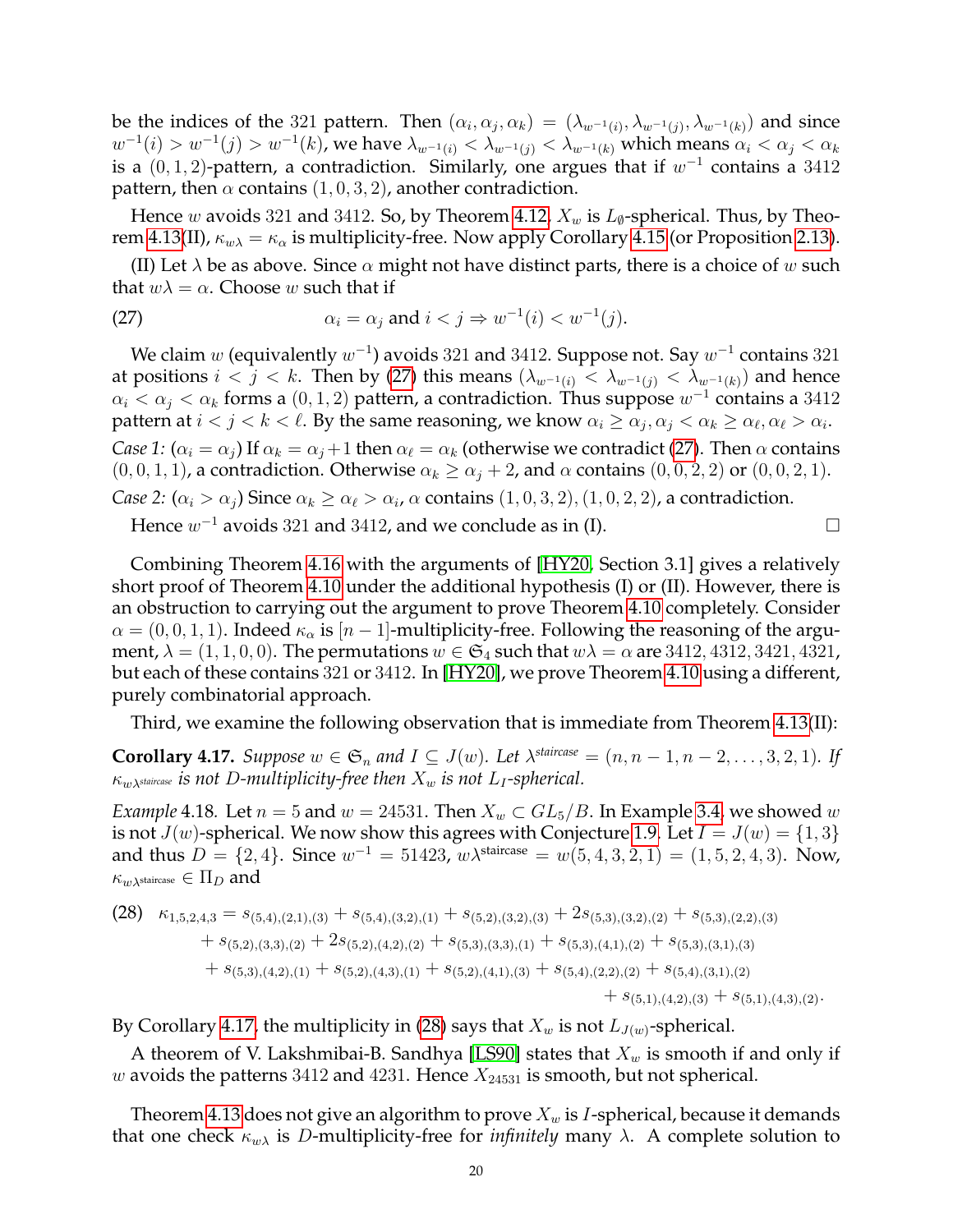be the indices of the 321 pattern. Then  $(\alpha_i, \alpha_j, \alpha_k) = (\lambda_{w^{-1}(i)}, \lambda_{w^{-1}(j)}, \lambda_{w^{-1}(k)})$  and since  $w^{-1}(i) > w^{-1}(j) > w^{-1}(k)$ , we have  $\lambda_{w^{-1}(i)} < \lambda_{w^{-1}(j)} < \lambda_{w^{-1}(k)}$  which means  $\alpha_i < \alpha_j < \alpha_k$ is a  $(0,1,2)$ -pattern, a contradiction. Similarly, one argues that if  $w^{-1}$  contains a 3412 pattern, then  $\alpha$  contains  $(1, 0, 3, 2)$ , another contradiction.

Hence w avoids 321 and 3412. So, by Theorem [4.12,](#page-17-1)  $X_w$  is  $L_{\emptyset}$ -spherical. Thus, by Theo-rem [4.13\(](#page-17-0)II),  $\kappa_{w\lambda} = \kappa_{\alpha}$  is multiplicity-free. Now apply Corollary [4.15](#page-18-3) (or Proposition [2.13\)](#page-8-3).

(II) Let  $\lambda$  be as above. Since  $\alpha$  might not have distinct parts, there is a choice of w such that  $w\lambda = \alpha$ . Choose w such that if

<span id="page-19-1"></span>(27) 
$$
\alpha_i = \alpha_j \text{ and } i < j \Rightarrow w^{-1}(i) < w^{-1}(j).
$$

We claim  $w$  (equivalently  $w^{-1}$ ) avoids 321 and 3412. Suppose not. Say  $w^{-1}$  contains 321 at positions  $i < j < k$ . Then by [\(27\)](#page-19-1) this means  $(\lambda_{w^{-1}(i)} < \lambda_{w^{-1}(i)} < \lambda_{w^{-1}(k)})$  and hence  $\alpha_i < \alpha_j < \alpha_k$  forms a  $(0, 1, 2)$  pattern, a contradiction. Thus suppose  $w^{-1}$  contains a  $3412$ pattern at  $i < j < k < \ell$ . By the same reasoning, we know  $\alpha_i \ge \alpha_j, \alpha_j < \alpha_k \ge \alpha_\ell, \alpha_\ell > \alpha_i$ . *Case 1:*  $(\alpha_i = \alpha_j)$  If  $\alpha_k = \alpha_j + 1$  then  $\alpha_\ell = \alpha_k$  (otherwise we contradict [\(27\)](#page-19-1). Then  $\alpha$  contains  $(0, 0, 1, 1)$ , a contradiction. Otherwise  $\alpha_k \ge \alpha_j + 2$ , and  $\alpha$  contains  $(0, 0, 2, 2)$  or  $(0, 0, 2, 1)$ . *Case 2:*  $(\alpha_i > \alpha_j)$  Since  $\alpha_k \geq \alpha_\ell > \alpha_i$ ,  $\alpha$  contains  $(1, 0, 3, 2), (1, 0, 2, 2)$ , a contradiction.

Hence  $w^{-1}$  avoids 321 and 3412, and we conclude as in (I).

Combining Theorem [4.16](#page-18-0) with the arguments of [\[HY20,](#page-25-12) Section 3.1] gives a relatively short proof of Theorem [4.10](#page-16-0) under the additional hypothesis (I) or (II). However, there is an obstruction to carrying out the argument to prove Theorem [4.10](#page-16-0) completely. Consider  $\alpha = (0, 0, 1, 1)$ . Indeed  $\kappa_{\alpha}$  is  $|n-1|$ -multiplicity-free. Following the reasoning of the argument,  $\lambda = (1, 1, 0, 0)$ . The permutations  $w \in \mathfrak{S}_4$  such that  $w\lambda = \alpha$  are 3412, 4312, 3421, 4321, but each of these contains 321 or 3412. In [\[HY20\]](#page-25-12), we prove Theorem [4.10](#page-16-0) using a different, purely combinatorial approach.

Third, we examine the following observation that is immediate from Theorem [4.13\(](#page-17-0)II):

<span id="page-19-2"></span>**Corollary 4.17.** *Suppose*  $w \in \mathfrak{S}_n$  *and*  $I \subseteq J(w)$ *. Let*  $\lambda^{staircase} = (n, n-1, n-2, \ldots, 3, 2, 1)$ *. If*  $\kappa_{w\lambda}$ *staircase is not D*-multiplicity-free then  $X_w$  *is not*  $L_I$ -spherical.

<span id="page-19-0"></span>*Example* 4.18*.* Let  $n = 5$  and  $w = 24531$ . Then  $X_w \subset GL_5/B$ . In Example [3.4,](#page-12-2) we showed w is not  $J(w)$ -spherical. We now show this agrees with Conjecture [1.9.](#page-2-2) Let  $I = J(w) = \{1, 3\}$ and thus  $D = \{2, 4\}$ . Since  $w^{-1} = 51423$ ,  $w\lambda^{\text{staircase}} = w(5, 4, 3, 2, 1) = (1, 5, 2, 4, 3)$ . Now,  $\kappa_{w\lambda^{\text{staircase}}} \in \Pi_D$  and

<span id="page-19-3"></span>
$$
(28) \kappa_{1,5,2,4,3} = s_{(5,4),(2,1),(3)} + s_{(5,4),(3,2),(1)} + s_{(5,2),(3,2),(3)} + 2s_{(5,3),(3,2),(2)} + s_{(5,3),(2,2),(3)} + s_{(5,2),(3,3),(2)} + 2s_{(5,2),(4,2),(2)} + s_{(5,3),(3,3),(1)} + s_{(5,3),(4,1),(2)} + s_{(5,3),(3,1),(3)} + s_{(5,3),(4,2),(1)} + s_{(5,2),(4,3),(1)} + s_{(5,2),(4,1),(3)} + s_{(5,4),(2,2),(2)} + s_{(5,4),(3,1),(2)} + s_{(5,1),(4,2),(3)} + s_{(5,1),(4,3),(2)}.
$$

By Corollary [4.17,](#page-19-2) the multiplicity in [\(28\)](#page-19-3) says that  $X_w$  is not  $L_{J(w)}$ -spherical.

A theorem of V. Lakshmibai-B. Sandhya [\[LS90\]](#page-25-30) states that  $X_w$  is smooth if and only if w avoids the patterns 3412 and 4231. Hence  $X_{24531}$  is smooth, but not spherical.

Theorem [4.13](#page-17-0) does not give an algorithm to prove  $X_w$  is *I*-spherical, because it demands that one check  $\kappa_{w\lambda}$  is *D*-multiplicity-free for *infinitely* many  $\lambda$ . A complete solution to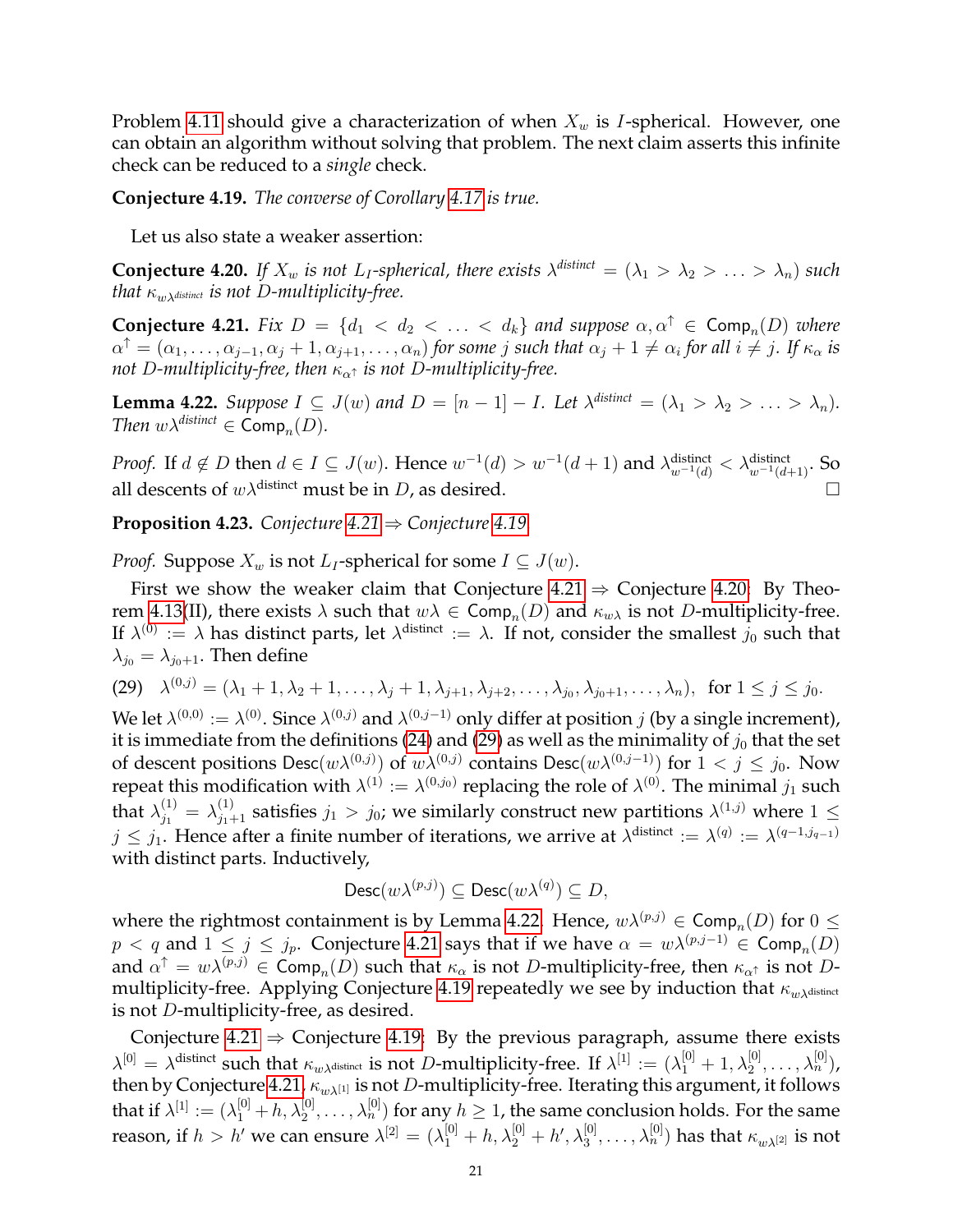Problem [4.11](#page-16-3) should give a characterization of when  $X_w$  is *I*-spherical. However, one can obtain an algorithm without solving that problem. The next claim asserts this infinite check can be reduced to a *single* check.

<span id="page-20-0"></span>**Conjecture 4.19.** *The converse of Corollary [4.17](#page-19-2) is true.*

Let us also state a weaker assertion:

<span id="page-20-1"></span>**Conjecture 4.20.** If  $X_w$  is not  $L_I$ -spherical, there exists  $\lambda^{distinct} = (\lambda_1 > \lambda_2 > \ldots > \lambda_n)$  such *that*  $\kappa_{w\lambda^{distinct}}$  *is not D-multiplicity-free.* 

<span id="page-20-2"></span>**Conjecture 4.21.** *Fix*  $D = \{d_1 < d_2 < \ldots < d_k\}$  *and suppose*  $\alpha, \alpha^{\dagger} \in \textsf{Comp}_n(D)$  *where*  $\alpha^{\uparrow} = (\alpha_1, \ldots, \alpha_{j-1}, \alpha_j + 1, \alpha_{j+1}, \ldots, \alpha_n)$  for some j such that  $\alpha_j + 1 \neq \alpha_i$  for all  $i \neq j$ . If  $\kappa_\alpha$  is *not* D-multiplicity-free, then  $\kappa_{\alpha^{\uparrow}}$  is not D-multiplicity-free.

<span id="page-20-5"></span>**Lemma 4.22.** *Suppose*  $I \subseteq J(w)$  *and*  $D = [n-1] - I$ *. Let*  $\lambda^{distinct} = (\lambda_1 > \lambda_2 > \ldots > \lambda_n)$ *. Then*  $w\lambda^{distinct} \in \text{Comp}_n(D)$ *.* 

*Proof.* If  $d \notin D$  then  $d \in I \subseteq J(w)$ . Hence  $w^{-1}(d) > w^{-1}(d+1)$  and  $\lambda_{w^{-1}(d)}^{\text{distinct}} < \lambda_{w^{-1}(d+1)}^{\text{distinct}}$ . So all descents of  $w\lambda^{\text{distinct}}$  must be in D, as desired.

<span id="page-20-3"></span>**Proposition 4.23.** *Conjecture [4.21](#page-20-2)* ⇒ *Conjecture [4.19.](#page-20-0)*

*Proof.* Suppose  $X_w$  is not  $L_I$ -spherical for some  $I \subseteq J(w)$ .

First we show the weaker claim that Conjecture  $4.21 \Rightarrow$  Conjecture [4.20:](#page-20-1) By Theo-rem [4.13\(](#page-17-0)II), there exists  $\lambda$  such that  $w\lambda \in \textsf{Comp}_n(D)$  and  $\kappa_{w\lambda}$  is not D-multiplicity-free. If  $\lambda^{(0)} := \lambda$  has distinct parts, let  $\lambda^{\text{distinct}} := \lambda$ . If not, consider the smallest  $j_0$  such that  $\lambda_{j_0} = \lambda_{j_0+1}$ . Then define

<span id="page-20-4"></span>(29)  $\lambda^{(0,j)} = (\lambda_1 + 1, \lambda_2 + 1, \dots, \lambda_j + 1, \lambda_{j+1}, \lambda_{j+2}, \dots, \lambda_{j_0}, \lambda_{j_0+1}, \dots, \lambda_n), \text{ for } 1 \le j \le j_0.$ 

We let  $\lambda^{(0,0)}:=\lambda^{(0)}$ . Since  $\lambda^{(0,j)}$  and  $\lambda^{(0,j-1)}$  only differ at position  $j$  (by a single increment), it is immediate from the definitions [\(24\)](#page-17-3) and [\(29\)](#page-20-4) as well as the minimality of  $j_0$  that the set of descent positions  $\mathsf{Desc}(w\lambda^{(0,j)})$  of  $w\lambda^{(0,j)}$  contains  $\mathsf{Desc}(w\lambda^{(0,j-1)})$  for  $1 < j \leq j_0$ . Now repeat this modification with  $\lambda^{(1)}:=\lambda^{(0,j_0)}$  replacing the role of  $\lambda^{(0)}.$  The minimal  $j_1$  such that  $\lambda_{j_1}^{(1)} = \lambda_{j_1+1}^{(1)}$  satisfies  $j_1 > j_0$ ; we similarly construct new partitions  $\lambda^{(1,j)}$  where  $1 \leq$  $j \leq j_1$ . Hence after a finite number of iterations, we arrive at  $\lambda^{\text{distinct}} := \lambda^{(q)} := \lambda^{(q-1,j_{q-1})}$ with distinct parts. Inductively,

$$
Desc(w\lambda^{(p,j)}) \subseteq Desc(w\lambda^{(q)}) \subseteq D,
$$

where the rightmost containment is by Lemma [4.22.](#page-20-5) Hence,  $w\lambda^{(p,j)} \in \textsf{Comp}_n(D)$  for  $0 \leq$  $p < q$  and  $1 \le j \le j_p$ . Conjecture [4.21](#page-20-2) says that if we have  $\alpha = w\lambda^{(p,j-1)} \in \textsf{Comp}_n(D)$ and  $\alpha^{\uparrow} = w\lambda^{(p,j)} \in \mathsf{Comp}_n(D)$  such that  $\kappa_\alpha$  is not D-multiplicity-free, then  $\kappa_{\alpha^{\uparrow}}$  is not D-multiplicity-free. Applying Conjecture [4.19](#page-20-0) repeatedly we see by induction that  $\kappa_{w\lambda^{\text{distinct}}}$ is not D-multiplicity-free, as desired.

Conjecture [4.21](#page-20-2)  $\Rightarrow$  Conjecture [4.19:](#page-20-0) By the previous paragraph, assume there exists  $\lambda^{[0]} = \lambda^{\text{distinct}}$  such that  $\kappa_{w\lambda^{\text{distinct}}}$  is not D-multiplicity-free. If  $\lambda^{[1]} := (\lambda_1^{[0]} + 1, \lambda_2^{[0]}, \ldots, \lambda_n^{[0]})$ , then by Conjecture [4.21,](#page-20-2)  $\kappa_{w\lambda^{[1]}}$  is not D-multiplicity-free. Iterating this argument, it follows that if  $\lambda^{[1]}:=(\lambda^{[0]}_1+h,\lambda^{[0]}_2,\ldots,\lambda^{[0]}_n)$  for any  $h\geq 1$ , the same conclusion holds. For the same reason, if  $h>h'$  we can ensure  $\lambda^{[2]}=(\lambda_1^{[0]}+h,\lambda_2^{[0]}+h',\lambda_3^{[0]},\ldots,\lambda_n^{[0]})$  has that  $\kappa_{w\lambda^{[2]}}$  is not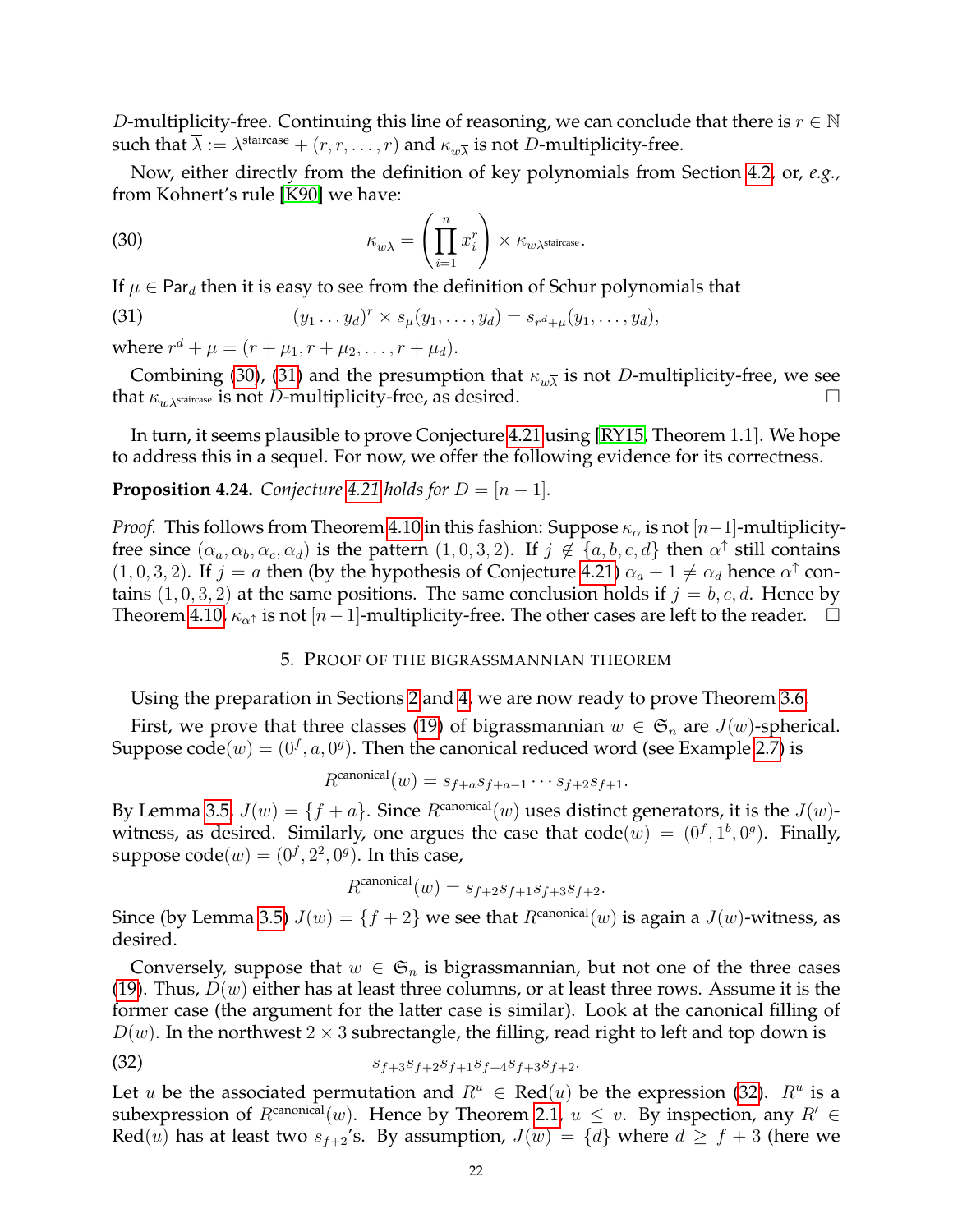D-multiplicity-free. Continuing this line of reasoning, we can conclude that there is  $r \in \mathbb{N}$ such that  $\overline{\lambda} := \lambda^{\text{staircase}} + (r, r, \dots, r)$  and  $\kappa_{w\overline{\lambda}}$  is not D-multiplicity-free.

Now, either directly from the definition of key polynomials from Section [4.2,](#page-14-3) or, *e.g.,* from Kohnert's rule [\[K90\]](#page-25-23) we have:

<span id="page-21-1"></span>(30) 
$$
\kappa_{w\overline{\lambda}} = \left(\prod_{i=1}^n x_i^r\right) \times \kappa_{w\lambda^{\text{staircase}}}.
$$

If  $\mu \in \text{Par}_d$  then it is easy to see from the definition of Schur polynomials that

<span id="page-21-2"></span>(31) 
$$
(y_1 \dots y_d)^r \times s_\mu(y_1, \dots, y_d) = s_{r^d + \mu}(y_1, \dots, y_d),
$$

where  $r^{d} + \mu = (r + \mu_1, r + \mu_2, \dots, r + \mu_d).$ 

Combining [\(30\)](#page-21-1), [\(31\)](#page-21-2) and the presumption that  $\kappa_{w\overline{\lambda}}$  is not D-multiplicity-free, we see that  $\kappa_{w\lambda^{\text{staircase}}}$  is not D-multiplicity-free, as desired.

In turn, it seems plausible to prove Conjecture [4.21](#page-20-2) using [\[RY15,](#page-25-14) Theorem 1.1]. We hope to address this in a sequel. For now, we offer the following evidence for its correctness.

# **Proposition 4.24.** *Conjecture* [4.21](#page-20-2) *holds for*  $D = [n - 1]$ *.*

*Proof.* This follows from Theorem [4.10](#page-16-0) in this fashion: Suppose  $\kappa_{\alpha}$  is not [n−1]-multiplicityfree since  $(\alpha_a, \alpha_b, \alpha_c, \alpha_d)$  is the pattern  $(1,0,3,2)$ . If  $j \notin \{a, b, c, d\}$  then  $\alpha^{\uparrow}$  still contains  $(1, 0, 3, 2)$ . If  $j = a$  then (by the hypothesis of Conjecture [4.21\)](#page-20-2)  $\alpha_a + 1 \neq \alpha_d$  hence  $\alpha^{\uparrow}$  contains  $(1, 0, 3, 2)$  at the same positions. The same conclusion holds if  $j = b, c, d$ . Hence by Theorem [4.10,](#page-16-0)  $\kappa_{\alpha^{\uparrow}}$  is not  $[n-1]$ -multiplicity-free. The other cases are left to the reader.  $\Box$ 

## 5. PROOF OF THE BIGRASSMANNIAN THEOREM

<span id="page-21-0"></span>Using the preparation in Sections [2](#page-4-0) and [4,](#page-14-0) we are now ready to prove Theorem [3.6.](#page-13-1)

First, we prove that three classes [\(19\)](#page-13-5) of bigrassmannian  $w \in \mathfrak{S}_n$  are  $J(w)$ -spherical. Suppose  $\text{code}(w) = (0^f, a, 0^g)$ . Then the canonical reduced word (see Example [2.7\)](#page-6-3) is

$$
R^{\text{canonical}}(w) = s_{f+a}s_{f+a-1}\cdots s_{f+2}s_{f+1}.
$$

By Lemma [3.5,](#page-13-6)  $J(w) = \{f + a\}$ . Since  $R^{\text{canonical}}(w)$  uses distinct generators, it is the  $J(w)$ witness, as desired. Similarly, one argues the case that  $code(w) = (0^f, 1^b, 0^g)$ . Finally, suppose  $\text{code}(w) = (0^f, 2^2, 0^g)$ . In this case,

<span id="page-21-3"></span>
$$
R^{\text{canonical}}(w) = s_{f+2}s_{f+1}s_{f+3}s_{f+2}.
$$

Since (by Lemma [3.5\)](#page-13-6)  $J(w) = \{f + 2\}$  we see that  $R^{\text{canonical}}(w)$  is again a  $J(w)$ -witness, as desired.

Conversely, suppose that  $w \in \mathfrak{S}_n$  is bigrassmannian, but not one of the three cases [\(19\)](#page-13-5). Thus,  $D(w)$  either has at least three columns, or at least three rows. Assume it is the former case (the argument for the latter case is similar). Look at the canonical filling of  $D(w)$ . In the northwest  $2 \times 3$  subrectangle, the filling, read right to left and top down is

(32) 
$$
s_{f+3}s_{f+2}s_{f+1}s_{f+4}s_{f+3}s_{f+2}.
$$

Let u be the associated permutation and  $R^u \in \text{Red}(u)$  be the expression [\(32\)](#page-21-3).  $R^u$  is a subexpression of  $R^{canonical}(w)$ . Hence by Theorem [2.1,](#page-4-1)  $u \leq v$ . By inspection, any  $R' \in$ Red(u) has at least two  $s_{f+2}$ 's. By assumption,  $J(w) = \{d\}$  where  $d \ge f + 3$  (here we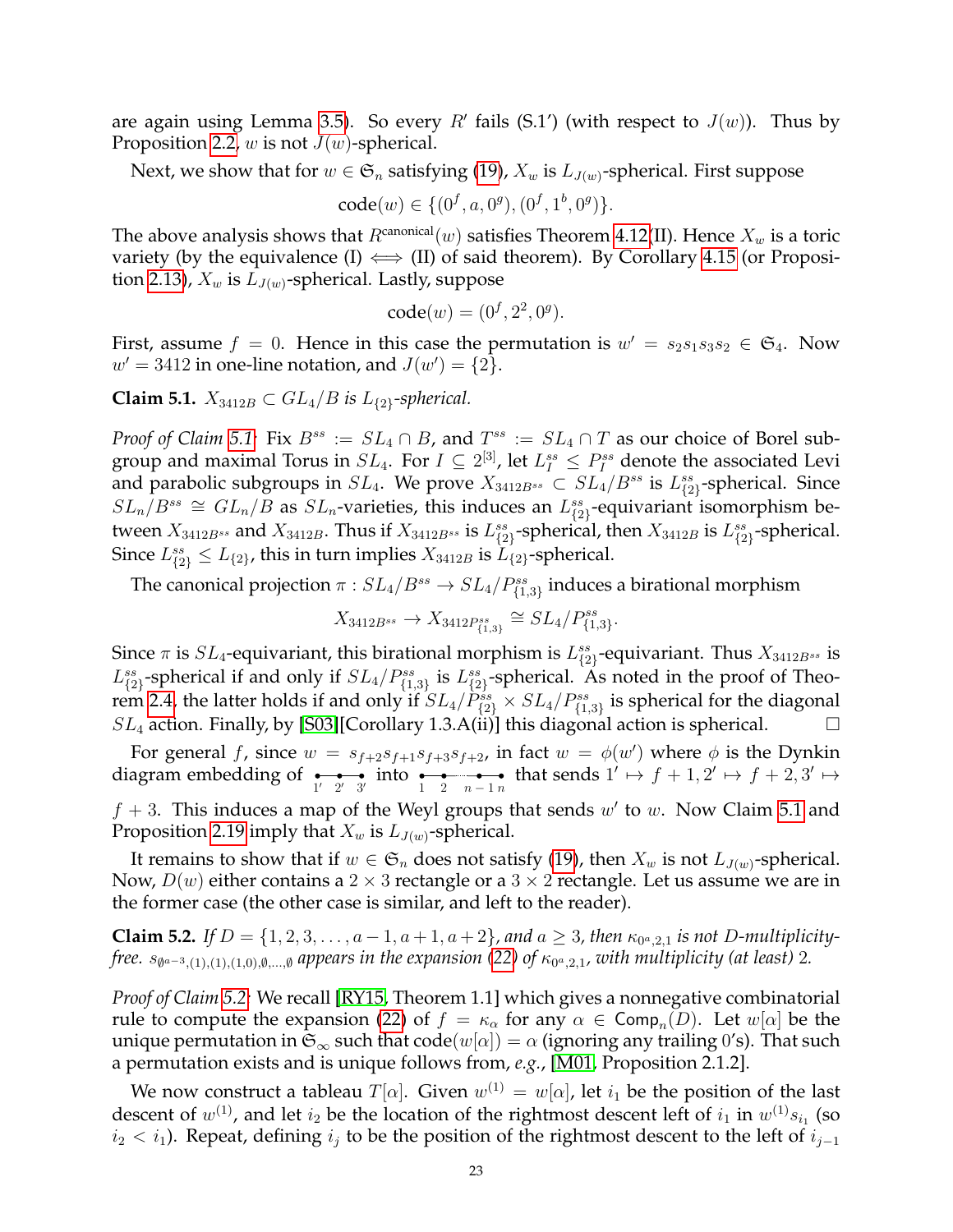are again using Lemma [3.5\)](#page-13-6). So every  $R'$  fails (S.1') (with respect to  $J(w)$ ). Thus by Proposition [2.2,](#page-4-3)  $w$  is not  $J(w)$ -spherical.

Next, we show that for  $w \in \mathfrak{S}_n$  satisfying [\(19\)](#page-13-5),  $X_w$  is  $L_{J(w)}$ -spherical. First suppose

 $code(w) \in \{(0^f, a, 0^g), (0^f, 1^b, 0^g)\}.$ 

The above analysis shows that  $R^{\text{canonical}}(w)$  satisfies Theorem [4.12\(](#page-17-1)II). Hence  $X_w$  is a toric variety (by the equivalence (I)  $\iff$  (II) of said theorem). By Corollary [4.15](#page-18-3) (or Proposi-tion [2.13\)](#page-8-3),  $X_w$  is  $L_{J(w)}$ -spherical. Lastly, suppose

$$
code(w) = (0^f, 2^2, 0^g).
$$

First, assume  $f = 0$ . Hence in this case the permutation is  $w' = s_2 s_1 s_3 s_2 \in \mathfrak{S}_4$ . Now  $w' = 3412$  in one-line notation, and  $J(w') = \{2\}.$ 

<span id="page-22-0"></span>**Claim 5.1.**  $X_{3412B}$  ⊂  $GL_4/B$  *is*  $L_{\{2\}}$ -spherical.

*Proof of Claim* [5.1:](#page-22-0) Fix  $B^{ss} := SL_4 \cap B$ , and  $T^{ss} := SL_4 \cap T$  as our choice of Borel subgroup and maximal Torus in  $SL_4$ . For  $I\subseteq 2^{[3]}$ , let  $L_I^{ss}\leq P_I^{ss}$  denote the associated Levi and parabolic subgroups in  $SL_4$ . We prove  $X_{3412B^{ss}} \subset SL_4/B^{ss}$  is  $L_{\{2\}}^{ss}$ -spherical. Since  $SL_n/B^{ss} \cong GL_n/B$  as  $SL_n$ -varieties, this induces an  $L_{\{2\}}^{ss}$ -equivariant isomorphism between  $X_{3412B^{ss}}$  and  $X_{3412B}$ . Thus if  $X_{3412B^{ss}}$  is  $L_{\{2\}}^{ss}$ -spherical, then  $X_{3412B}$  is  $L_{\{2\}}^{ss}$ -spherical. Since  $L_{\{2\}}^{ss} \le L_{\{2\}}$ , this in turn implies  $X_{3412B}$  is  $\widetilde{L}_{\{2\}}$ -spherical.

The canonical projection  $\pi : SL_4/B^{ss} \to SL_4/P^{ss}_{\{1,3\}}$  induces a birational morphism

$$
X_{3412B^{ss}} \to X_{3412P_{\{1,3\}}^{ss}} \cong SL_4/P_{\{1,3\}}^{ss}.
$$

Since  $\pi$  is  $SL_4$ -equivariant, this birational morphism is  $L_{\{2\}}^{ss}$ -equivariant. Thus  $X_{3412B^{ss}}$  is  $L_{\{2\}}^{ss}$ -spherical if and only if  $SL_4/P_{\{1,3\}}^{ss}$  is  $L_{\{2\}}^{ss}$ -spherical. As noted in the proof of Theo-rem [2.4,](#page-5-0) the latter holds if and only if  $SL_4/\tilde{P}_{\{2\}}^{ss} \times SL_4/P_{\{1,3\}}^{ss}$  is spherical for the diagonal  $SL_4$  action. Finally, by [\[S03\]](#page-26-0)[Corollary 1.3.A(ii)] this diagonal action is spherical.  $\Box$ 

For general f, since  $w = s_{f+2}s_{f+1}s_{f+3}s_{f+2}$ , in fact  $w = \phi(w')$  where  $\phi$  is the Dynkin diagram embedding of  $\underset{1' \ 2' \ 3'}{ }$  into  $\underset{1}{\bullet}$   $\underset{2}{\bullet}$  that sends  $1' \mapsto f + 1, 2' \mapsto f + 2, 3' \mapsto$  $f + 3$ . This induces a map of the Weyl groups that sends w' to w. Now Claim [5.1](#page-22-0) and Proposition [2.19](#page-11-1) imply that  $X_w$  is  $L_{J(w)}$ -spherical.

It remains to show that if  $w \in \mathfrak{S}_n$  does not satisfy [\(19\)](#page-13-5), then  $X_w$  is not  $L_{J(w)}$ -spherical. Now,  $D(w)$  either contains a 2  $\times$  3 rectangle or a 3  $\times$  2 rectangle. Let us assume we are in the former case (the other case is similar, and left to the reader).

<span id="page-22-1"></span>**Claim 5.2.** If  $D = \{1, 2, 3, ..., a-1, a+1, a+2\}$ , and  $a \ge 3$ , then  $\kappa_{0^a, 2, 1}$  is not D-multiplicity*free.*  $s_{\emptyset^{a-3},(1),(1),(1,0),\emptyset,...,\emptyset}$  appears in the expansion [\(22\)](#page-16-4) of  $\kappa_{0^a,2,1}$ , with multiplicity (at least) 2.

*Proof of Claim [5.2:](#page-22-1)* We recall [\[RY15,](#page-25-14) Theorem 1.1] which gives a nonnegative combinatorial rule to compute the expansion [\(22\)](#page-16-4) of  $f = \kappa_\alpha$  for any  $\alpha \in \textsf{Comp}_n(D)$ . Let  $w[\alpha]$  be the unique permutation in  $\mathfrak{S}_{\infty}$  such that code $(w[\alpha]) = \alpha$  (ignoring any trailing 0's). That such a permutation exists and is unique follows from, *e.g.*, [\[M01,](#page-25-0) Proposition 2.1.2].

We now construct a tableau  $T[\alpha]$ . Given  $w^{(1)} = w[\alpha]$ , let  $i_1$  be the position of the last descent of  $w^{(1)}$ , and let  $i_2$  be the location of the rightmost descent left of  $i_1$  in  $w^{(1)}s_{i_1}$  (so  $i_2 < i_1$ ). Repeat, defining  $i_j$  to be the position of the rightmost descent to the left of  $i_{j-1}$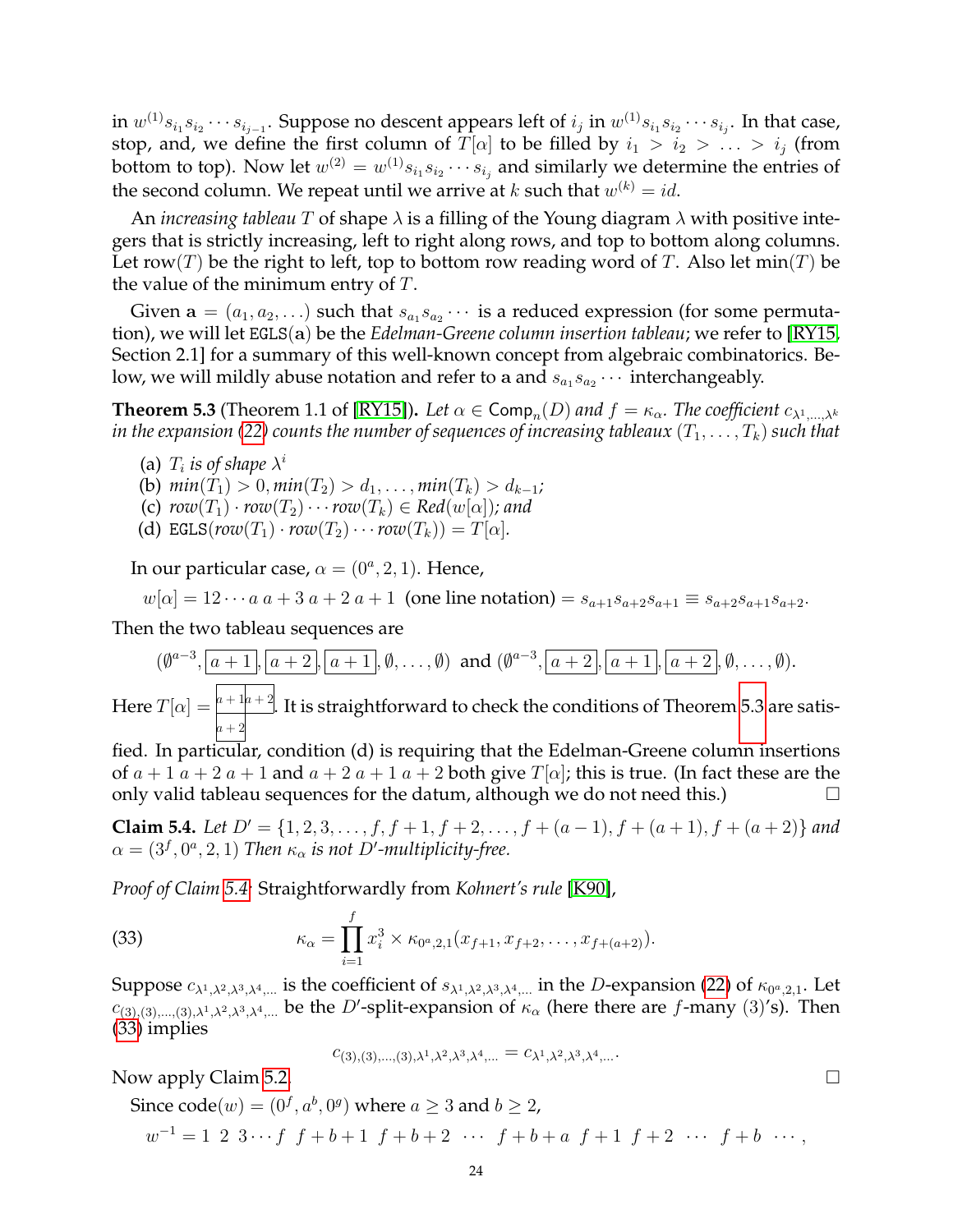in  $w^{(1)}s_{i_1}s_{i_2}\cdots s_{i_{j-1}}.$  Suppose no descent appears left of  $i_j$  in  $w^{(1)}s_{i_1}s_{i_2}\cdots s_{i_j}.$  In that case, stop, and, we define the first column of  $\overline{T}[\alpha]$  to be filled by  $i_1 > i_2 > \ldots > i_j$  (from bottom to top). Now let  $w^{(2)} = w^{(1)} s_{i_1} s_{i_2} \cdots s_{i_j}$  and similarly we determine the entries of the second column. We repeat until we arrive at  $k$  such that  $w^{(k)} = id$ .

An *increasing tableau* T of shape λ is a filling of the Young diagram λ with positive integers that is strictly increasing, left to right along rows, and top to bottom along columns. Let row(T) be the right to left, top to bottom row reading word of T. Also let min(T) be the value of the minimum entry of  $T$ .

Given  $\mathbf{a} = (a_1, a_2, \ldots)$  such that  $s_{a_1} s_{a_2} \cdots$  is a reduced expression (for some permutation), we will let EGLS(a) be the *Edelman-Greene column insertion tableau*; we refer to [\[RY15,](#page-25-14) Section 2.1] for a summary of this well-known concept from algebraic combinatorics. Below, we will mildly abuse notation and refer to a and  $s_{a_1}s_{a_2}\cdots$  interchangeably.

<span id="page-23-0"></span>**Theorem 5.3** (Theorem 1.1 of [\[RY15\]](#page-25-14)). Let  $\alpha \in \textsf{Comp}_n(D)$  and  $f = \kappa_\alpha$ . The coefficient  $c_{\lambda^1,...,\lambda^k}$ *in the expansion [\(22\)](#page-16-4) counts the number of sequences of increasing tableaux*  $(T_1, \ldots, T_k)$  *such that* 

(a)  $T_i$  is of shape  $\lambda^i$ 

(b)  $min(T_1) > 0, min(T_2) > d_1, ..., min(T_k) > d_{k-1}$ ;

- (c)  $row(T_1) \cdot row(T_2) \cdot \cdot \cdot row(T_k) \in Red(w[\alpha])$ ; and
- (d) EGLS( $row(T_1) \cdot row(T_2) \cdots row(T_k) = T[\alpha]$ *.*

In our particular case,  $\alpha = (0^a, 2, 1)$ . Hence,

$$
w[\alpha] = 12 \cdots a \cdot a + 3 \cdot a + 2 \cdot a + 1
$$
 (one line notation)  $= s_{a+1} s_{a+2} s_{a+1} \equiv s_{a+2} s_{a+1} s_{a+2}$ .

Then the two tableau sequences are

$$
(\emptyset^{a-3}, \boxed{a+1}, \boxed{a+2}, \boxed{a+1}, \emptyset, \ldots, \emptyset)
$$
 and 
$$
(\emptyset^{a-3}, \boxed{a+2}, \boxed{a+1}, \boxed{a+2}, \emptyset, \ldots, \emptyset).
$$

Here  $T[\alpha] = \frac{a + 1a + 2}{a + 2a}$ .  $a + 2$ . It is straightforward to check the conditions of Theorem [5.3](#page-23-0) are satis-

fied. In particular, condition (d) is requiring that the Edelman-Greene column insertions of  $a + 1$   $a + 2$   $a + 1$  and  $a + 2$   $a + 1$   $a + 2$  both give  $T[\alpha]$ ; this is true. (In fact these are the only valid tableau sequences for the datum, although we do not need this.)

<span id="page-23-1"></span>**Claim 5.4.** *Let*  $D' = \{1, 2, 3, \ldots, f, f + 1, f + 2, \ldots, f + (a - 1), f + (a + 1), f + (a + 2)\}\$ and  $\alpha = (3^f, 0^a, 2, 1)$  *Then*  $\kappa_\alpha$  *is not D'-multiplicity-free.* 

*Proof of Claim [5.4:](#page-23-1)* Straightforwardly from *Kohnert's rule* [\[K90\]](#page-25-23),

(33) 
$$
\kappa_{\alpha} = \prod_{i=1}^{f} x_i^3 \times \kappa_{0^a,2,1}(x_{f+1}, x_{f+2}, \ldots, x_{f+(a+2)}).
$$

Suppose  $c_{\lambda^1,\lambda^2,\lambda^3,\lambda^4,...}$  is the coefficient of  $s_{\lambda^1,\lambda^2,\lambda^3,\lambda^4,...}$  in the D-expansion [\(22\)](#page-16-4) of  $\kappa_{0^a,2,1}$ . Let  $c_{(3),(3),...,(3),\lambda^1,\lambda^2,\lambda^3,\lambda^4,...}$  be the D'-split-expansion of  $\kappa_\alpha$  (here there are f-many (3)'s). Then [\(33\)](#page-23-2) implies

<span id="page-23-2"></span>
$$
c_{(3),(3),\ldots,(3),\lambda^1,\lambda^2,\lambda^3,\lambda^4,\ldots}=c_{\lambda^1,\lambda^2,\lambda^3,\lambda^4,\ldots}.
$$

Now apply Claim [5.2.](#page-22-1)

Since  $\text{code}(w) = (0^f, a^b, 0^g)$  where  $a \geq 3$  and  $b \geq 2$ ,  $w^{-1} = 1 \; 2 \; 3 \cdots f \; f + b + 1 \; f + b + 2 \; \cdots \; f + b + a \; f + 1 \; f + 2 \; \cdots \; f + b \; \cdots,$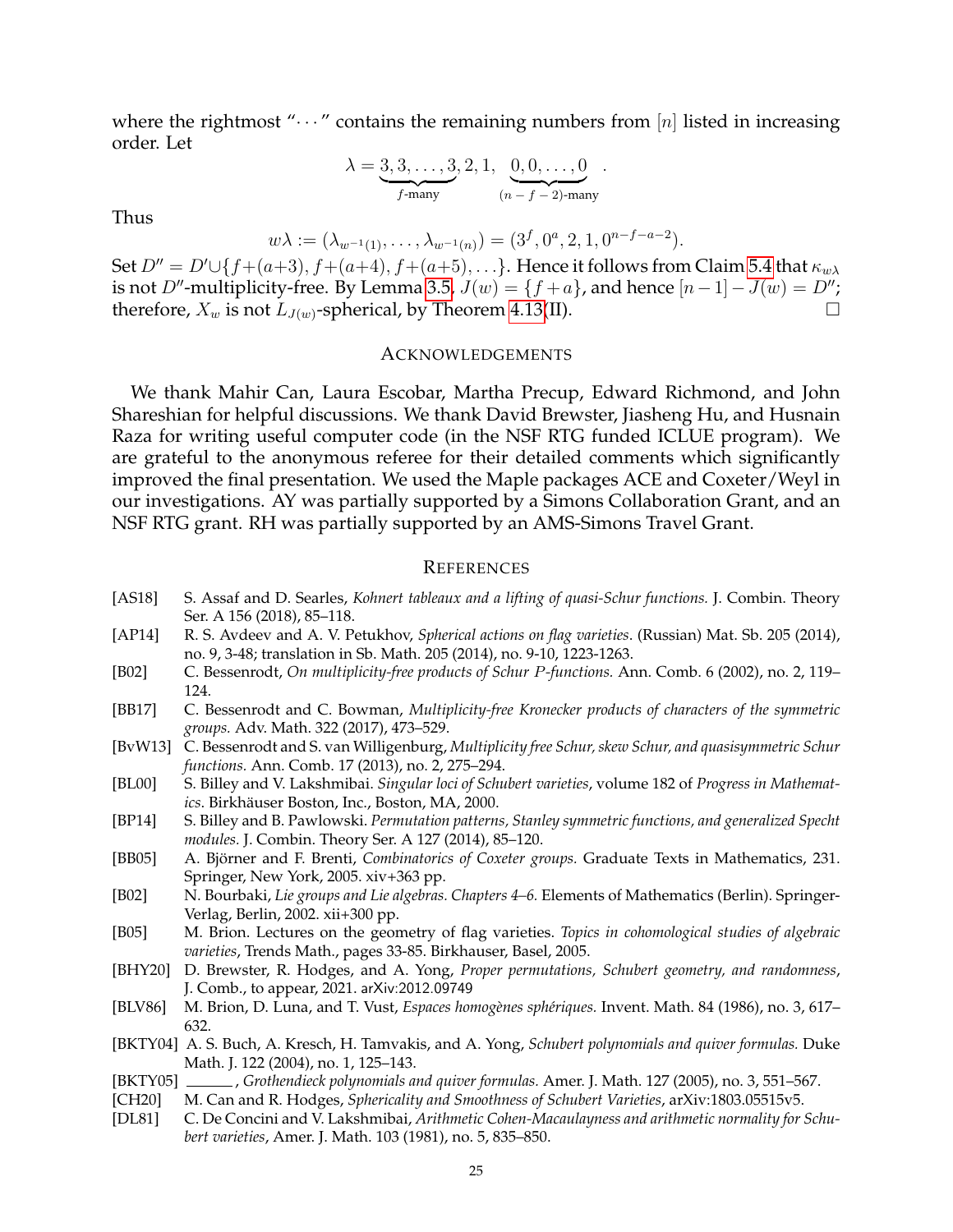where the rightmost " $\cdots$ " contains the remaining numbers from [n] listed in increasing order. Let

$$
\lambda = \underbrace{3, 3, \dots, 3}_{f\text{-many}}, 2, 1, \underbrace{0, 0, \dots, 0}_{(n-f-2)\text{-many}}.
$$

Thus

$$
w\lambda := (\lambda_{w^{-1}(1)}, \ldots, \lambda_{w^{-1}(n)}) = (3^f, 0^a, 2, 1, 0^{n-f-a-2}).
$$

Set  $D'' = D' \cup \{f+(a+3), f+(a+4), f+(a+5), \ldots\}$ . Hence it follows from Claim [5.4](#page-23-1) that  $\kappa_{w\lambda}$ is not D"-multiplicity-free. By Lemma [3.5,](#page-13-6)  $J(w) = \{f + a\}$ , and hence  $[n-1]-J(w) = D''$ ; therefore,  $X_w$  is not  $L_{J(w)}$ -spherical, by Theorem [4.13\(](#page-17-0)II).

### ACKNOWLEDGEMENTS

We thank Mahir Can, Laura Escobar, Martha Precup, Edward Richmond, and John Shareshian for helpful discussions. We thank David Brewster, Jiasheng Hu, and Husnain Raza for writing useful computer code (in the NSF RTG funded ICLUE program). We are grateful to the anonymous referee for their detailed comments which significantly improved the final presentation. We used the Maple packages ACE and Coxeter/Weyl in our investigations. AY was partially supported by a Simons Collaboration Grant, and an NSF RTG grant. RH was partially supported by an AMS-Simons Travel Grant.

#### **REFERENCES**

- <span id="page-24-4"></span>[AS18] S. Assaf and D. Searles, *Kohnert tableaux and a lifting of quasi-Schur functions.* J. Combin. Theory Ser. A 156 (2018), 85–118.
- <span id="page-24-7"></span>[AP14] R. S. Avdeev and A. V. Petukhov, *Spherical actions on flag varieties*. (Russian) Mat. Sb. 205 (2014), no. 9, 3-48; translation in Sb. Math. 205 (2014), no. 9-10, 1223-1263.
- <span id="page-24-11"></span>[B02] C. Bessenrodt, *On multiplicity-free products of Schur* P*-functions.* Ann. Comb. 6 (2002), no. 2, 119– 124.
- <span id="page-24-14"></span>[BB17] C. Bessenrodt and C. Bowman, *Multiplicity-free Kronecker products of characters of the symmetric groups.* Adv. Math. 322 (2017), 473–529.
- <span id="page-24-12"></span>[BvW13] C. Bessenrodt and S. van Willigenburg, *Multiplicity free Schur, skew Schur, and quasisymmetric Schur functions.* Ann. Comb. 17 (2013), no. 2, 275–294.
- <span id="page-24-1"></span>[BL00] S. Billey and V. Lakshmibai. *Singular loci of Schubert varieties*, volume 182 of *Progress in Mathematics*. Birkhäuser Boston, Inc., Boston, MA, 2000.
- <span id="page-24-13"></span>[BP14] S. Billey and B. Pawlowski. *Permutation patterns, Stanley symmetric functions, and generalized Specht modules.* J. Combin. Theory Ser. A 127 (2014), 85–120.
- <span id="page-24-5"></span>[BB05] A. Björner and F. Brenti, *Combinatorics of Coxeter groups*. Graduate Texts in Mathematics, 231. Springer, New York, 2005. xiv+363 pp.
- <span id="page-24-6"></span>[B02] N. Bourbaki, *Lie groups and Lie algebras. Chapters 4–6.* Elements of Mathematics (Berlin). Springer-Verlag, Berlin, 2002. xii+300 pp.
- <span id="page-24-15"></span>[B05] M. Brion. Lectures on the geometry of flag varieties. *Topics in cohomological studies of algebraic varieties*, Trends Math., pages 33-85. Birkhauser, Basel, 2005.
- <span id="page-24-8"></span>[BHY20] D. Brewster, R. Hodges, and A. Yong, *Proper permutations, Schubert geometry, and randomness*, J. Comb., to appear, 2021. arXiv:2012.09749
- <span id="page-24-2"></span>[BLV86] M. Brion, D. Luna, and T. Vust, *Espaces homogènes sphériques*. Invent. Math. 84 (1986), no. 3, 617– 632.
- <span id="page-24-9"></span>[BKTY04] A. S. Buch, A. Kresch, H. Tamvakis, and A. Yong, *Schubert polynomials and quiver formulas.* Duke Math. J. 122 (2004), no. 1, 125–143.
- <span id="page-24-10"></span>[BKTY05] , *Grothendieck polynomials and quiver formulas.* Amer. J. Math. 127 (2005), no. 3, 551–567.
- <span id="page-24-0"></span>[CH20] M. Can and R. Hodges, *Sphericality and Smoothness of Schubert Varieties*, arXiv:1803.05515v5.
- <span id="page-24-3"></span>[DL81] C. De Concini and V. Lakshmibai, *Arithmetic Cohen-Macaulayness and arithmetic normality for Schubert varieties*, Amer. J. Math. 103 (1981), no. 5, 835–850.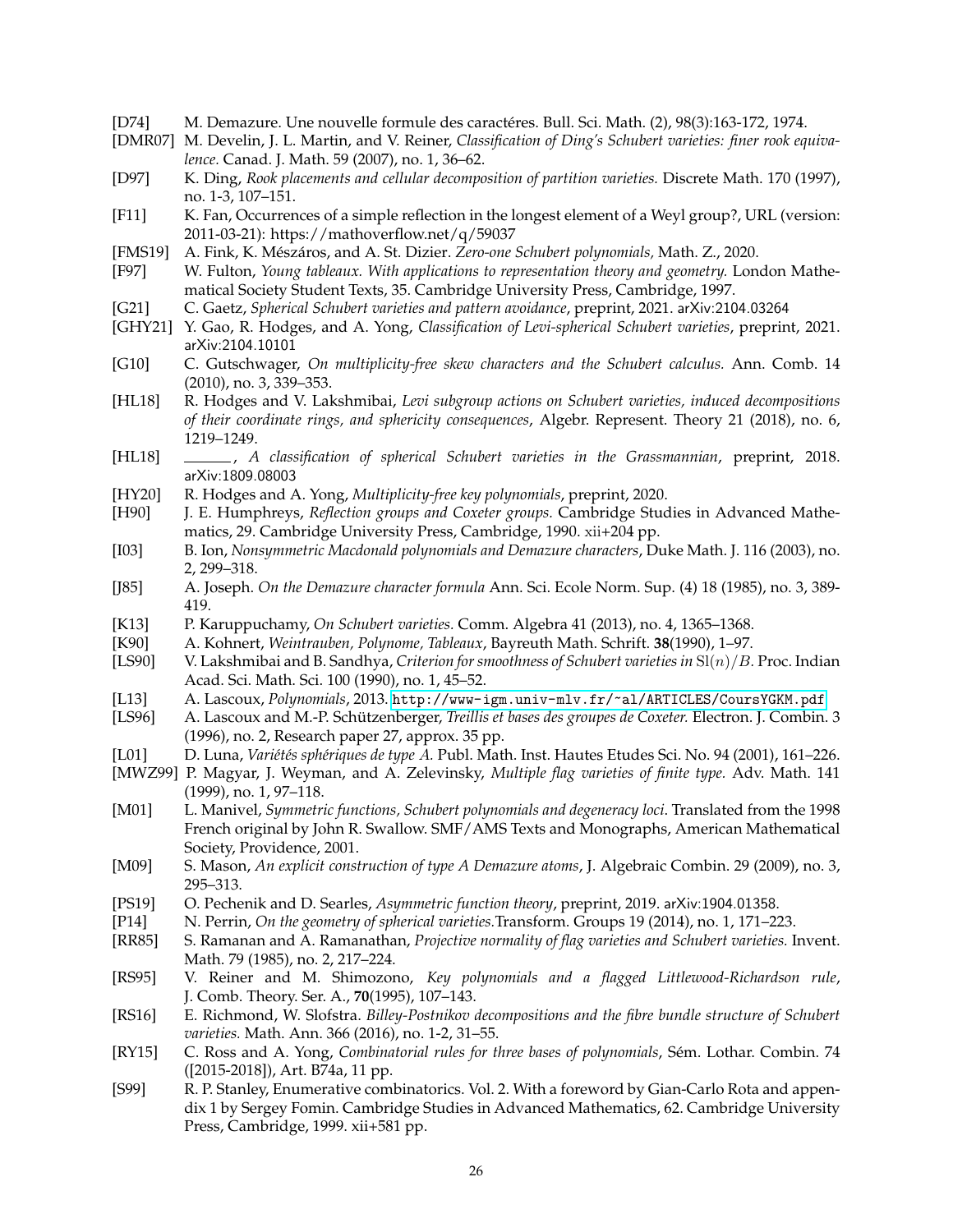- <span id="page-25-28"></span>[D74] M. Demazure. Une nouvelle formule des caractéres. Bull. Sci. Math. (2), 98(3):163-172, 1974.
- <span id="page-25-18"></span>[DMR07] M. Develin, J. L. Martin, and V. Reiner, *Classification of Ding's Schubert varieties: finer rook equivalence.* Canad. J. Math. 59 (2007), no. 1, 36–62.
- <span id="page-25-19"></span>[D97] K. Ding, *Rook placements and cellular decomposition of partition varieties.* Discrete Math. 170 (1997), no. 1-3, 107–151.
- <span id="page-25-15"></span>[F11] K. Fan, Occurrences of a simple reflection in the longest element of a Weyl group?, URL (version: 2011-03-21): https://mathoverflow.net/q/59037
- <span id="page-25-25"></span>[FMS19] A. Fink, K. Mészáros, and A. St. Dizier. *Zero-one Schubert polynomials*, Math. Z., 2020.
- <span id="page-25-5"></span>[F97] W. Fulton, *Young tableaux. With applications to representation theory and geometry.* London Mathematical Society Student Texts, 35. Cambridge University Press, Cambridge, 1997.
- <span id="page-25-11"></span>[G21] C. Gaetz, *Spherical Schubert varieties and pattern avoidance*, preprint, 2021. arXiv:2104.03264
- <span id="page-25-9"></span>[GHY21] Y. Gao, R. Hodges, and A. Yong, *Classification of Levi-spherical Schubert varieties*, preprint, 2021. arXiv:2104.10101
- <span id="page-25-24"></span>[G10] C. Gutschwager, *On multiplicity-free skew characters and the Schubert calculus.* Ann. Comb. 14 (2010), no. 3, 339–353.
- <span id="page-25-3"></span>[HL18] R. Hodges and V. Lakshmibai, *Levi subgroup actions on Schubert varieties, induced decompositions of their coordinate rings, and sphericity consequences*, Algebr. Represent. Theory 21 (2018), no. 6, 1219–1249.
- <span id="page-25-4"></span>[HL18] , *A classification of spherical Schubert varieties in the Grassmannian*, preprint, 2018. arXiv:1809.08003
- <span id="page-25-12"></span>[HY20] R. Hodges and A. Yong, *Multiplicity-free key polynomials*, preprint, 2020.
- <span id="page-25-16"></span>[H90] J. E. Humphreys, *Reflection groups and Coxeter groups.* Cambridge Studies in Advanced Mathematics, 29. Cambridge University Press, Cambridge, 1990. xii+204 pp.
- <span id="page-25-26"></span>[I03] B. Ion, *Nonsymmetric Macdonald polynomials and Demazure characters*, Duke Math. J. 116 (2003), no. 2, 299–318.
- <span id="page-25-29"></span>[J85] A. Joseph. *On the Demazure character formula* Ann. Sci. Ecole Norm. Sup. (4) 18 (1985), no. 3, 389- 419.
- <span id="page-25-2"></span>[K13] P. Karuppuchamy, *On Schubert varieties.* Comm. Algebra 41 (2013), no. 4, 1365–1368.
- <span id="page-25-23"></span>[K90] A. Kohnert, *Weintrauben, Polynome, Tableaux*, Bayreuth Math. Schrift. **38**(1990), 1–97.
- <span id="page-25-30"></span>[LS90] V. Lakshmibai and B. Sandhya, *Criterion for smoothness of Schubert varieties in* Sl(n)/B*.* Proc. Indian Acad. Sci. Math. Sci. 100 (1990), no. 1, 45–52.
- <span id="page-25-21"></span>[L13] A. Lascoux, *Polynomials*, 2013. <http://www-igm.univ-mlv.fr/~al/ARTICLES/CoursYGKM.pdf>
- <span id="page-25-10"></span>A. Lascoux and M.-P. Schützenberger, *Treillis et bases des groupes de Coxeter*. Electron. J. Combin. 3 (1996), no. 2, Research paper 27, approx. 35 pp.
- <span id="page-25-6"></span>[L01] D. Luna, *Variétés sphériques de type A. Publ. Math. Inst. Hautes Etudes Sci. No. 94 (2001), 161–226.*
- <span id="page-25-1"></span>[MWZ99] P. Magyar, J. Weyman, and A. Zelevinsky, *Multiple flag varieties of finite type.* Adv. Math. 141 (1999), no. 1, 97–118.
- <span id="page-25-0"></span>[M01] L. Manivel, *Symmetric functions, Schubert polynomials and degeneracy loci*. Translated from the 1998 French original by John R. Swallow. SMF/AMS Texts and Monographs, American Mathematical Society, Providence, 2001.
- <span id="page-25-27"></span>[M09] S. Mason, *An explicit construction of type A Demazure atoms*, J. Algebraic Combin. 29 (2009), no. 3, 295–313.
- <span id="page-25-13"></span>[PS19] O. Pechenik and D. Searles, *Asymmetric function theory*, preprint, 2019. arXiv:1904.01358.
- <span id="page-25-7"></span>[P14] N. Perrin, *On the geometry of spherical varieties.*Transform. Groups 19 (2014), no. 1, 171–223.
- <span id="page-25-8"></span>[RR85] S. Ramanan and A. Ramanathan, *Projective normality of flag varieties and Schubert varieties.* Invent. Math. 79 (1985), no. 2, 217–224.
- <span id="page-25-22"></span>[RS95] V. Reiner and M. Shimozono, *Key polynomials and a flagged Littlewood-Richardson rule*, J. Comb. Theory. Ser. A., **70**(1995), 107–143.
- <span id="page-25-17"></span>[RS16] E. Richmond, W. Slofstra. *Billey-Postnikov decompositions and the fibre bundle structure of Schubert varieties.* Math. Ann. 366 (2016), no. 1-2, 31–55.
- <span id="page-25-14"></span>[RY15] C. Ross and A. Yong, *Combinatorial rules for three bases of polynomials*, Sém. Lothar. Combin. 74 ([2015-2018]), Art. B74a, 11 pp.
- <span id="page-25-20"></span>[S99] R. P. Stanley, Enumerative combinatorics. Vol. 2. With a foreword by Gian-Carlo Rota and appendix 1 by Sergey Fomin. Cambridge Studies in Advanced Mathematics, 62. Cambridge University Press, Cambridge, 1999. xii+581 pp.